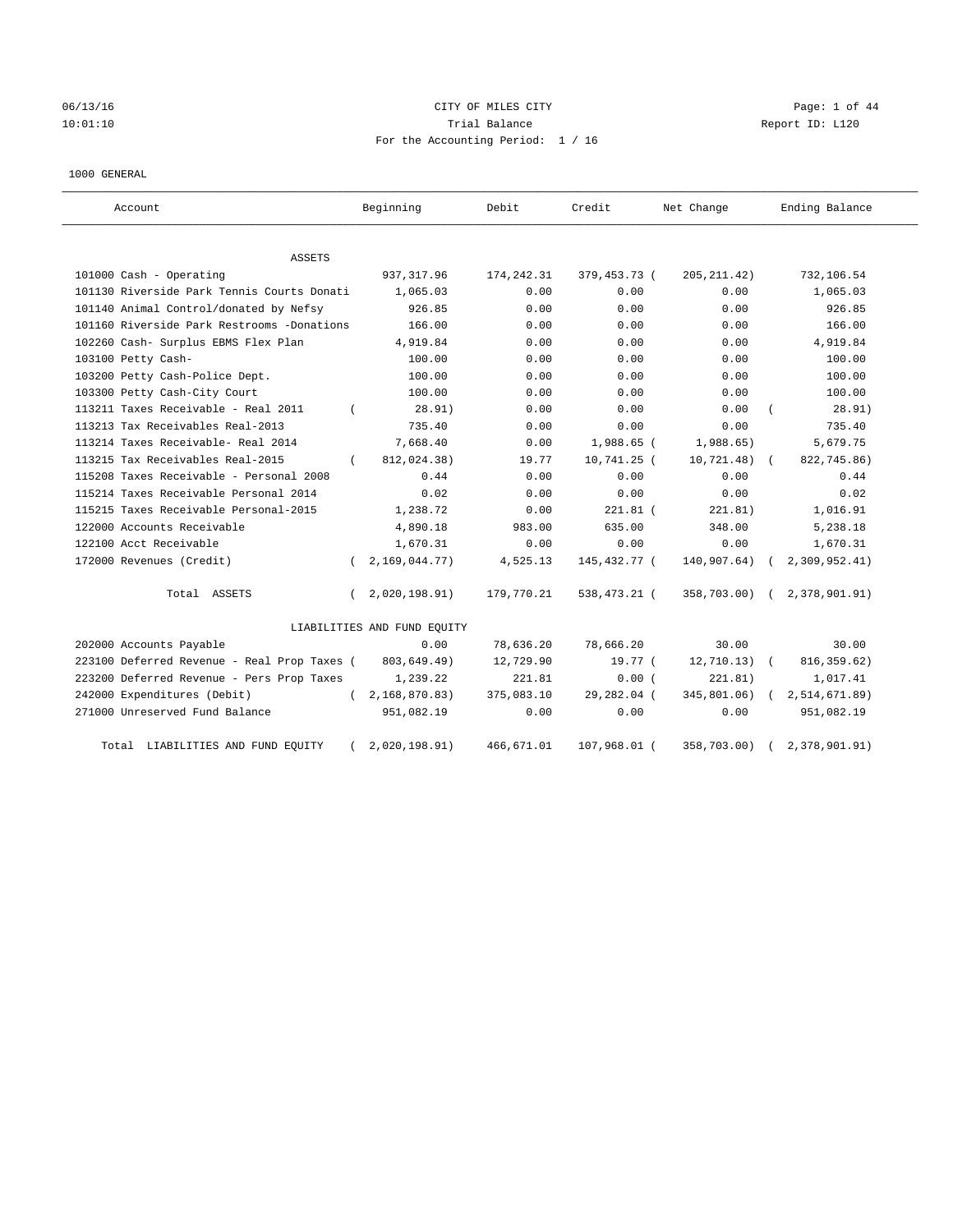# 06/13/16 CITY OF MILES CITY Page: 1 of 44 10:01:10 Trial Balance Report ID: L120 For the Accounting Period: 1 / 16

#### 1000 GENERAL

| Account                                     | Beginning                   | Debit       | Credit       | Net Change   | Ending Balance |
|---------------------------------------------|-----------------------------|-------------|--------------|--------------|----------------|
| ASSETS                                      |                             |             |              |              |                |
| 101000 Cash - Operating                     | 937, 317.96                 | 174, 242.31 | 379,453.73 ( | 205, 211.42) | 732,106.54     |
| 101130 Riverside Park Tennis Courts Donati  | 1,065.03                    | 0.00        | 0.00         | 0.00         | 1,065.03       |
| 101140 Animal Control/donated by Nefsy      | 926.85                      | 0.00        | 0.00         | 0.00         | 926.85         |
| 101160 Riverside Park Restrooms -Donations  | 166.00                      | 0.00        | 0.00         | 0.00         | 166.00         |
| 102260 Cash- Surplus EBMS Flex Plan         | 4,919.84                    | 0.00        | 0.00         | 0.00         | 4,919.84       |
| 103100 Petty Cash-                          | 100.00                      | 0.00        | 0.00         | 0.00         | 100.00         |
| 103200 Petty Cash-Police Dept.              | 100.00                      | 0.00        | 0.00         | 0.00         | 100.00         |
| 103300 Petty Cash-City Court                | 100.00                      | 0.00        | 0.00         | 0.00         | 100.00         |
| 113211 Taxes Receivable - Real 2011         | 28.91)                      | 0.00        | 0.00         | 0.00         | 28.91)         |
| 113213 Tax Receivables Real-2013            | 735.40                      | 0.00        | 0.00         | 0.00         | 735.40         |
| 113214 Taxes Receivable- Real 2014          | 7,668.40                    | 0.00        | 1,988.65 (   | 1,988.65)    | 5,679.75       |
| 113215 Tax Receivables Real-2015            | 812,024.38)<br>$\left($     | 19.77       | 10,741.25 (  | 10,721.48)   | 822,745.86)    |
| 115208 Taxes Receivable - Personal 2008     | 0.44                        | 0.00        | 0.00         | 0.00         | 0.44           |
| 115214 Taxes Receivable Personal 2014       | 0.02                        | 0.00        | 0.00         | 0.00         | 0.02           |
| 115215 Taxes Receivable Personal-2015       | 1,238.72                    | 0.00        | $221.81$ (   | 221.81)      | 1,016.91       |
| 122000 Accounts Receivable                  | 4,890.18                    | 983.00      | 635.00       | 348.00       | 5,238.18       |
| 122100 Acct Receivable                      | 1,670.31                    | 0.00        | 0.00         | 0.00         | 1,670.31       |
| 172000 Revenues (Credit)                    | 2,169,044.77)               | 4,525.13    | 145,432.77 ( | 140,907.64)  | 2,309,952.41)  |
| Total ASSETS                                | 2,020,198.91)<br>$\left($   | 179,770.21  | 538,473.21 ( | 358,703.00)  | 2,378,901.91)  |
|                                             | LIABILITIES AND FUND EQUITY |             |              |              |                |
| 202000 Accounts Payable                     | 0.00                        | 78,636.20   | 78,666.20    | 30.00        | 30.00          |
| 223100 Deferred Revenue - Real Prop Taxes ( | 803,649.49)                 | 12,729.90   | 19.77 (      | 12, 710.13)  | 816, 359.62)   |
| 223200 Deferred Revenue - Pers Prop Taxes   | 1,239.22                    | 221.81      | 0.00(        | 221.81)      | 1,017.41       |
| 242000 Expenditures (Debit)                 | 2,168,870.83)<br>$\left($   | 375,083.10  | 29,282.04 (  | 345,801.06)  | 2,514,671.89)  |
| 271000 Unreserved Fund Balance              | 951,082.19                  | 0.00        | 0.00         | 0.00         | 951,082.19     |
| Total LIABILITIES AND FUND EQUITY           | 2,020,198.91)               | 466,671.01  | 107,968.01 ( | 358,703.00)  | 2,378,901.91)  |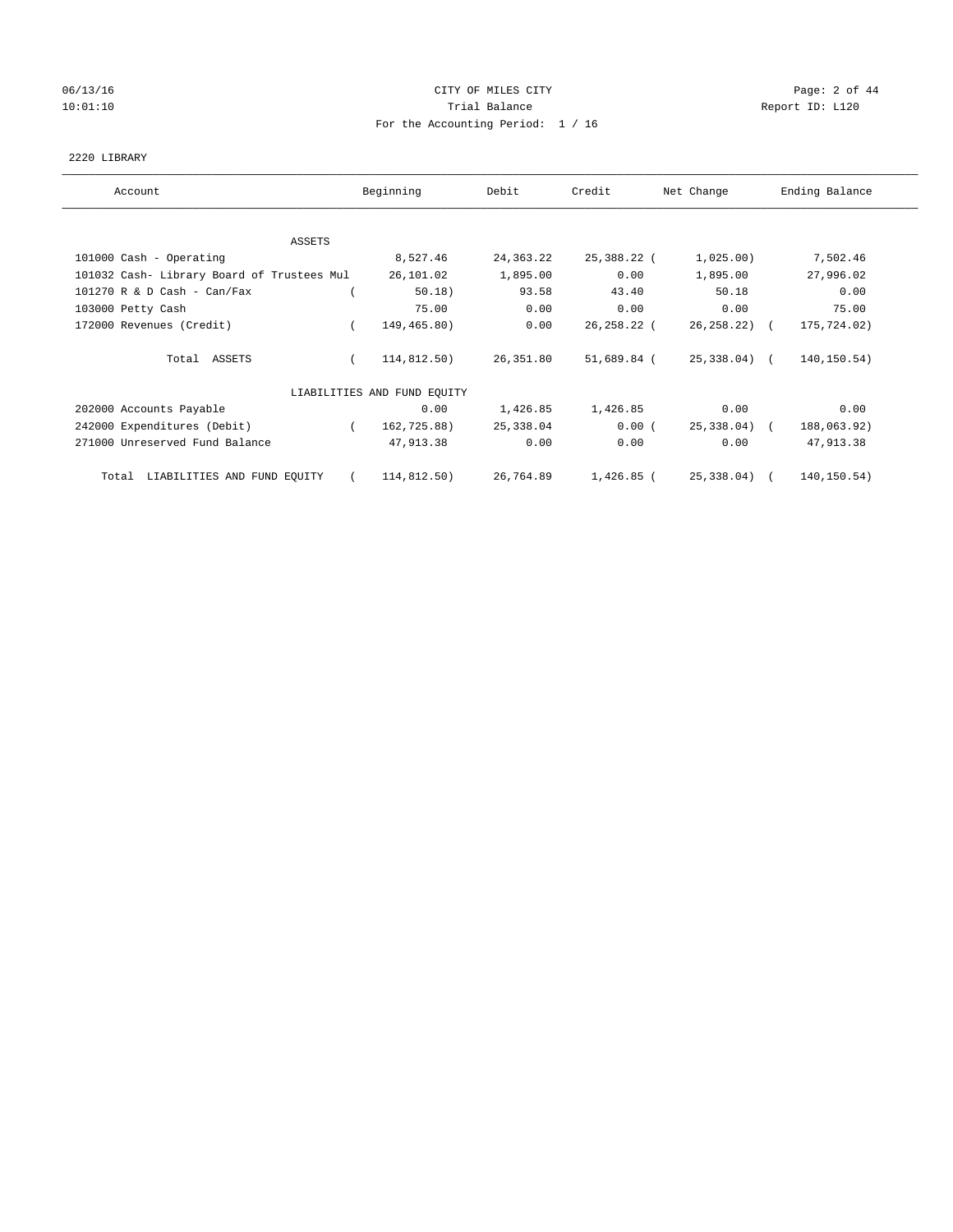# 06/13/16 CITY OF MILES CITY Page: 2 of 44 10:01:10 Trial Balance Report ID: L120 For the Accounting Period: 1 / 16

#### 2220 LIBRARY

| Account                                    | Beginning                   | Debit       | Credit       | Net Change   | Ending Balance |
|--------------------------------------------|-----------------------------|-------------|--------------|--------------|----------------|
|                                            |                             |             |              |              |                |
| ASSETS                                     |                             |             |              |              |                |
| 101000 Cash - Operating                    | 8,527.46                    | 24, 363. 22 | 25,388.22 (  | 1,025.00)    | 7,502.46       |
| 101032 Cash- Library Board of Trustees Mul | 26,101.02                   | 1,895.00    | 0.00         | 1,895.00     | 27,996.02      |
| $101270$ R & D Cash - Can/Fax              | 50.18)                      | 93.58       | 43.40        | 50.18        | 0.00           |
| 103000 Petty Cash                          | 75.00                       | 0.00        | 0.00         | 0.00         | 75.00          |
| 172000 Revenues (Credit)                   | 149,465.80)                 | 0.00        | 26,258.22 (  | 26, 258.22   | 175,724.02)    |
| Total ASSETS                               | 114,812.50)                 | 26,351.80   | 51,689.84 (  | 25,338.04) ( | 140,150.54)    |
|                                            | LIABILITIES AND FUND EQUITY |             |              |              |                |
| 202000 Accounts Payable                    | 0.00                        | 1,426.85    | 1,426.85     | 0.00         | 0.00           |
| 242000 Expenditures (Debit)                | 162,725.88)                 | 25,338.04   | 0.00(        | 25,338.04) ( | 188,063.92)    |
| 271000 Unreserved Fund Balance             | 47,913.38                   | 0.00        | 0.00         | 0.00         | 47,913.38      |
| LIABILITIES AND FUND EQUITY<br>Total       | 114,812.50)                 | 26,764.89   | $1,426.85$ ( | 25,338.04)   | 140,150.54)    |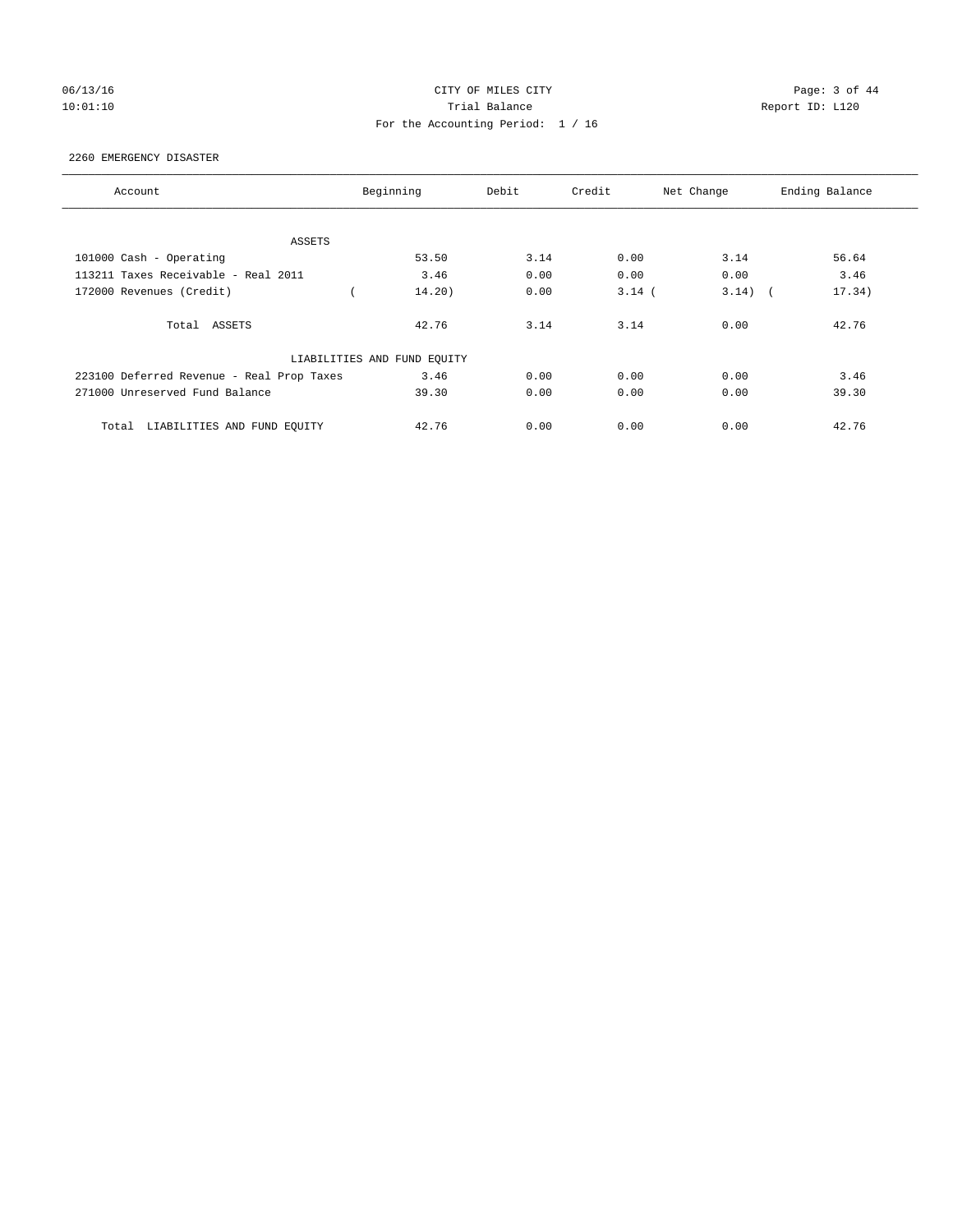# 06/13/16 CITY OF MILES CITY Page: 3 of 44 10:01:10 Trial Balance Report ID: L120 For the Accounting Period: 1 / 16

#### 2260 EMERGENCY DISASTER

| Account                                   | Beginning                   | Debit | Credit   | Net Change | Ending Balance |
|-------------------------------------------|-----------------------------|-------|----------|------------|----------------|
|                                           |                             |       |          |            |                |
| ASSETS                                    |                             |       |          |            |                |
| 101000 Cash - Operating                   | 53.50                       | 3.14  | 0.00     | 3.14       | 56.64          |
| 113211 Taxes Receivable - Real 2011       | 3.46                        | 0.00  | 0.00     | 0.00       | 3.46           |
| 172000 Revenues (Credit)                  | 14.20)                      | 0.00  | $3.14$ ( | $3.14)$ (  | 17.34)         |
| Total ASSETS                              | 42.76                       | 3.14  | 3.14     | 0.00       | 42.76          |
|                                           | LIABILITIES AND FUND EQUITY |       |          |            |                |
| 223100 Deferred Revenue - Real Prop Taxes | 3.46                        | 0.00  | 0.00     | 0.00       | 3.46           |
| 271000 Unreserved Fund Balance            | 39.30                       | 0.00  | 0.00     | 0.00       | 39.30          |
| LIABILITIES AND FUND EQUITY<br>Total      | 42.76                       | 0.00  | 0.00     | 0.00       | 42.76          |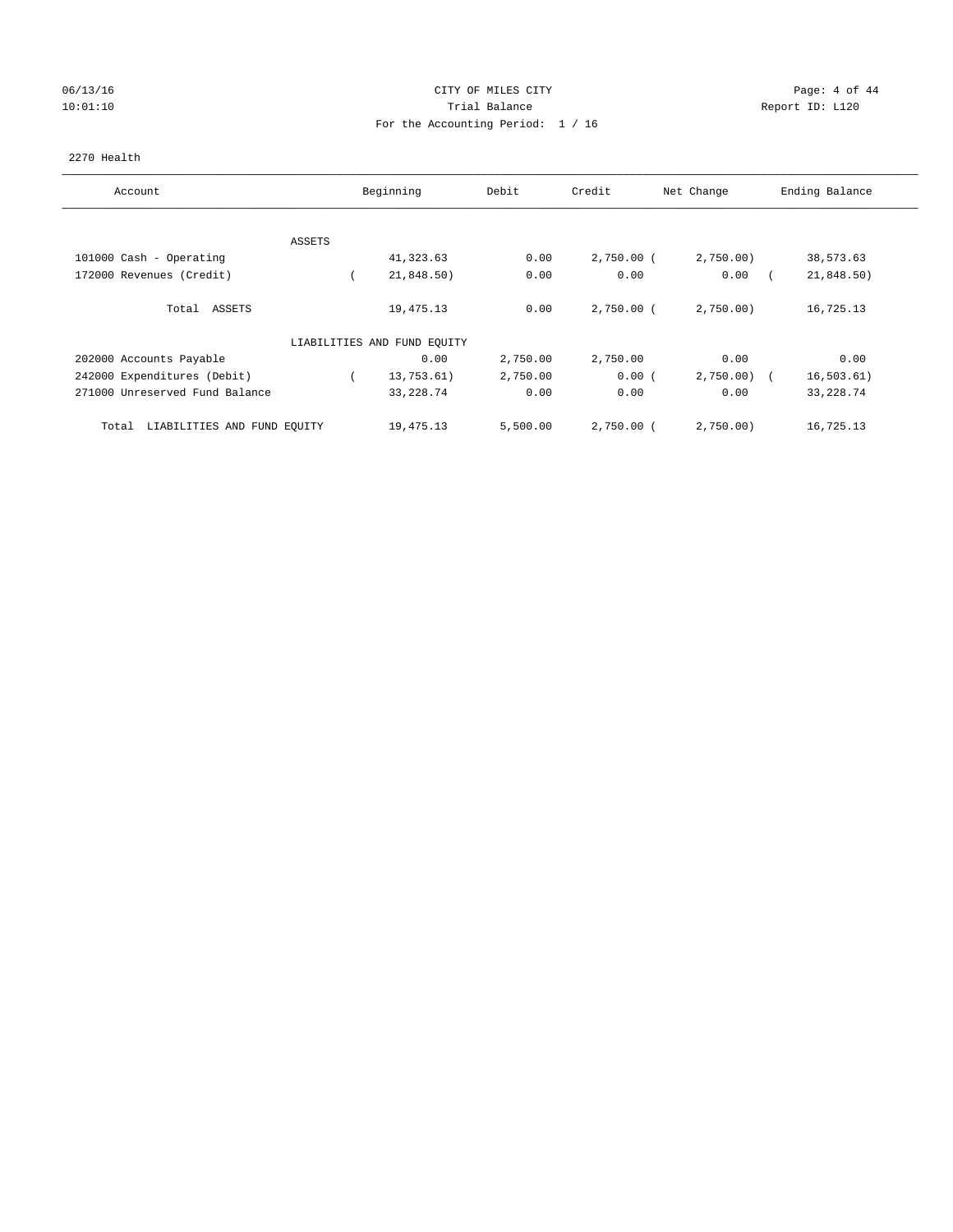## 06/13/16 CITY OF MILES CITY Page: 4 of 44 10:01:10 Trial Balance Report ID: L120 For the Accounting Period: 1 / 16

#### 2270 Health

| Account                              | Beginning                   | Debit    | Credit       | Net Change | Ending Balance            |
|--------------------------------------|-----------------------------|----------|--------------|------------|---------------------------|
|                                      |                             |          |              |            |                           |
| ASSETS                               |                             |          |              |            |                           |
| 101000 Cash - Operating              | 41,323.63                   | 0.00     | $2,750.00$ ( | 2,750.00   | 38,573.63                 |
| 172000 Revenues (Credit)             | 21,848.50)                  | 0.00     | 0.00         | 0.00       | 21,848.50)                |
| Total ASSETS                         | 19,475.13                   | 0.00     | $2,750.00$ ( | 2,750.00   | 16,725.13                 |
|                                      | LIABILITIES AND FUND EQUITY |          |              |            |                           |
| 202000 Accounts Payable              | 0.00                        | 2,750.00 | 2,750.00     | 0.00       | 0.00                      |
| 242000 Expenditures (Debit)          | 13,753.61)                  | 2,750.00 | 0.00(        | 2,750.00)  | 16, 503.61)<br>$\sqrt{2}$ |
| 271000 Unreserved Fund Balance       | 33, 228.74                  | 0.00     | 0.00         | 0.00       | 33, 228.74                |
| LIABILITIES AND FUND EQUITY<br>Total | 19,475.13                   | 5,500.00 | $2,750.00$ ( | 2,750.00   | 16,725.13                 |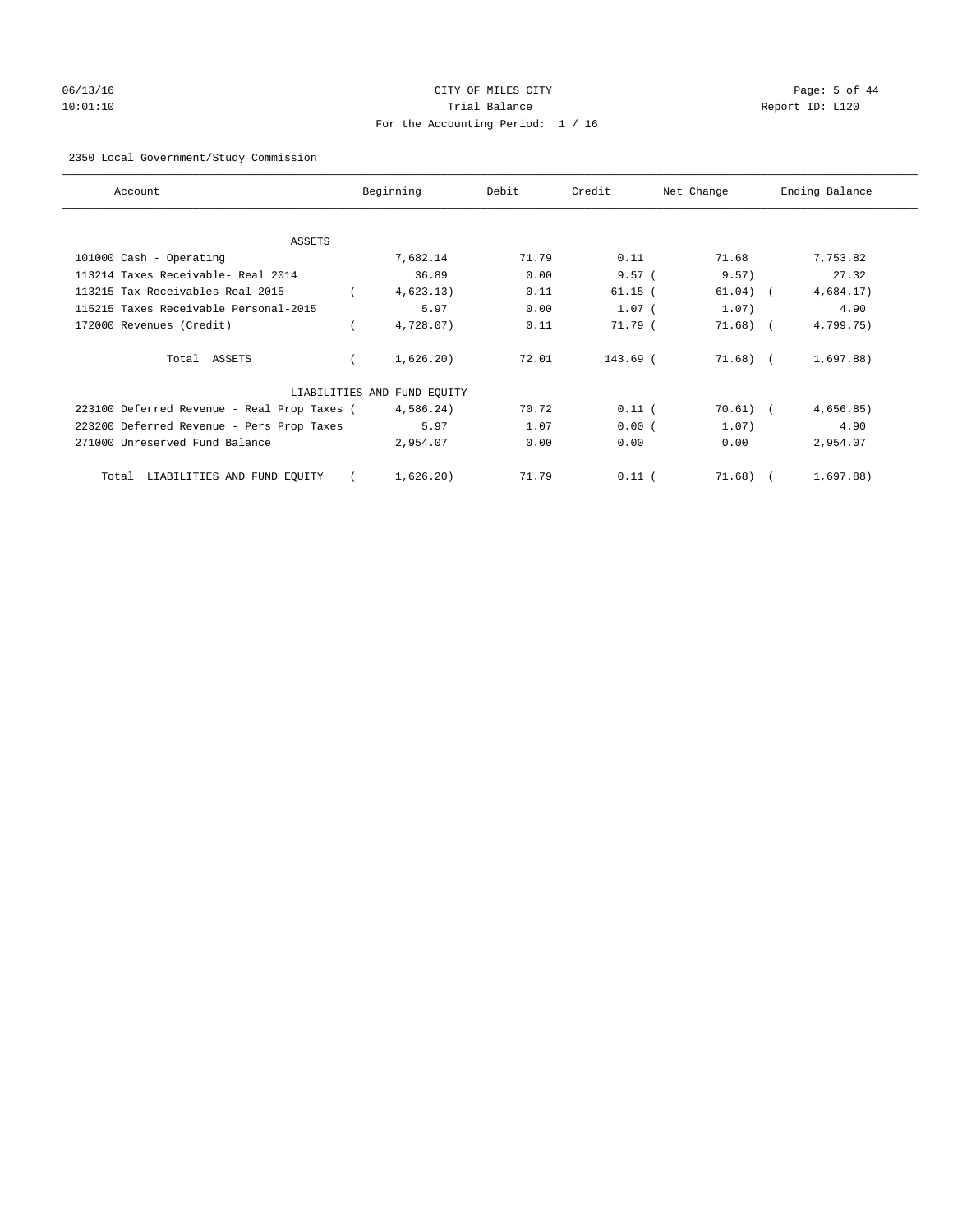# 06/13/16 Page: 5 of 44 10:01:10 Trial Balance Report ID: L120 For the Accounting Period: 1 / 16

## 2350 Local Government/Study Commission

| Account                                     | Beginning                   | Debit | Credit    | Net Change | Ending Balance |
|---------------------------------------------|-----------------------------|-------|-----------|------------|----------------|
|                                             |                             |       |           |            |                |
| ASSETS<br>101000 Cash - Operating           | 7,682.14                    | 71.79 | 0.11      | 71.68      | 7,753.82       |
| 113214 Taxes Receivable- Real 2014          | 36.89                       | 0.00  | 9.57(     | 9.57)      | 27.32          |
| 113215 Tax Receivables Real-2015            | 4,623.13)                   | 0.11  | $61.15$ ( | 61.04)     | 4,684.17)      |
| 115215 Taxes Receivable Personal-2015       | 5.97                        | 0.00  | $1.07$ (  | 1.07)      | 4.90           |
| 172000 Revenues (Credit)                    | 4,728.07)                   | 0.11  | 71.79 (   | 71.68)     | 4,799.75)      |
| Total ASSETS                                | 1,626.20)                   | 72.01 | 143.69 (  | $71.68$ (  | 1,697.88)      |
|                                             | LIABILITIES AND FUND EQUITY |       |           |            |                |
| 223100 Deferred Revenue - Real Prop Taxes ( | 4,586.24)                   | 70.72 | $0.11$ (  | 70.61)     | 4,656.85)      |
| 223200 Deferred Revenue - Pers Prop Taxes   | 5.97                        | 1.07  | 0.00(     | 1.07)      | 4.90           |
| 271000 Unreserved Fund Balance              | 2,954.07                    | 0.00  | 0.00      | 0.00       | 2,954.07       |
| LIABILITIES AND FUND EQUITY<br>Total        | 1,626.20)                   | 71.79 | $0.11$ (  | 71.68)     | 1,697.88)      |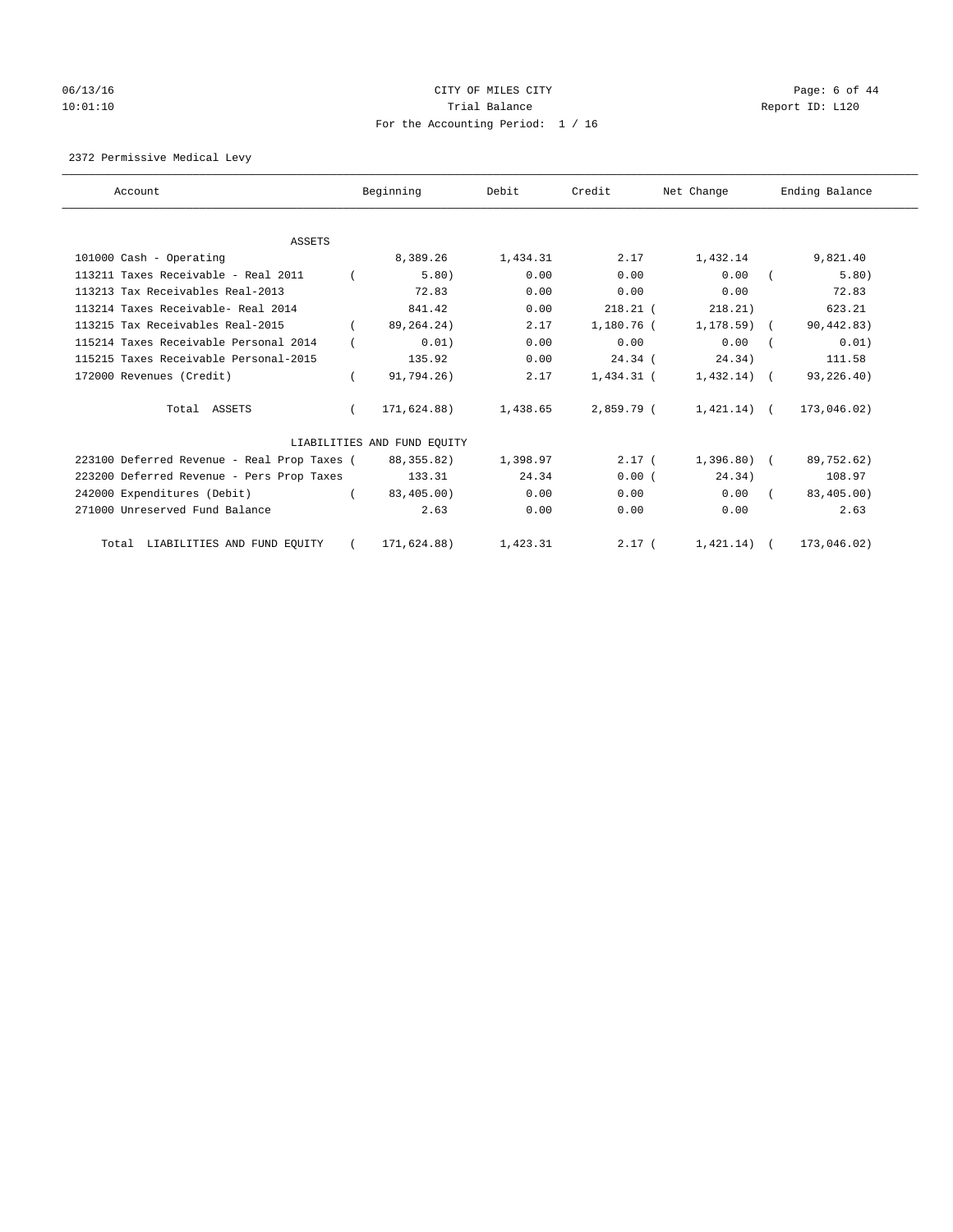# 06/13/16 CITY OF MILES CITY Page: 6 of 44 10:01:10 Trial Balance Report ID: L120 For the Accounting Period: 1 / 16

## 2372 Permissive Medical Levy

| Account                                     | Beginning                   | Debit    | Credit       | Net Change     | Ending Balance |
|---------------------------------------------|-----------------------------|----------|--------------|----------------|----------------|
| ASSETS                                      |                             |          |              |                |                |
| 101000 Cash - Operating                     | 8,389.26                    | 1,434.31 | 2.17         | 1,432.14       | 9,821.40       |
| 113211 Taxes Receivable - Real 2011         | 5.80)                       | 0.00     | 0.00         | 0.00           | 5.80)          |
| 113213 Tax Receivables Real-2013            | 72.83                       | 0.00     | 0.00         | 0.00           | 72.83          |
| 113214 Taxes Receivable- Real 2014          | 841.42                      | 0.00     | $218.21$ (   | 218.21)        | 623.21         |
| 113215 Tax Receivables Real-2015            | 89, 264. 24)                | 2.17     | 1,180.76 (   | $1,178.59$ (   | 90, 442.83)    |
| 115214 Taxes Receivable Personal 2014       | 0.01)                       | 0.00     | 0.00         | 0.00           | 0.01)          |
| 115215 Taxes Receivable Personal-2015       | 135.92                      | 0.00     | $24.34$ (    | 24.34)         | 111.58         |
| 172000 Revenues (Credit)                    | 91,794.26)                  | 2.17     | $1,434.31$ ( | $1,432.14$ (   | 93,226.40)     |
| Total ASSETS                                | 171,624.88)                 | 1,438.65 | 2,859.79 (   | $1,421.14$ ) ( | 173,046.02)    |
|                                             | LIABILITIES AND FUND EQUITY |          |              |                |                |
| 223100 Deferred Revenue - Real Prop Taxes ( | 88, 355, 82)                | 1,398.97 | $2.17-1$     | $1,396.80$ (   | 89,752.62)     |
| 223200 Deferred Revenue - Pers Prop Taxes   | 133.31                      | 24.34    | 0.00(        | 24.34)         | 108.97         |
| 242000 Expenditures (Debit)                 | 83,405.00)                  | 0.00     | 0.00         | 0.00           | 83,405.00)     |
| 271000 Unreserved Fund Balance              | 2.63                        | 0.00     | 0.00         | 0.00           | 2.63           |
| Total LIABILITIES AND FUND EQUITY           | 171,624.88)                 | 1,423.31 | 2.17(        | 1,421.14)      | 173,046.02)    |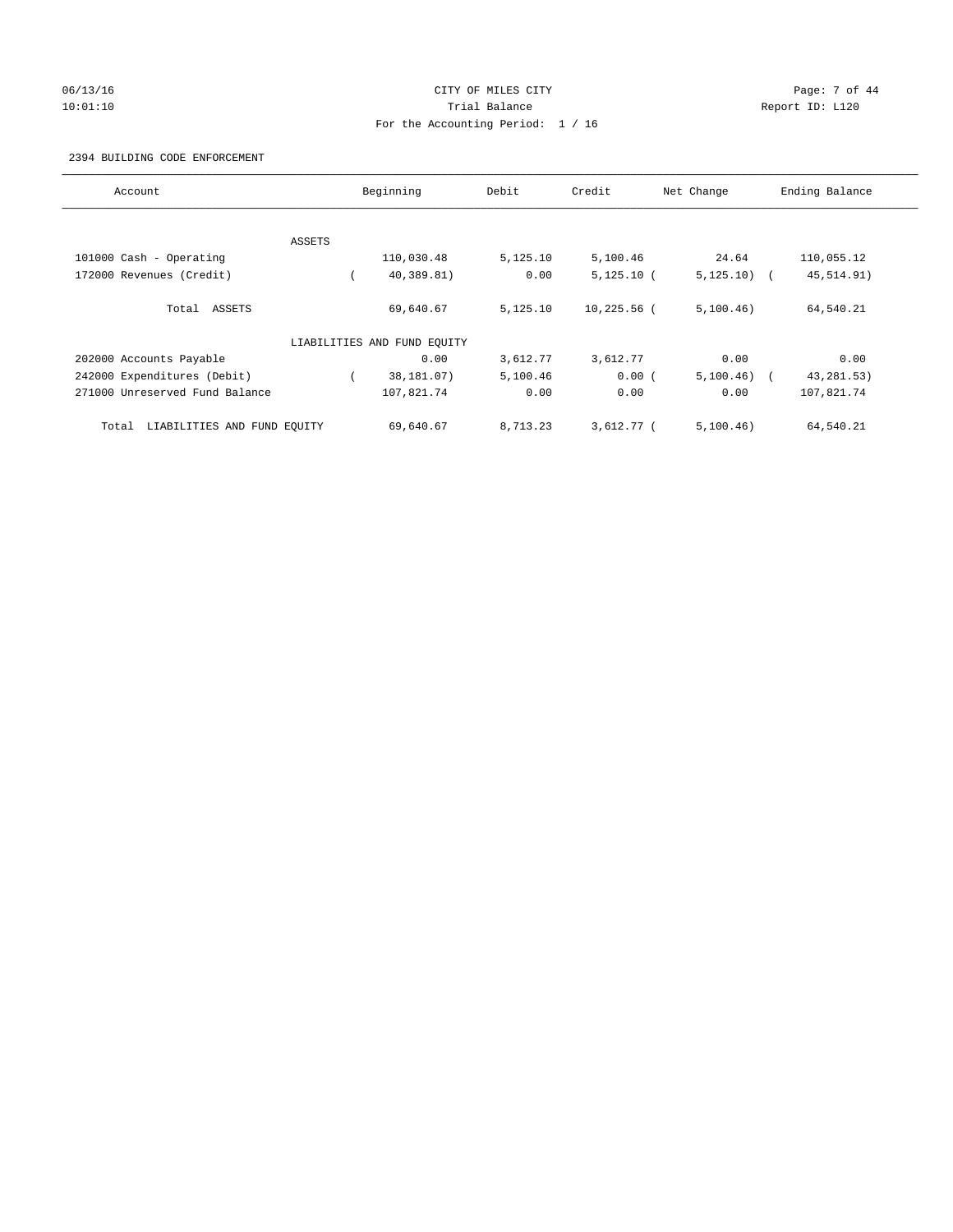## 06/13/16 CITY OF MILES CITY Page: 7 of 44 10:01:10 Trial Balance Report ID: L120 For the Accounting Period: 1 / 16

#### 2394 BUILDING CODE ENFORCEMENT

| Account                              |        | Beginning                   | Debit    | Credit        | Net Change   | Ending Balance |
|--------------------------------------|--------|-----------------------------|----------|---------------|--------------|----------------|
|                                      |        |                             |          |               |              |                |
|                                      | ASSETS |                             |          |               |              |                |
| 101000 Cash - Operating              |        | 110,030.48                  | 5,125.10 | 5,100.46      | 24.64        | 110,055.12     |
| 172000 Revenues (Credit)             |        | 40,389.81)                  | 0.00     | $5,125.10$ (  | $5,125.10$ ( | 45, 514.91)    |
| Total ASSETS                         |        | 69,640.67                   | 5,125.10 | $10,225.56$ ( | 5,100.46)    | 64,540.21      |
|                                      |        | LIABILITIES AND FUND EQUITY |          |               |              |                |
| 202000 Accounts Payable              |        | 0.00                        | 3,612.77 | 3,612.77      | 0.00         | 0.00           |
| 242000 Expenditures (Debit)          |        | 38,181.07)                  | 5,100.46 | 0.00(         | $5,100.46$ ( | 43, 281.53)    |
| 271000 Unreserved Fund Balance       |        | 107,821.74                  | 0.00     | 0.00          | 0.00         | 107,821.74     |
| LIABILITIES AND FUND EQUITY<br>Total |        | 69,640.67                   | 8,713.23 | $3,612.77$ (  | 5,100.46)    | 64,540.21      |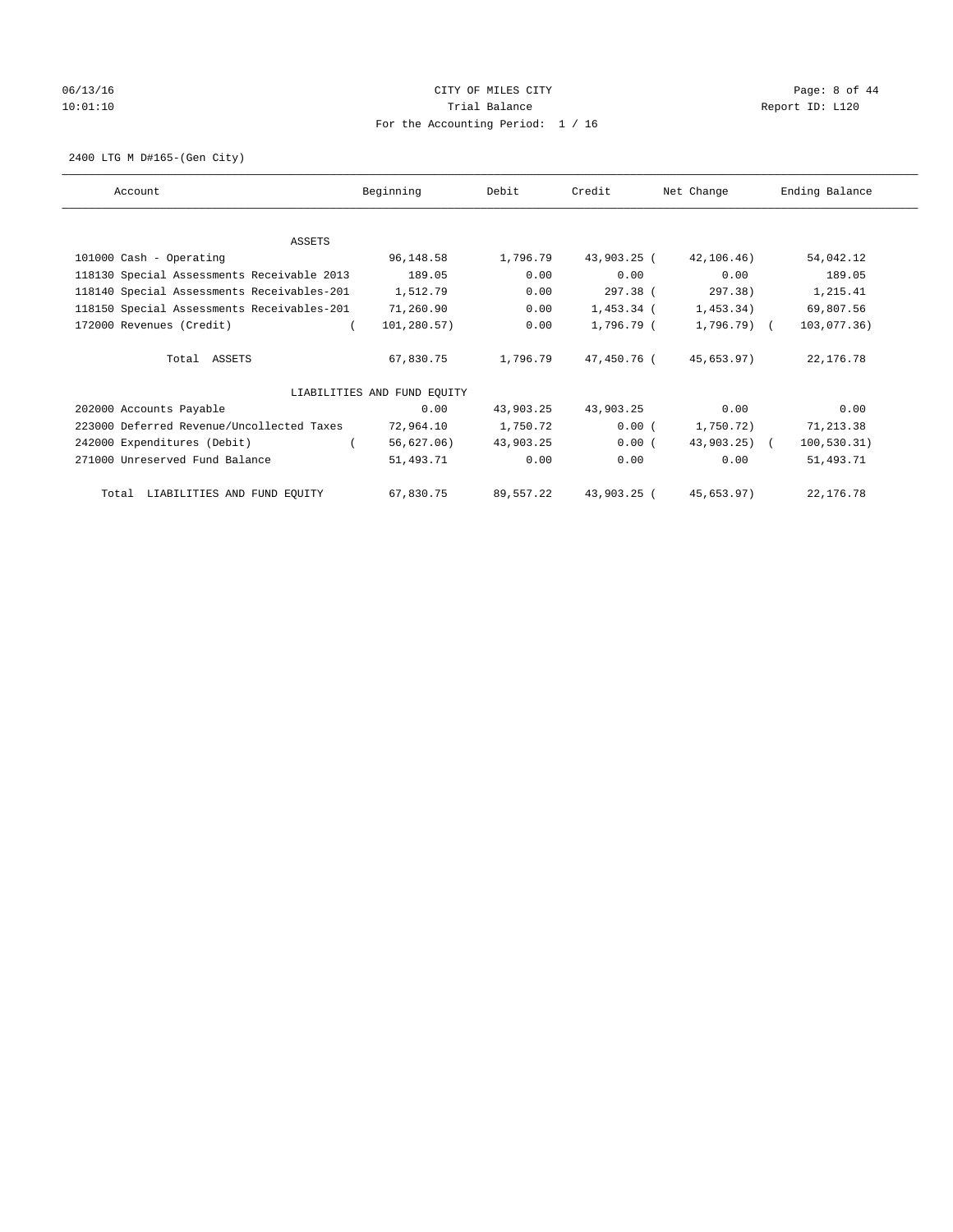# 06/13/16 CITY OF MILES CITY Page: 8 of 44 10:01:10 Trial Balance Report ID: L120 For the Accounting Period: 1 / 16

2400 LTG M D#165-(Gen City)

| Account                                    | Beginning                   | Debit     | Credit      | Net Change    | Ending Balance |
|--------------------------------------------|-----------------------------|-----------|-------------|---------------|----------------|
| ASSETS                                     |                             |           |             |               |                |
| 101000 Cash - Operating                    | 96,148.58                   | 1,796.79  | 43,903.25 ( | 42,106.46)    | 54,042.12      |
| 118130 Special Assessments Receivable 2013 | 189.05                      | 0.00      | 0.00        | 0.00          | 189.05         |
| 118140 Special Assessments Receivables-201 | 1,512.79                    | 0.00      | 297.38 (    | 297.38)       | 1,215.41       |
| 118150 Special Assessments Receivables-201 | 71,260.90                   | 0.00      | 1,453.34 (  | 1,453.34)     | 69,807.56      |
| 172000 Revenues (Credit)                   | 101,280.57)                 | 0.00      | 1,796.79 (  | $1,796.79$ (  | 103,077.36)    |
| Total ASSETS                               | 67,830.75                   | 1,796.79  | 47,450.76 ( | 45,653.97)    | 22,176.78      |
|                                            | LIABILITIES AND FUND EQUITY |           |             |               |                |
| 202000 Accounts Payable                    | 0.00                        | 43,903.25 | 43,903.25   | 0.00          | 0.00           |
| 223000 Deferred Revenue/Uncollected Taxes  | 72,964.10                   | 1,750.72  | 0.00(       | 1,750.72)     | 71,213.38      |
| 242000 Expenditures (Debit)                | 56,627.06)                  | 43,903.25 | 0.00(       | $43,903.25$ ( | 100, 530.31)   |
| 271000 Unreserved Fund Balance             | 51,493.71                   | 0.00      | 0.00        | 0.00          | 51,493.71      |
| LIABILITIES AND FUND EQUITY<br>Total       | 67,830.75                   | 89,557.22 | 43,903.25 ( | 45,653.97)    | 22,176.78      |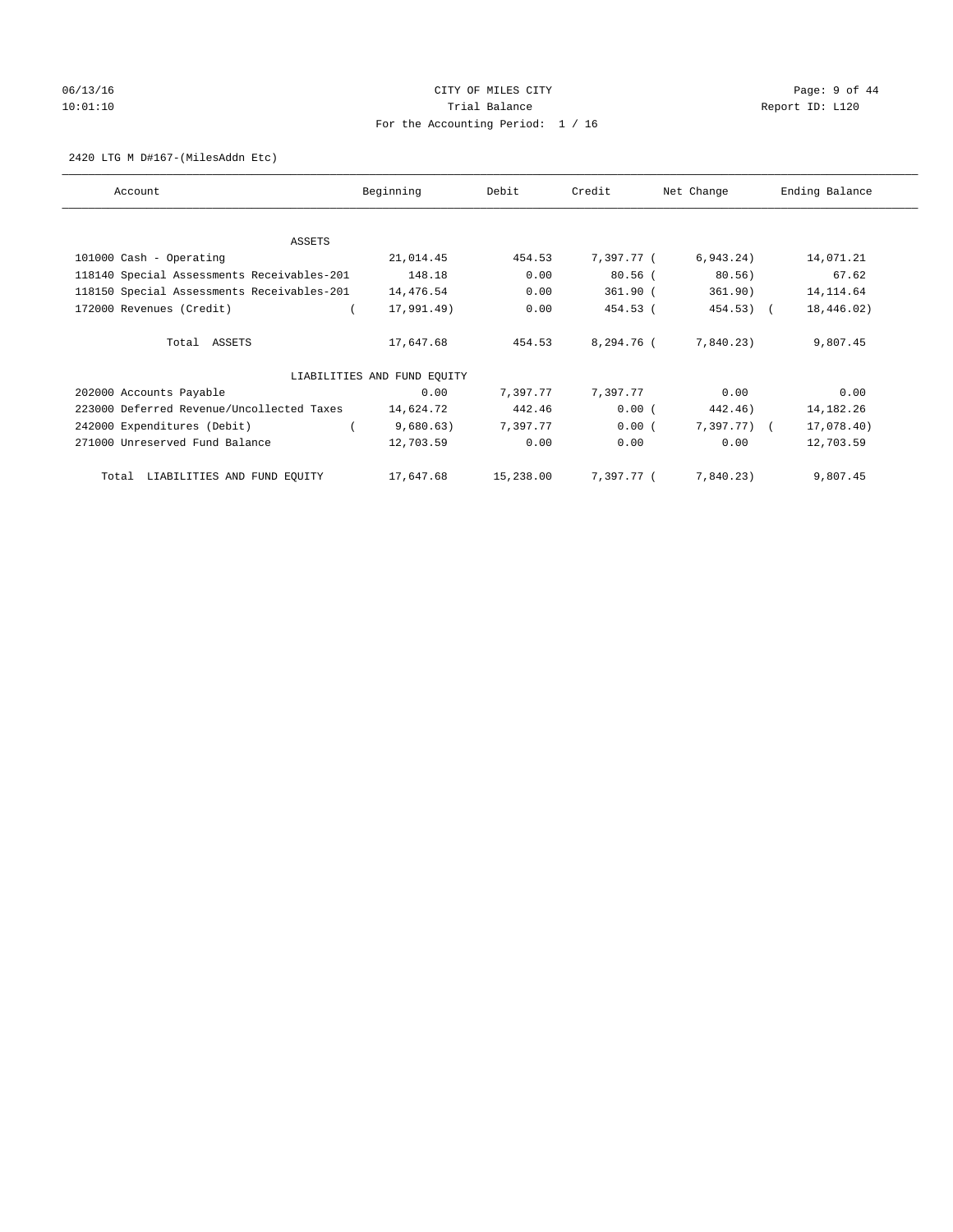# 06/13/16 CITY OF MILES CITY Page: 9 of 44 10:01:10 Trial Balance Report ID: L120 For the Accounting Period: 1 / 16

#### 2420 LTG M D#167-(MilesAddn Etc)

| Account                                    | Beginning                   | Debit     | Credit     | Net Change    | Ending Balance |
|--------------------------------------------|-----------------------------|-----------|------------|---------------|----------------|
| ASSETS                                     |                             |           |            |               |                |
| 101000 Cash - Operating                    | 21,014.45                   | 454.53    | 7,397.77 ( | 6, 943.24)    | 14,071.21      |
| 118140 Special Assessments Receivables-201 | 148.18                      | 0.00      | $80.56$ (  | 80.56)        | 67.62          |
| 118150 Special Assessments Receivables-201 | 14,476.54                   | 0.00      | $361.90$ ( | 361.90)       | 14, 114.64     |
| 172000 Revenues (Credit)                   | 17,991.49)                  | 0.00      | 454.53 (   | 454.53)       | 18,446.02)     |
| Total ASSETS                               | 17,647.68                   | 454.53    | 8,294.76 ( | 7,840.23)     | 9,807.45       |
|                                            | LIABILITIES AND FUND EQUITY |           |            |               |                |
| 202000 Accounts Payable                    | 0.00                        | 7,397.77  | 7,397.77   | 0.00          | 0.00           |
| 223000 Deferred Revenue/Uncollected Taxes  | 14,624.72                   | 442.46    | 0.00(      | 442.46)       | 14, 182. 26    |
| 242000 Expenditures (Debit)                | 9,680.63)                   | 7,397.77  | 0.00(      | $7,397.77)$ ( | 17,078.40)     |
| 271000 Unreserved Fund Balance             | 12,703.59                   | 0.00      | 0.00       | 0.00          | 12,703.59      |
| LIABILITIES AND FUND EQUITY<br>Total       | 17,647.68                   | 15,238.00 | 7,397.77 ( | 7,840.23)     | 9,807.45       |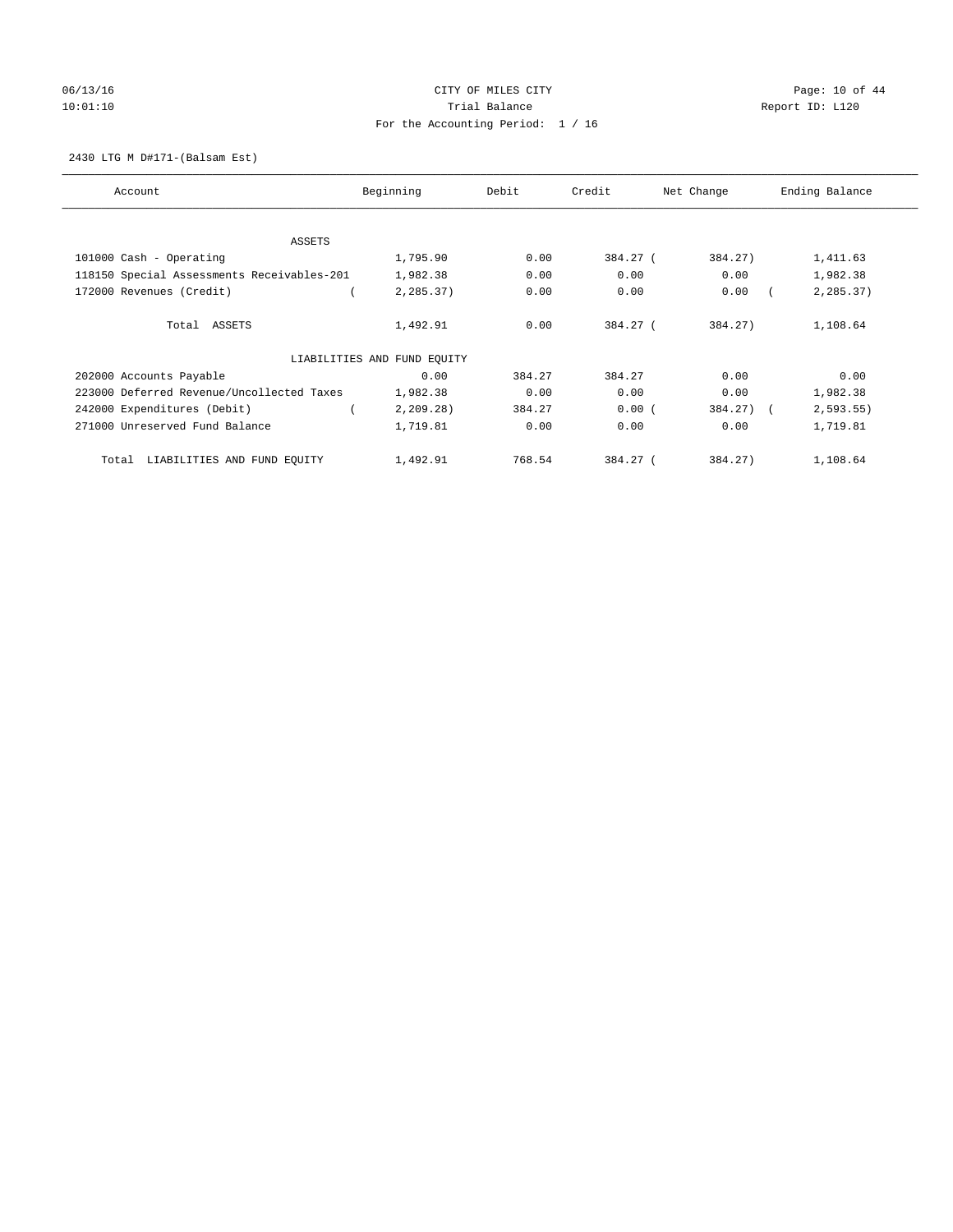# 06/13/16 Page: 10 of 44 10:01:10 **Trial Balance Trial Balance Report ID:** L120 For the Accounting Period: 1 / 16

#### 2430 LTG M D#171-(Balsam Est)

| Account                                    | Beginning                   | Debit  | Credit   | Net Change | Ending Balance |
|--------------------------------------------|-----------------------------|--------|----------|------------|----------------|
| ASSETS                                     |                             |        |          |            |                |
| 101000 Cash - Operating                    | 1,795.90                    | 0.00   | 384.27 ( | 384.27)    | 1,411.63       |
| 118150 Special Assessments Receivables-201 | 1,982.38                    | 0.00   | 0.00     | 0.00       | 1,982.38       |
| 172000 Revenues (Credit)                   | 2,285.37)                   | 0.00   | 0.00     | 0.00       | 2,285.37)      |
| Total ASSETS                               | 1,492.91                    | 0.00   | 384.27 ( | 384.27)    | 1,108.64       |
|                                            | LIABILITIES AND FUND EQUITY |        |          |            |                |
| 202000 Accounts Payable                    | 0.00                        | 384.27 | 384.27   | 0.00       | 0.00           |
| 223000 Deferred Revenue/Uncollected Taxes  | 1,982.38                    | 0.00   | 0.00     | 0.00       | 1,982.38       |
| 242000 Expenditures (Debit)                | 2, 209.28                   | 384.27 | 0.00(    | 384.27) (  | 2, 593.55      |
| 271000 Unreserved Fund Balance             | 1,719.81                    | 0.00   | 0.00     | 0.00       | 1,719.81       |
| LIABILITIES AND FUND EQUITY<br>Total       | 1,492.91                    | 768.54 | 384.27 ( | 384.27)    | 1,108.64       |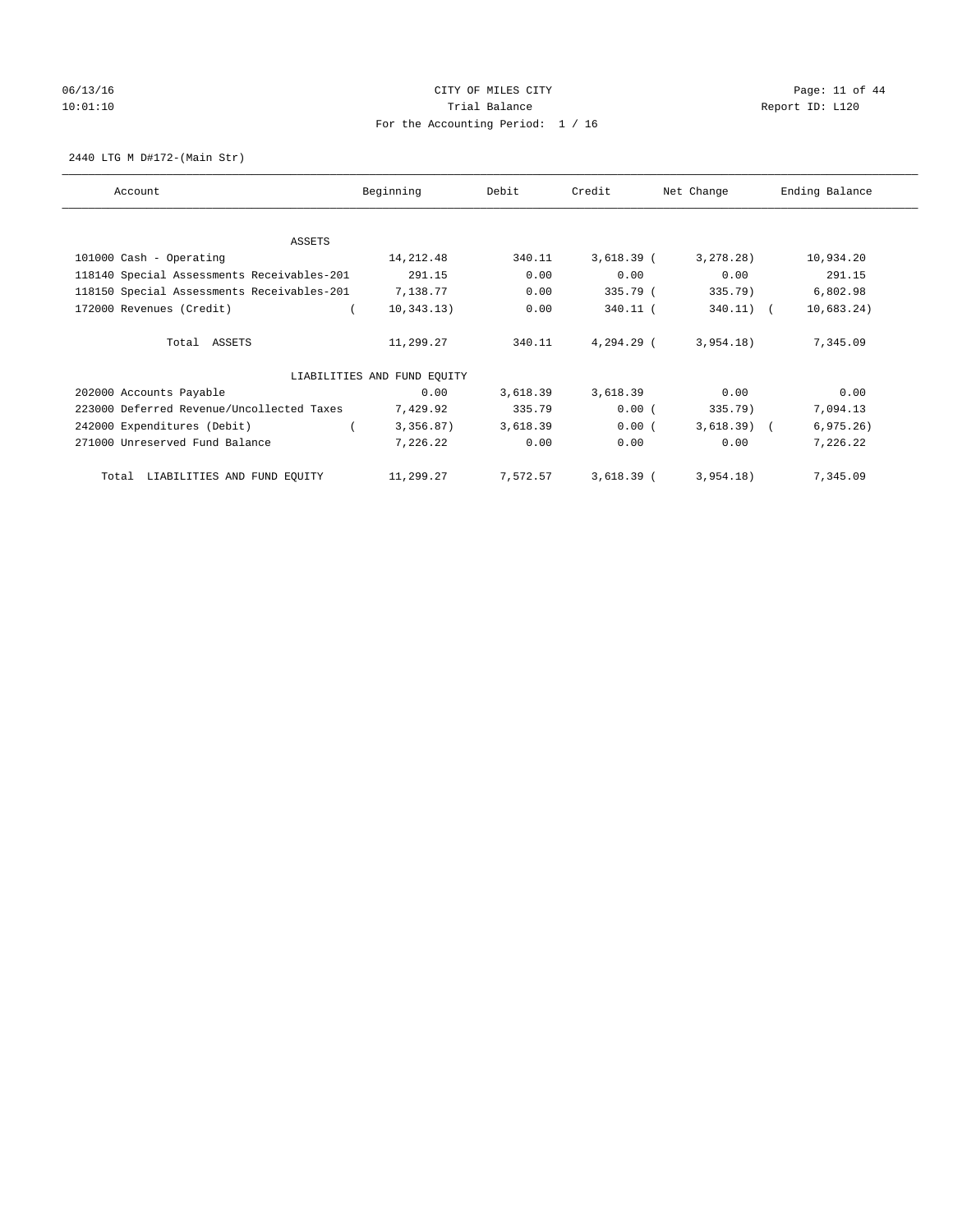# 06/13/16 Page: 11 of 44 10:01:10 **Trial Balance Trial Balance Report ID:** L120 For the Accounting Period: 1 / 16

2440 LTG M D#172-(Main Str)

| Account                                    | Beginning                   | Debit    | Credit       | Net Change   | Ending Balance |
|--------------------------------------------|-----------------------------|----------|--------------|--------------|----------------|
| <b>ASSETS</b>                              |                             |          |              |              |                |
| 101000 Cash - Operating                    | 14, 212.48                  | 340.11   | $3,618.39$ ( | 3, 278.28)   | 10,934.20      |
| 118140 Special Assessments Receivables-201 | 291.15                      | 0.00     | 0.00         | 0.00         | 291.15         |
| 118150 Special Assessments Receivables-201 | 7,138.77                    | 0.00     | 335.79 (     | 335.79)      | 6,802.98       |
| 172000 Revenues (Credit)                   | 10, 343.13)                 | 0.00     | $340.11$ (   | $340.11)$ (  | 10,683.24)     |
|                                            |                             |          |              |              |                |
| Total ASSETS                               | 11,299.27                   | 340.11   | 4,294.29 (   | 3,954.18)    | 7,345.09       |
|                                            | LIABILITIES AND FUND EQUITY |          |              |              |                |
| 202000 Accounts Payable                    | 0.00                        | 3,618.39 | 3,618.39     | 0.00         | 0.00           |
| 223000 Deferred Revenue/Uncollected Taxes  | 7,429.92                    | 335.79   | 0.00(        | 335.79)      | 7,094.13       |
| 242000 Expenditures (Debit)                | 3,356.87)                   | 3,618.39 | 0.00(        | $3,618.39$ ( | 6, 975.26)     |
| 271000 Unreserved Fund Balance             | 7,226.22                    | 0.00     | 0.00         | 0.00         | 7,226.22       |
| LIABILITIES AND FUND EQUITY<br>Total       | 11,299.27                   | 7,572.57 | $3,618.39$ ( | 3,954.18)    | 7,345.09       |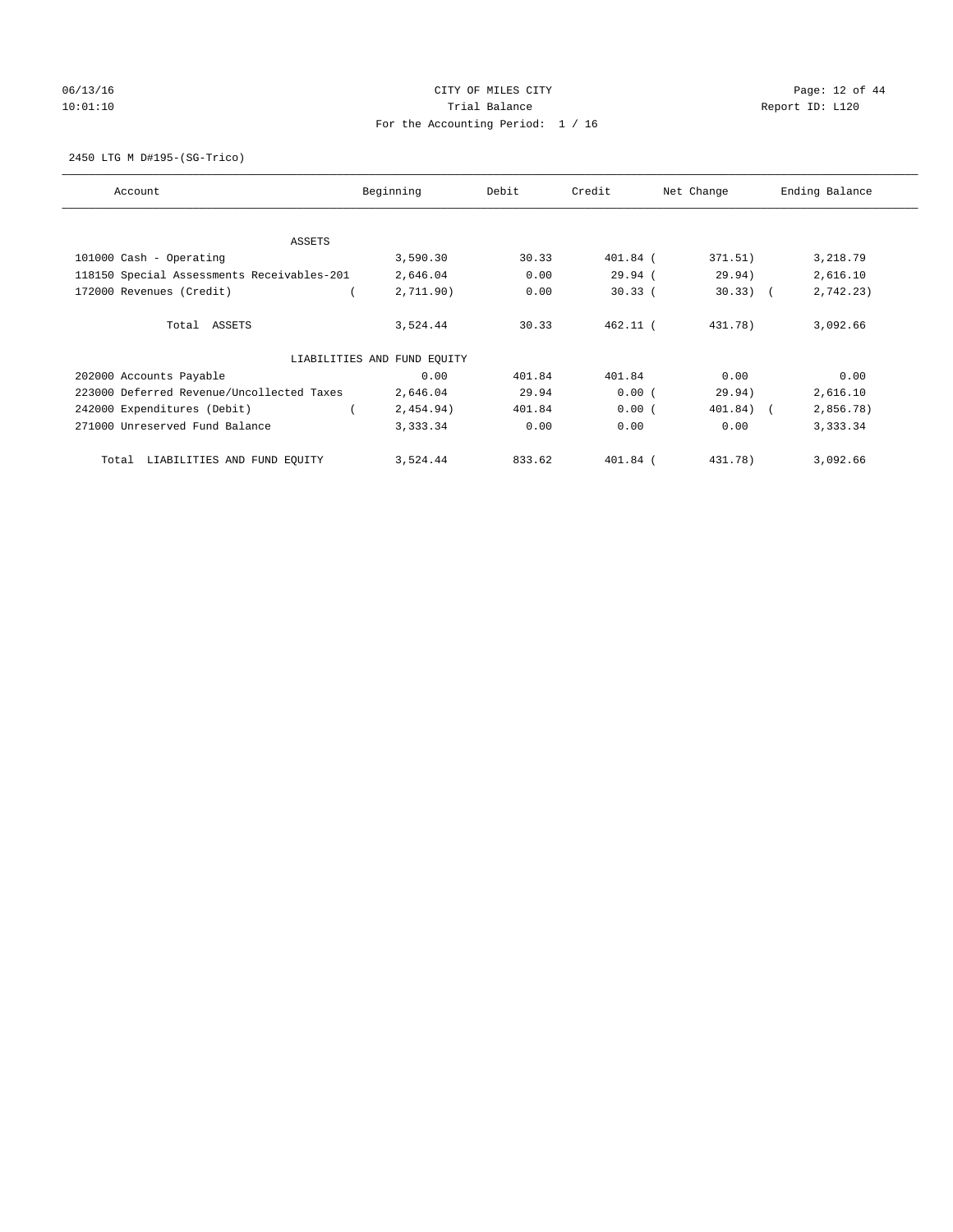# 06/13/16 Page: 12 of 44 10:01:10 **Trial Balance Trial Balance Report ID:** L120 For the Accounting Period: 1 / 16

2450 LTG M D#195-(SG-Trico)

| Account                                    | Beginning                   | Debit  | Credit     | Net Change  | Ending Balance |
|--------------------------------------------|-----------------------------|--------|------------|-------------|----------------|
| ASSETS                                     |                             |        |            |             |                |
| 101000 Cash - Operating                    | 3,590.30                    | 30.33  | 401.84 (   | 371.51)     | 3,218.79       |
| 118150 Special Assessments Receivables-201 | 2,646.04                    | 0.00   | 29.94(     | 29.94)      | 2,616.10       |
| 172000 Revenues (Credit)                   | 2,711.90)                   | 0.00   | 30.33(     | $30.33)$ (  | 2,742.23)      |
| Total ASSETS                               | 3,524.44                    | 30.33  | $462.11$ ( | 431.78)     | 3,092.66       |
|                                            | LIABILITIES AND FUND EQUITY |        |            |             |                |
| 202000 Accounts Payable                    | 0.00                        | 401.84 | 401.84     | 0.00        | 0.00           |
| 223000 Deferred Revenue/Uncollected Taxes  | 2,646.04                    | 29.94  | 0.00(      | 29.94)      | 2,616.10       |
| 242000 Expenditures (Debit)                | 2,454.94)                   | 401.84 | 0.00(      | $401.84)$ ( | 2,856.78)      |
| 271000 Unreserved Fund Balance             | 3,333.34                    | 0.00   | 0.00       | 0.00        | 3,333.34       |
| LIABILITIES AND FUND EQUITY<br>Total       | 3,524.44                    | 833.62 | 401.84 (   | 431.78)     | 3,092.66       |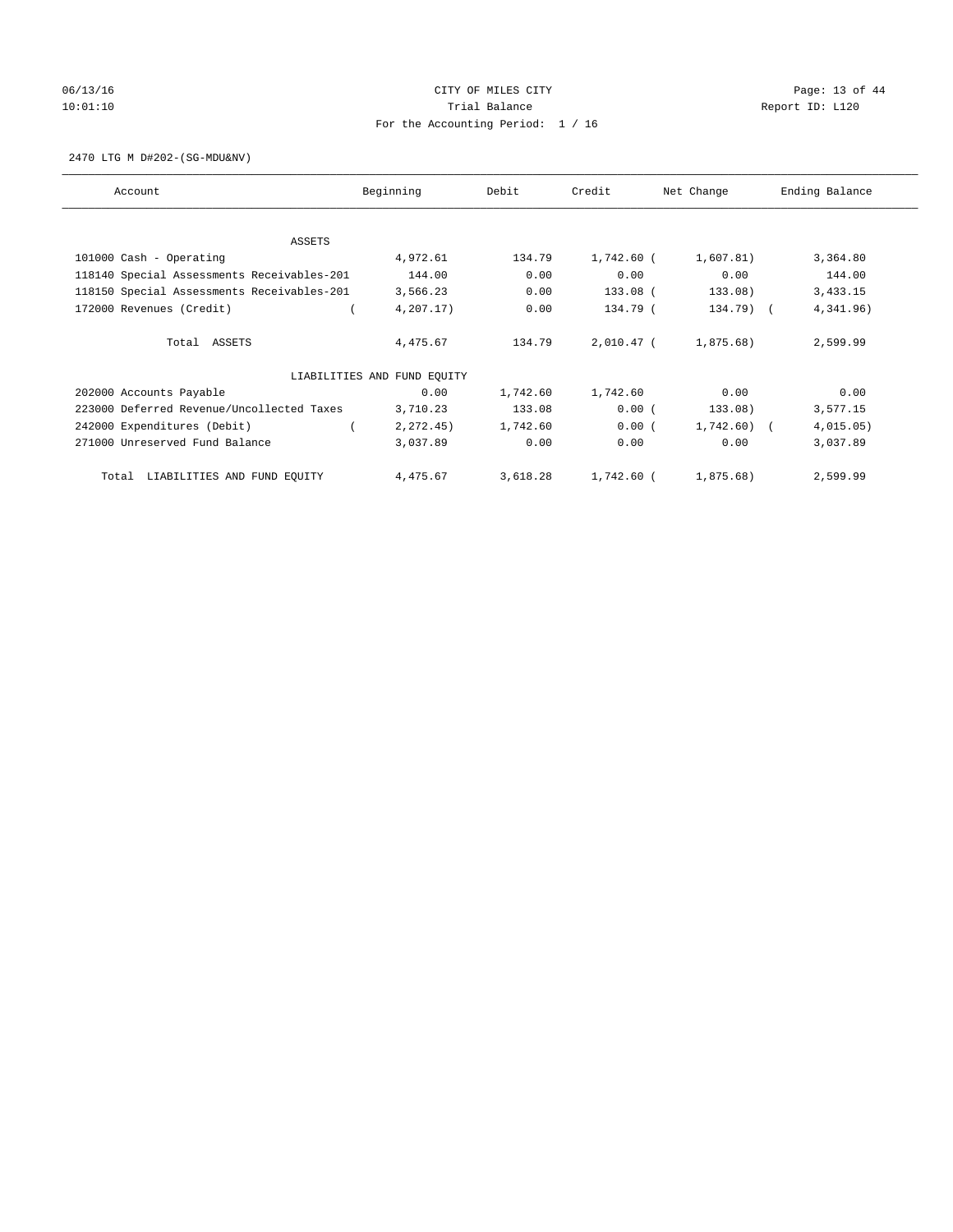# 06/13/16 Page: 13 of 44 10:01:10 **Trial Balance Trial Balance Report ID:** L120 For the Accounting Period: 1 / 16

2470 LTG M D#202-(SG-MDU&NV)

| Account                                    | Beginning                   | Debit    | Credit     | Net Change   | Ending Balance |
|--------------------------------------------|-----------------------------|----------|------------|--------------|----------------|
|                                            |                             |          |            |              |                |
| ASSETS<br>101000 Cash - Operating          | 4,972.61                    | 134.79   | 1,742.60 ( | 1,607.81)    | 3,364.80       |
| 118140 Special Assessments Receivables-201 | 144.00                      | 0.00     | 0.00       | 0.00         | 144.00         |
| 118150 Special Assessments Receivables-201 | 3,566.23                    | 0.00     | 133.08 (   | 133.08)      | 3,433.15       |
| 172000 Revenues (Credit)                   | 4,207.17)                   | 0.00     | 134.79 (   | 134.79) (    | 4,341.96)      |
|                                            |                             |          |            |              |                |
| Total ASSETS                               | 4,475.67                    | 134.79   | 2,010.47 ( | 1,875.68)    | 2,599.99       |
|                                            |                             |          |            |              |                |
|                                            | LIABILITIES AND FUND EQUITY |          |            |              |                |
| 202000 Accounts Payable                    | 0.00                        | 1,742.60 | 1,742.60   | 0.00         | 0.00           |
| 223000 Deferred Revenue/Uncollected Taxes  | 3,710.23                    | 133.08   | 0.00(      | 133.08)      | 3,577.15       |
| 242000 Expenditures (Debit)                | 2, 272.45)                  | 1,742.60 | 0.00(      | $1,742.60$ ( | 4,015.05)      |
| 271000 Unreserved Fund Balance             | 3,037.89                    | 0.00     | 0.00       | 0.00         | 3,037.89       |
|                                            |                             |          |            |              |                |
| LIABILITIES AND FUND EQUITY<br>Total       | 4,475.67                    | 3,618.28 | 1,742.60 ( | 1,875.68)    | 2,599.99       |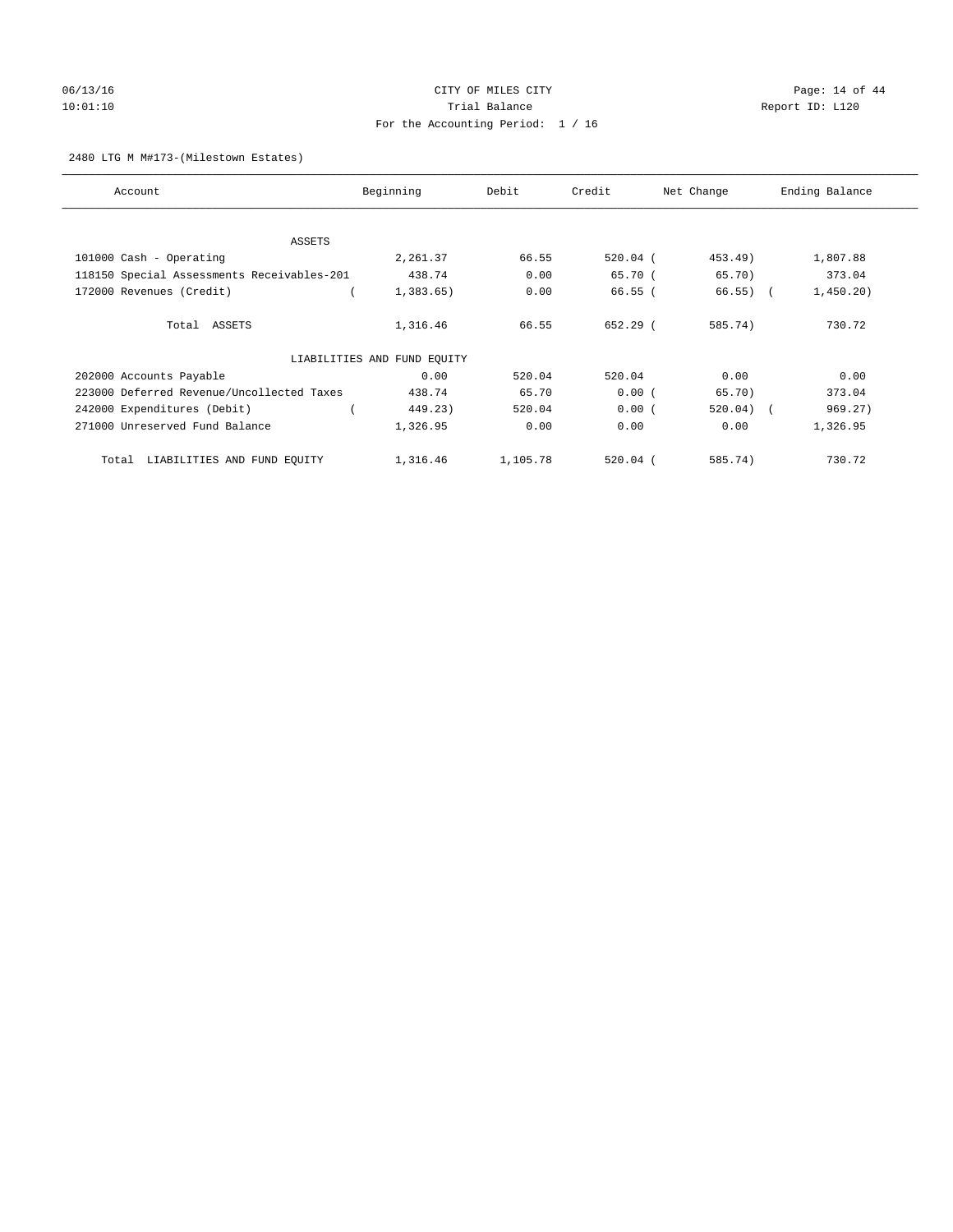# 06/13/16 Page: 14 of 44 10:01:10 **Trial Balance Trial Balance Report ID:** L120 For the Accounting Period: 1 / 16

#### 2480 LTG M M#173-(Milestown Estates)

| Account                                    | Beginning                   | Debit    | Credit     | Net Change  | Ending Balance |
|--------------------------------------------|-----------------------------|----------|------------|-------------|----------------|
| ASSETS                                     |                             |          |            |             |                |
| 101000 Cash - Operating                    | 2,261.37                    | 66.55    | $520.04$ ( | 453.49)     | 1,807.88       |
| 118150 Special Assessments Receivables-201 | 438.74                      | 0.00     | 65.70 (    | 65.70)      | 373.04         |
| 172000 Revenues (Credit)                   | 1,383.65)                   | 0.00     | $66.55$ (  | $66.55)$ (  | 1,450.20)      |
| Total ASSETS                               | 1,316.46                    | 66.55    | $652.29$ ( | 585.74)     | 730.72         |
|                                            | LIABILITIES AND FUND EQUITY |          |            |             |                |
| 202000 Accounts Payable                    | 0.00                        | 520.04   | 520.04     | 0.00        | 0.00           |
| 223000 Deferred Revenue/Uncollected Taxes  | 438.74                      | 65.70    | 0.00(      | 65.70)      | 373.04         |
| 242000 Expenditures (Debit)                | 449.23)                     | 520.04   | 0.00(      | $520.04)$ ( | 969.27)        |
| 271000 Unreserved Fund Balance             | 1,326.95                    | 0.00     | 0.00       | 0.00        | 1,326.95       |
| LIABILITIES AND FUND EQUITY<br>Total       | 1,316.46                    | 1,105.78 | $520.04$ ( | 585.74)     | 730.72         |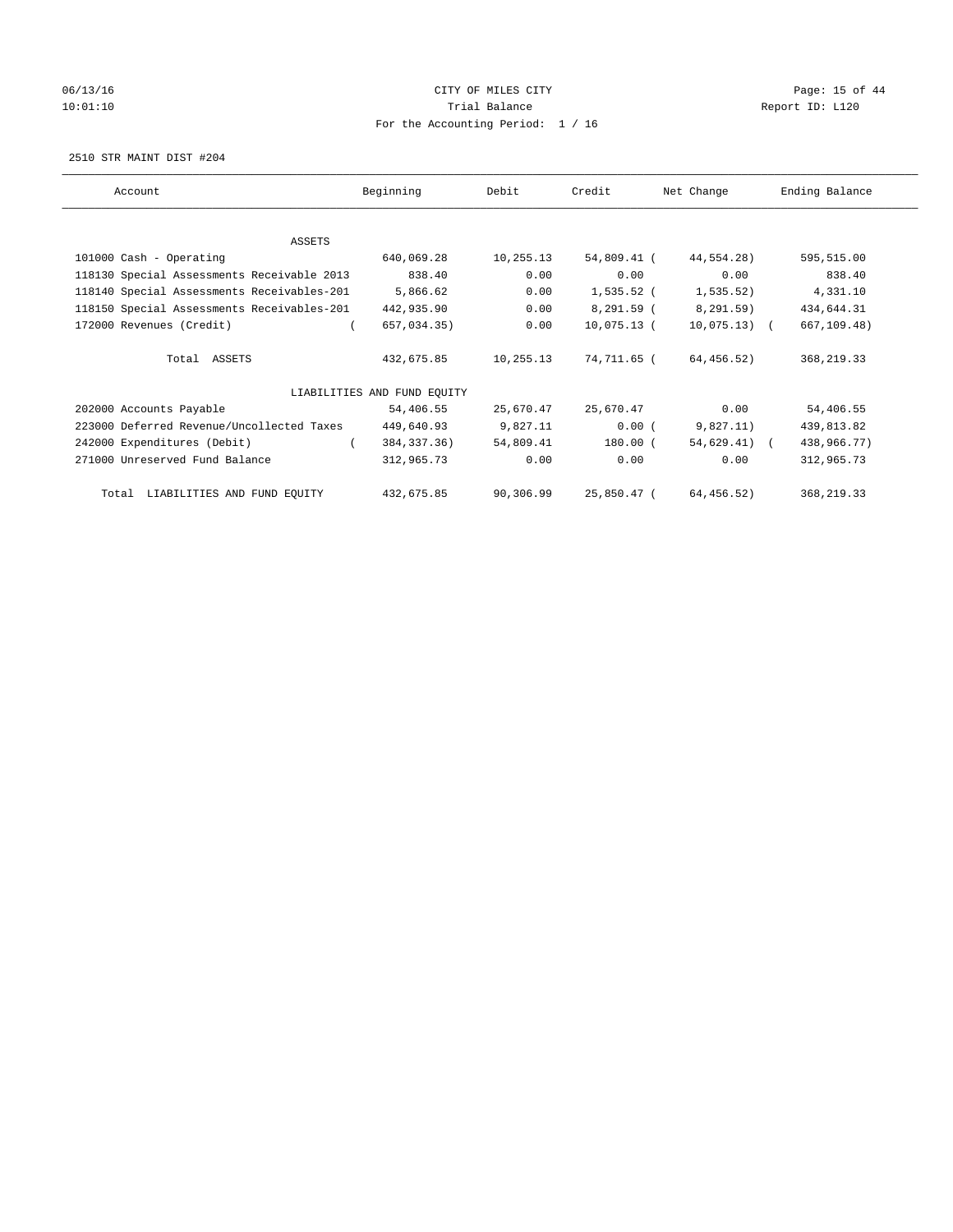# 06/13/16 Page: 15 of 44 10:01:10 **Trial Balance Trial Balance Report ID:** L120 For the Accounting Period: 1 / 16

2510 STR MAINT DIST #204

| Account                                    | Beginning                   | Debit     | Credit      | Net Change      | Ending Balance |
|--------------------------------------------|-----------------------------|-----------|-------------|-----------------|----------------|
|                                            |                             |           |             |                 |                |
| ASSETS                                     |                             |           |             |                 |                |
| 101000 Cash - Operating                    | 640,069.28                  | 10,255.13 | 54,809.41 ( | 44,554.28)      | 595,515.00     |
| 118130 Special Assessments Receivable 2013 | 838.40                      | 0.00      | 0.00        | 0.00            | 838.40         |
| 118140 Special Assessments Receivables-201 | 5,866.62                    | 0.00      | 1,535.52 (  | 1,535.52)       | 4,331.10       |
| 118150 Special Assessments Receivables-201 | 442,935.90                  | 0.00      | 8,291.59 (  | 8,291.59)       | 434,644.31     |
| 172000 Revenues (Credit)                   | 657,034.35)                 | 0.00      | 10,075.13 ( | $10,075.13)$ (  | 667,109.48)    |
| Total ASSETS                               | 432,675.85                  | 10,255.13 | 74,711.65 ( | 64,456.52)      | 368, 219.33    |
|                                            | LIABILITIES AND FUND EOUITY |           |             |                 |                |
| 202000 Accounts Payable                    | 54,406.55                   | 25,670.47 | 25,670.47   | 0.00            | 54,406.55      |
| 223000 Deferred Revenue/Uncollected Taxes  | 449,640.93                  | 9,827.11  | 0.00(       | 9,827.11)       | 439,813.82     |
| 242000 Expenditures (Debit)                | 384,337.36)                 | 54,809.41 | 180.00 (    | $54,629.41$ ) ( | 438,966.77)    |
| 271000 Unreserved Fund Balance             | 312,965.73                  | 0.00      | 0.00        | 0.00            | 312,965.73     |
| LIABILITIES AND FUND EQUITY<br>Total       | 432,675.85                  | 90,306.99 | 25,850.47 ( | 64,456.52)      | 368, 219.33    |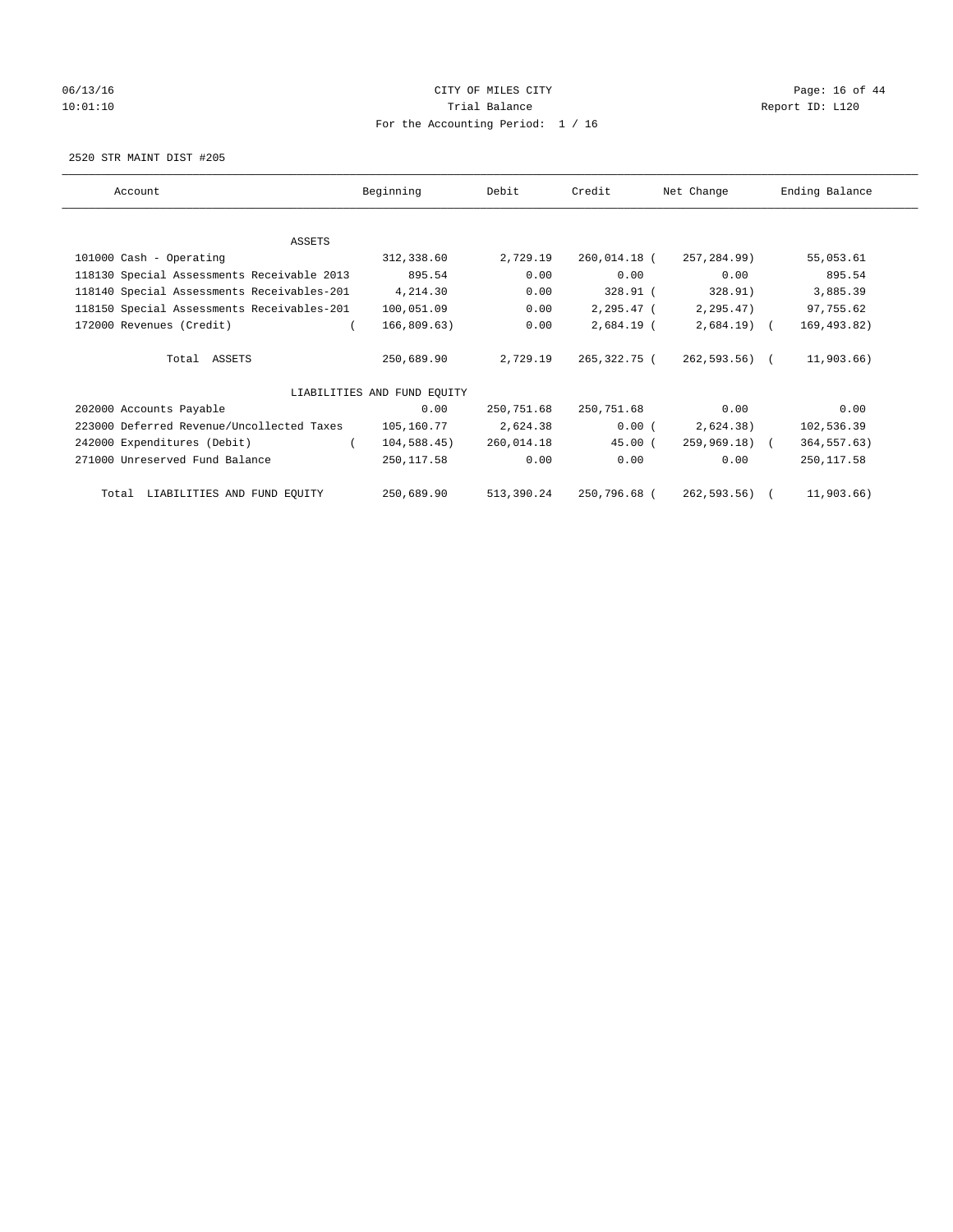# 06/13/16 Page: 16 of 44 10:01:10 **Trial Balance Trial Balance Report ID:** L120 For the Accounting Period: 1 / 16

2520 STR MAINT DIST #205

| Account                                    | Beginning                   | Debit      | Credit                  | Net Change    | Ending Balance |
|--------------------------------------------|-----------------------------|------------|-------------------------|---------------|----------------|
|                                            |                             |            |                         |               |                |
| ASSETS                                     |                             |            |                         |               |                |
| 101000 Cash - Operating                    | 312,338.60                  | 2,729.19   | 260,014.18 (            | 257,284.99)   | 55,053.61      |
| 118130 Special Assessments Receivable 2013 | 895.54                      | 0.00       | 0.00                    | 0.00          | 895.54         |
| 118140 Special Assessments Receivables-201 | 4,214.30                    | 0.00       | 328.91 (                | 328.91)       | 3,885.39       |
| 118150 Special Assessments Receivables-201 | 100,051.09                  | 0.00       | 2,295.47 (              | 2,295.47)     | 97,755.62      |
| 172000 Revenues (Credit)                   | 166,809.63)                 | 0.00       | $2,684.19$ (            | $2,684.19$ (  | 169, 493.82)   |
| Total ASSETS                               | 250,689.90                  | 2,729.19   | 265,322.75 (            | 262,593.56) ( | 11,903.66)     |
|                                            | LIABILITIES AND FUND EQUITY |            |                         |               |                |
| 202000 Accounts Payable                    | 0.00                        | 250,751.68 | 250,751.68              | 0.00          | 0.00           |
| 223000 Deferred Revenue/Uncollected Taxes  | 105,160.77                  | 2,624.38   | 0.00(                   | 2,624.38)     | 102,536.39     |
| 242000 Expenditures (Debit)                | $104,588.45$ )              | 260,014.18 | 45.00(                  | 259,969.18) ( | 364, 557.63)   |
| 271000 Unreserved Fund Balance             | 250,117.58                  | 0.00       | 0.00                    | 0.00          | 250, 117.58    |
| Total LIABILITIES AND FUND EQUITY          | 250,689.90                  |            | 513,390.24 250,796.68 ( | 262,593.56) ( | 11,903.66)     |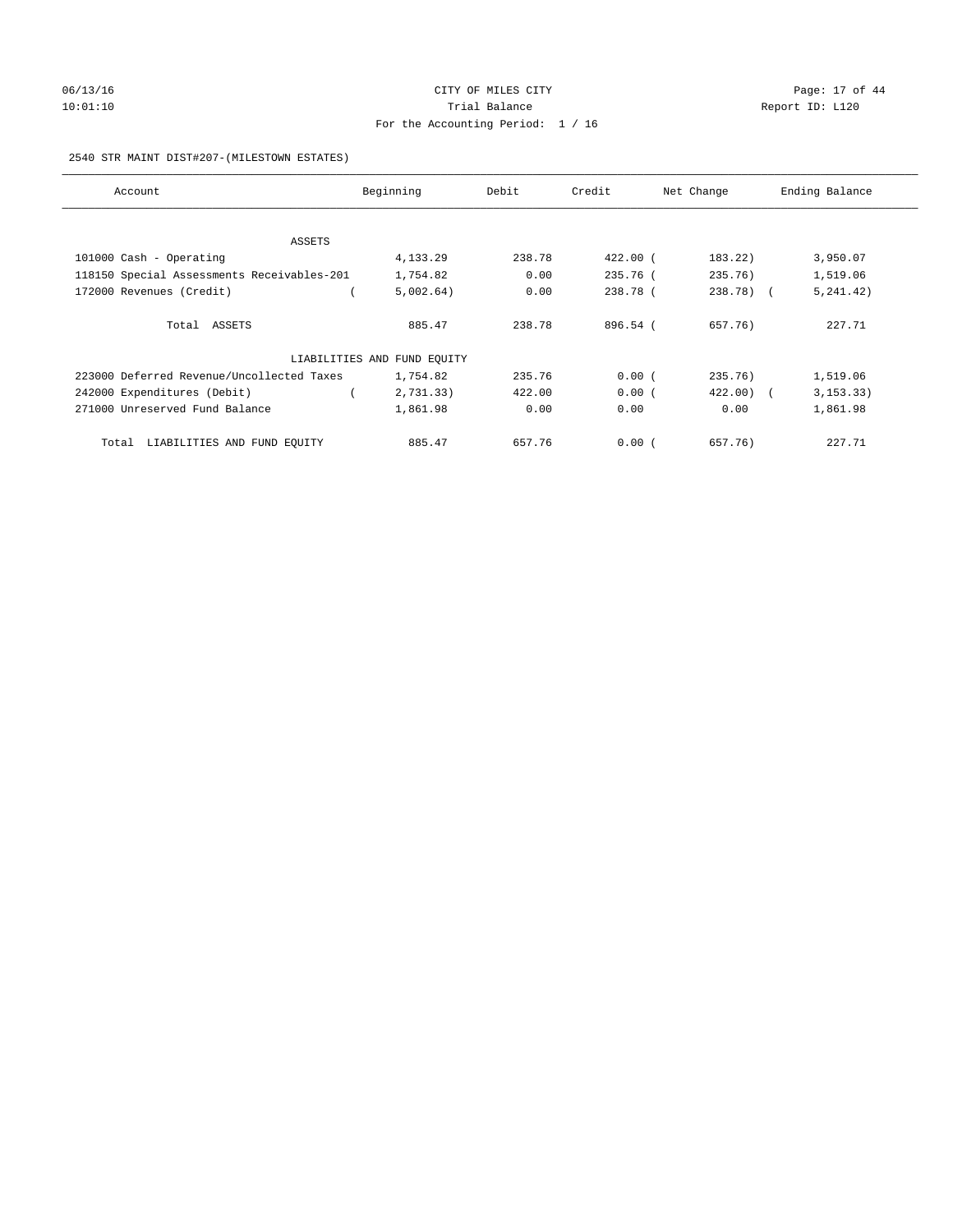# 06/13/16 Page: 17 of 44 10:01:10 **Trial Balance Trial Balance Report ID:** L120 For the Accounting Period: 1 / 16

#### 2540 STR MAINT DIST#207-(MILESTOWN ESTATES)

| Account                                    | Beginning                   | Debit  | Credit   | Net Change   | Ending Balance |
|--------------------------------------------|-----------------------------|--------|----------|--------------|----------------|
|                                            |                             |        |          |              |                |
| ASSETS                                     |                             |        |          |              |                |
| 101000 Cash - Operating                    | 4,133.29                    | 238.78 | 422.00 ( | 183.22)      | 3,950.07       |
| 118150 Special Assessments Receivables-201 | 1,754.82                    | 0.00   | 235.76 ( | 235.76)      | 1,519.06       |
| 172000 Revenues (Credit)                   | 5,002.64)                   | 0.00   | 238.78 ( | 238.78) (    | 5, 241.42)     |
| Total ASSETS                               | 885.47                      | 238.78 | 896.54 ( | 657.76)      | 227.71         |
|                                            | LIABILITIES AND FUND EQUITY |        |          |              |                |
| 223000 Deferred Revenue/Uncollected Taxes  | 1,754.82                    | 235.76 | 0.00(    | 235.76)      | 1,519.06       |
| 242000 Expenditures (Debit)                | 2,731.33)                   | 422.00 | 0.00(    | $422.00$ ) ( | 3, 153.33)     |
| 271000 Unreserved Fund Balance             | 1,861.98                    | 0.00   | 0.00     | 0.00         | 1,861.98       |
| Total LIABILITIES AND FUND EQUITY          | 885.47                      | 657.76 | 0.00(    | 657.76)      | 227.71         |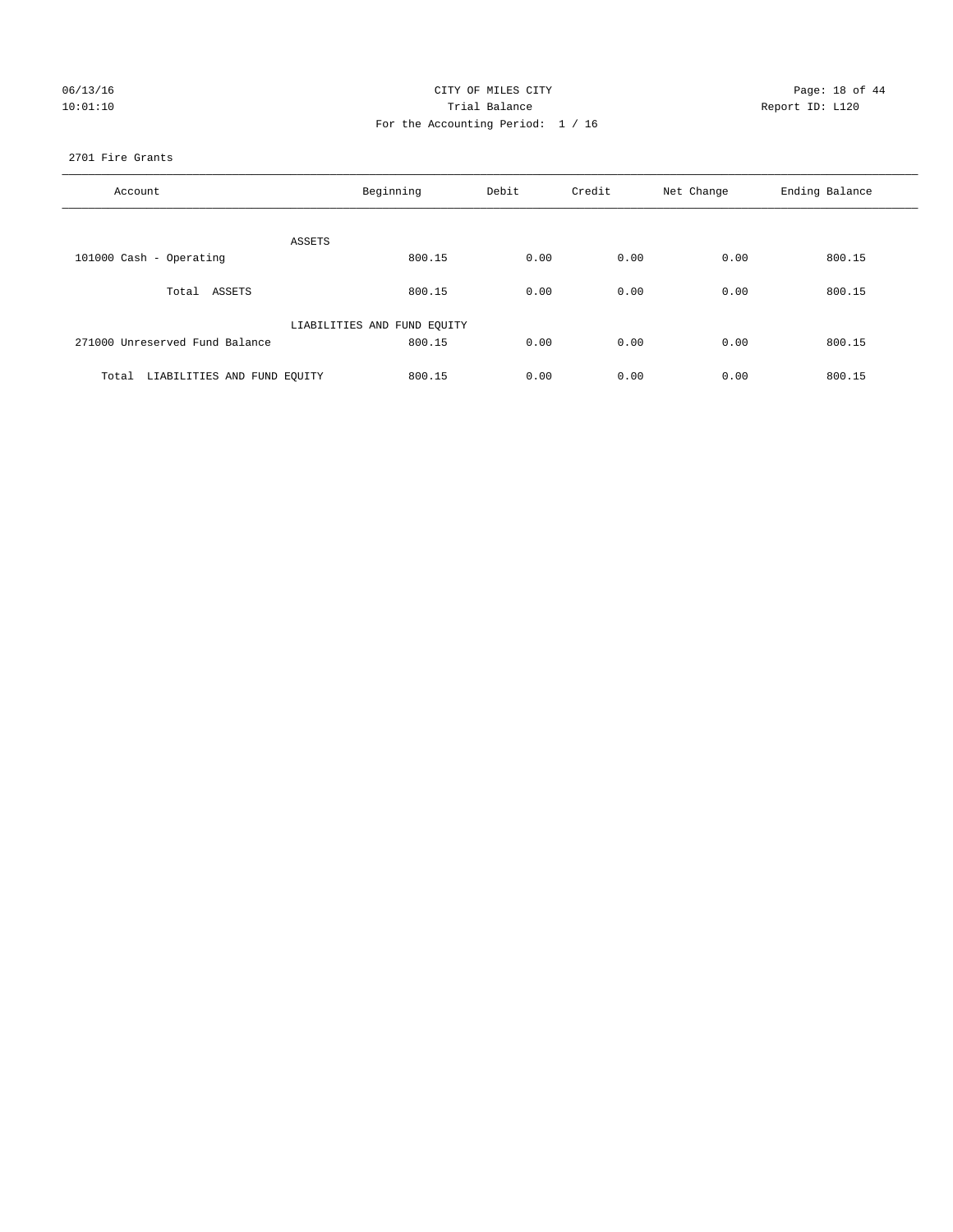| 06/13/16 |  |
|----------|--|
| 10:01:10 |  |

## CITY OF MILES CITY CONTROL CONTROL CITY CONTROL PAGE: 18 of 44 Prial Balance **Report ID:** L120 For the Accounting Period: 1 / 16

#### 2701 Fire Grants

| Account                           | Beginning                   | Debit | Credit | Net Change | Ending Balance |
|-----------------------------------|-----------------------------|-------|--------|------------|----------------|
| ASSETS                            |                             |       |        |            |                |
| 101000 Cash - Operating           | 800.15                      | 0.00  | 0.00   | 0.00       | 800.15         |
| Total ASSETS                      | 800.15                      | 0.00  | 0.00   | 0.00       | 800.15         |
|                                   | LIABILITIES AND FUND EQUITY |       |        |            |                |
| 271000 Unreserved Fund Balance    | 800.15                      | 0.00  | 0.00   | 0.00       | 800.15         |
| Total LIABILITIES AND FUND EQUITY | 800.15                      | 0.00  | 0.00   | 0.00       | 800.15         |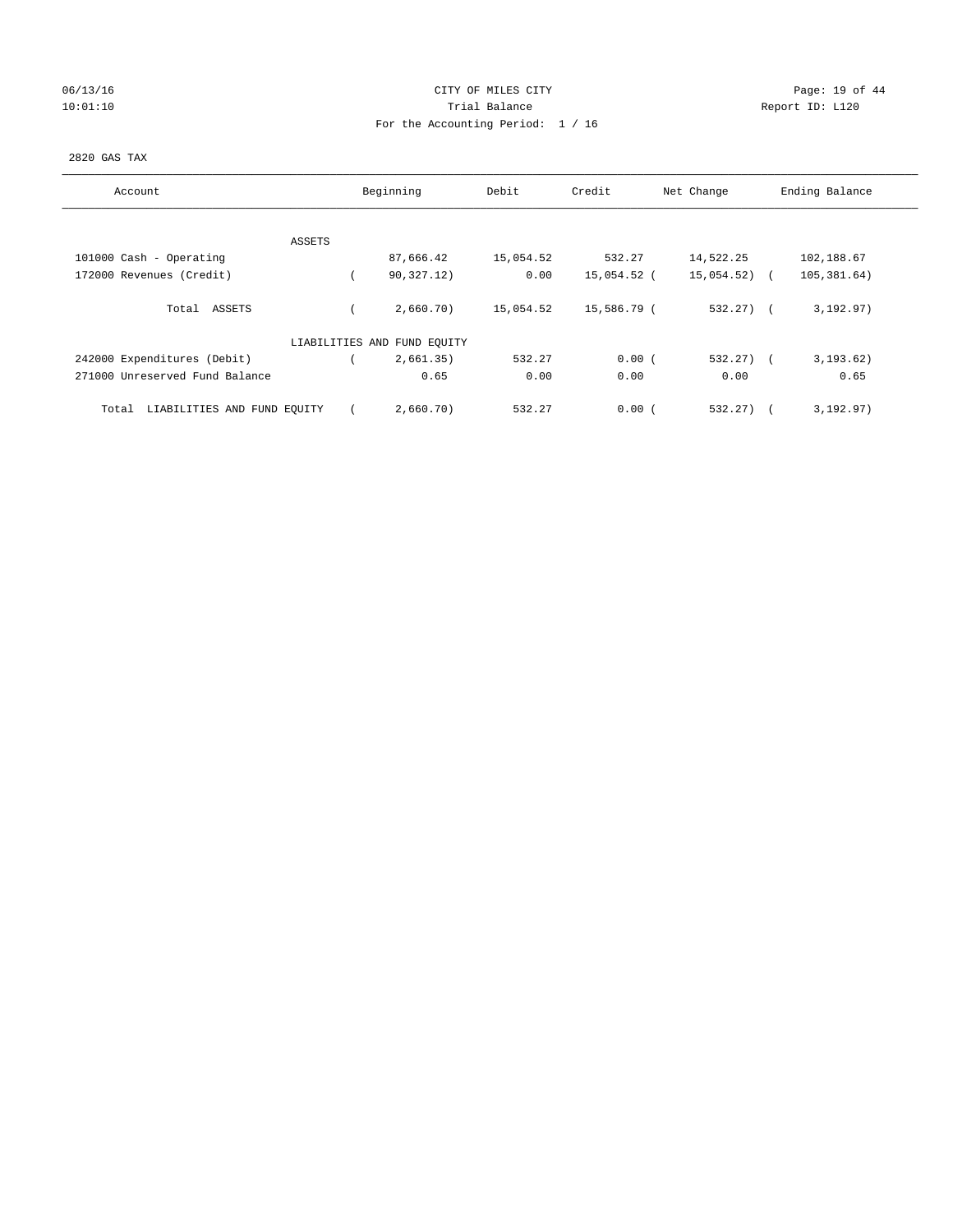# 06/13/16 Page: 19 of 44 10:01:10 Trial Balance Report ID: L120 For the Accounting Period: 1 / 16

#### 2820 GAS TAX

| Account                              | Beginning                   | Debit     | Credit      | Net Change | Ending Balance |
|--------------------------------------|-----------------------------|-----------|-------------|------------|----------------|
|                                      |                             |           |             |            |                |
|                                      |                             |           |             |            |                |
| ASSETS                               |                             |           |             |            |                |
| 101000 Cash - Operating              | 87,666.42                   | 15,054.52 | 532.27      | 14,522.25  | 102,188.67     |
| 172000 Revenues (Credit)             | 90,327.12)                  | 0.00      | 15,054.52 ( | 15,054.52) | 105,381.64)    |
| Total ASSETS                         | 2,660.70)                   | 15,054.52 | 15,586.79 ( | $532.27$ ( | 3, 192.97)     |
|                                      | LIABILITIES AND FUND EQUITY |           |             |            |                |
| 242000 Expenditures (Debit)          | 2,661.35)                   | 532.27    | 0.00(       | 532.27)    | 3, 193.62)     |
| 271000 Unreserved Fund Balance       | 0.65                        | 0.00      | 0.00        | 0.00       | 0.65           |
| LIABILITIES AND FUND EQUITY<br>Total | 2,660.70)                   | 532.27    | 0.00(       | 532.27)    | 3, 192.97)     |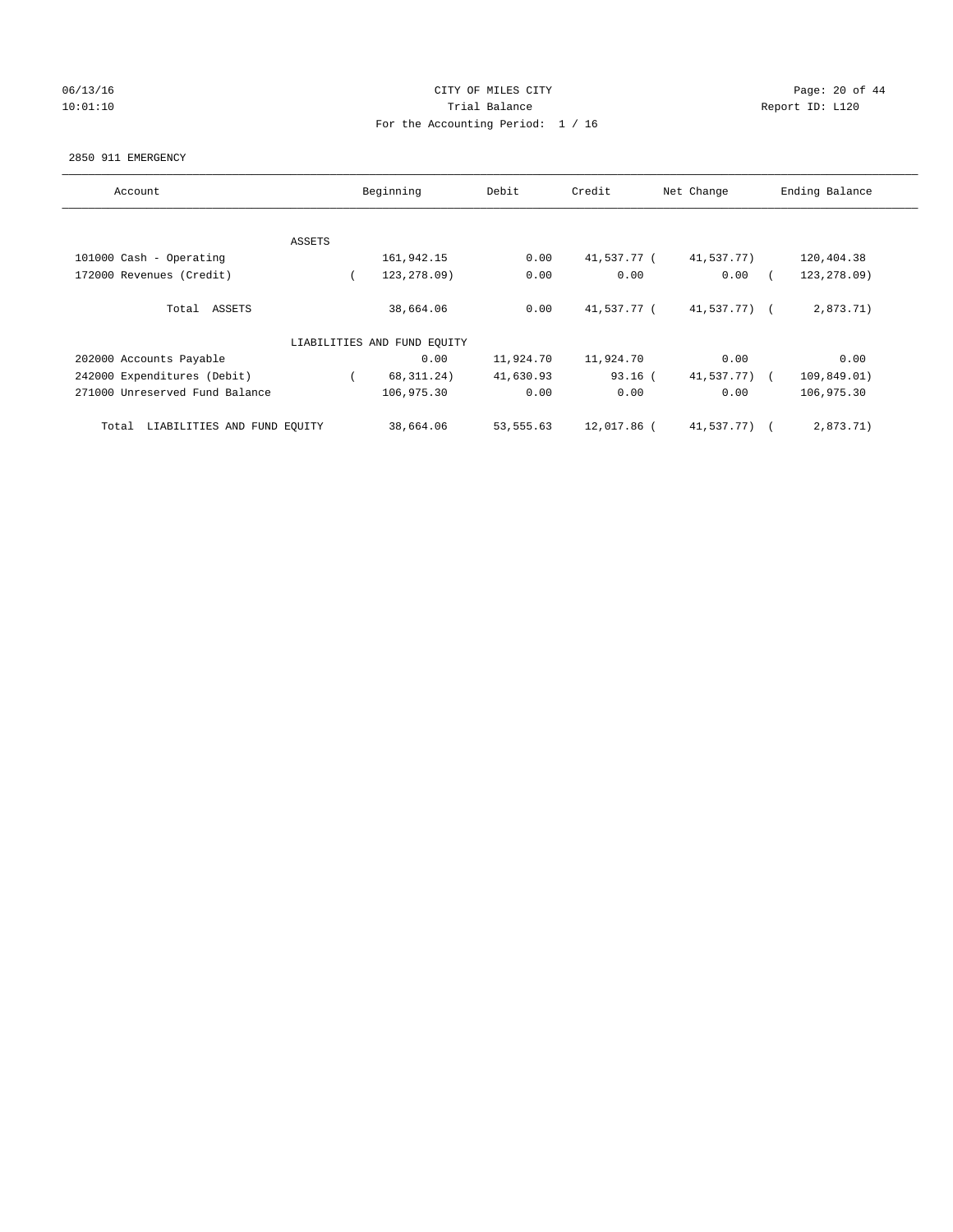## 06/13/16 Page: 20 of 44 10:01:10 Trial Balance Report ID: L120 For the Accounting Period: 1 / 16

#### 2850 911 EMERGENCY

| Account                              | Beginning |                             | Debit     | Credit<br>Net Change |              | Ending Balance                          |
|--------------------------------------|-----------|-----------------------------|-----------|----------------------|--------------|-----------------------------------------|
|                                      |           |                             |           |                      |              |                                         |
|                                      |           |                             |           |                      |              |                                         |
|                                      | ASSETS    |                             |           |                      |              |                                         |
| 101000 Cash - Operating              |           | 161,942.15                  | 0.00      | 41,537.77 (          | 41,537.77)   | 120,404.38                              |
| 172000 Revenues (Credit)             |           | 123, 278.09)                | 0.00      | 0.00                 | 0.00         | 123, 278.09)                            |
|                                      |           |                             |           |                      |              |                                         |
| ASSETS<br>Total                      |           | 38,664.06                   | 0.00      | 41,537.77 (          | 41,537.77) ( | 2,873.71)                               |
|                                      |           |                             |           |                      |              |                                         |
|                                      |           | LIABILITIES AND FUND EQUITY |           |                      |              |                                         |
| 202000 Accounts Payable              |           | 0.00                        | 11,924.70 | 11,924.70            | 0.00         | 0.00                                    |
| 242000 Expenditures (Debit)          |           | 68, 311. 24)                | 41,630.93 | $93.16$ (            | 41,537.77)   | 109,849.01)<br>$\overline{\phantom{a}}$ |
| 271000 Unreserved Fund Balance       |           | 106,975.30                  | 0.00      | 0.00                 | 0.00         | 106,975.30                              |
|                                      |           |                             |           |                      |              |                                         |
|                                      |           |                             |           |                      |              |                                         |
| LIABILITIES AND FUND EQUITY<br>Total |           | 38,664.06                   | 53,555.63 | 12,017.86 (          | 41,537.77) ( | 2,873.71)                               |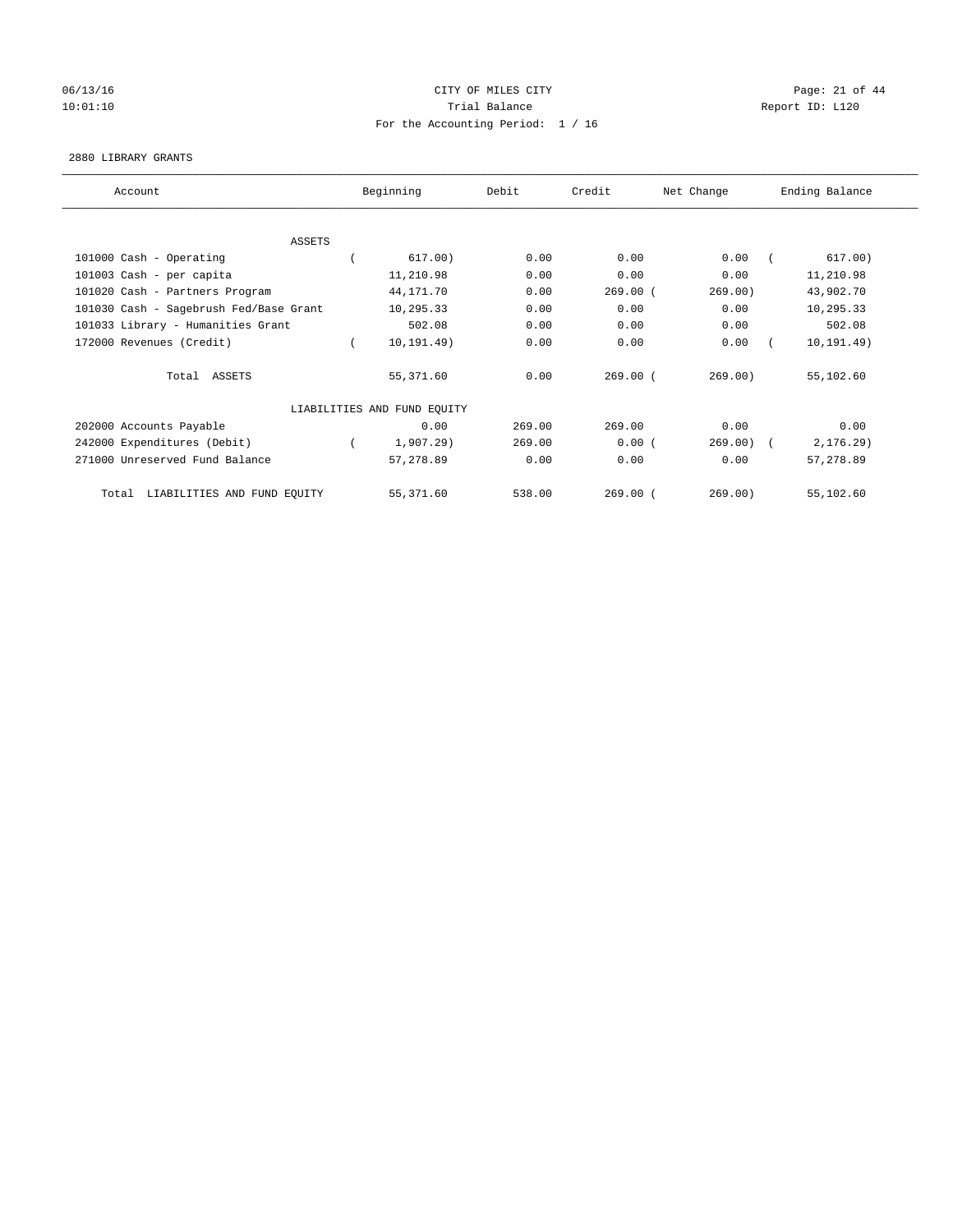## 06/13/16 Page: 21 of 44 10:01:10 Trial Balance Report ID: L120 For the Accounting Period: 1 / 16

#### 2880 LIBRARY GRANTS

| Account                                | Beginning                   | Debit  | Credit     | Net Change | Ending Balance |
|----------------------------------------|-----------------------------|--------|------------|------------|----------------|
|                                        |                             |        |            |            |                |
| ASSETS                                 |                             |        |            |            |                |
| 101000 Cash - Operating                | 617.00)                     | 0.00   | 0.00       | 0.00       | 617.00)        |
| 101003 Cash - per capita               | 11,210.98                   | 0.00   | 0.00       | 0.00       | 11,210.98      |
| 101020 Cash - Partners Program         | 44,171.70                   | 0.00   | $269.00$ ( | 269.00)    | 43,902.70      |
| 101030 Cash - Sagebrush Fed/Base Grant | 10,295.33                   | 0.00   | 0.00       | 0.00       | 10,295.33      |
| 101033 Library - Humanities Grant      | 502.08                      | 0.00   | 0.00       | 0.00       | 502.08         |
| 172000 Revenues (Credit)               | 10, 191.49)                 | 0.00   | 0.00       | 0.00       | 10, 191.49)    |
| Total ASSETS                           | 55,371.60                   | 0.00   | 269.00(    | 269.00)    | 55,102.60      |
|                                        | LIABILITIES AND FUND EQUITY |        |            |            |                |
| 202000 Accounts Payable                | 0.00                        | 269.00 | 269.00     | 0.00       | 0.00           |
| 242000 Expenditures (Debit)            | 1,907.29                    | 269.00 | 0.00(      | 269.00)    | 2, 176.29      |
| 271000 Unreserved Fund Balance         | 57,278.89                   | 0.00   | 0.00       | 0.00       | 57,278.89      |
| LIABILITIES AND FUND EQUITY<br>Total   | 55,371.60                   | 538.00 | $269.00$ ( | 269.00)    | 55,102.60      |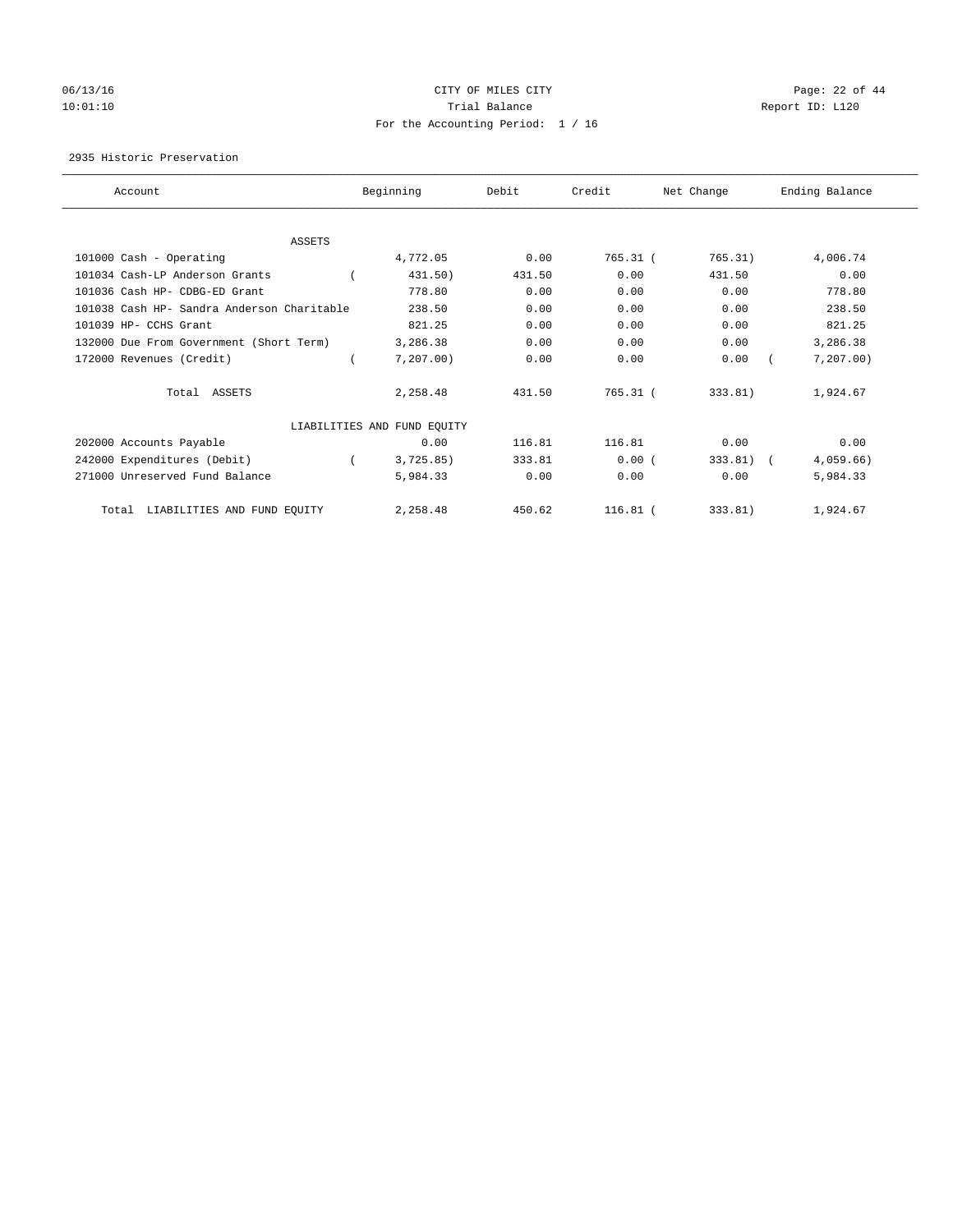# 06/13/16 Page: 22 of 44 10:01:10 **Trial Balance Trial Balance Report ID:** L120 For the Accounting Period: 1 / 16

2935 Historic Preservation

| Account                                    | Beginning                   | Debit  | Credit     | Net Change | Ending Balance |
|--------------------------------------------|-----------------------------|--------|------------|------------|----------------|
|                                            |                             |        |            |            |                |
| <b>ASSETS</b>                              |                             |        |            |            |                |
| 101000 Cash - Operating                    | 4,772.05                    | 0.00   | $765.31$ ( | 765.31)    | 4,006.74       |
| 101034 Cash-LP Anderson Grants             | 431.50)                     | 431.50 | 0.00       | 431.50     | 0.00           |
| 101036 Cash HP- CDBG-ED Grant              | 778.80                      | 0.00   | 0.00       | 0.00       | 778.80         |
| 101038 Cash HP- Sandra Anderson Charitable | 238.50                      | 0.00   | 0.00       | 0.00       | 238.50         |
| 101039 HP- CCHS Grant                      | 821.25                      | 0.00   | 0.00       | 0.00       | 821.25         |
| 132000 Due From Government (Short Term)    | 3,286.38                    | 0.00   | 0.00       | 0.00       | 3,286.38       |
| 172000 Revenues (Credit)                   | 7,207.00                    | 0.00   | 0.00       | 0.00       | 7, 207, 00)    |
| Total ASSETS                               | 2,258.48                    | 431.50 | 765.31(    | 333.81)    | 1,924.67       |
|                                            | LIABILITIES AND FUND EQUITY |        |            |            |                |
| 202000 Accounts Payable                    | 0.00                        | 116.81 | 116.81     | 0.00       | 0.00           |
| 242000 Expenditures (Debit)                | 3,725.85)                   | 333.81 | 0.00(      | 333.81)    | $4,059.66$ )   |
| 271000 Unreserved Fund Balance             | 5,984.33                    | 0.00   | 0.00       | 0.00       | 5,984.33       |
| Total LIABILITIES AND FUND EQUITY          | 2,258.48                    | 450.62 | $116.81$ ( | 333.81)    | 1,924.67       |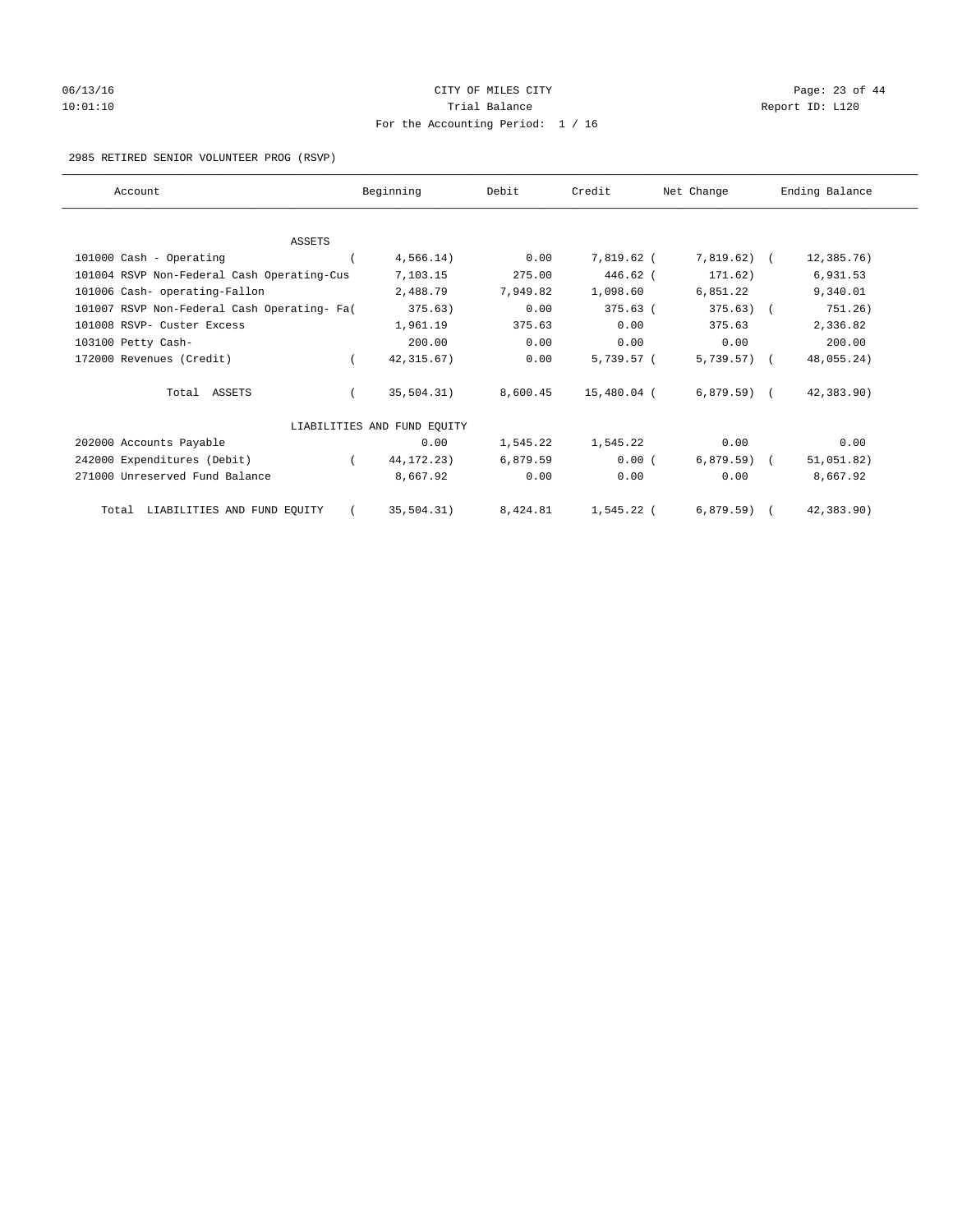# 06/13/16 Page: 23 of 44 10:01:10 Trial Balance Report ID: L120 For the Accounting Period: 1 / 16

2985 RETIRED SENIOR VOLUNTEER PROG (RSVP)

| Account                                     |          | Beginning                   | Debit    | Credit      | Net Change     | Ending Balance |
|---------------------------------------------|----------|-----------------------------|----------|-------------|----------------|----------------|
|                                             |          |                             |          |             |                |                |
| <b>ASSETS</b>                               |          |                             |          |             |                |                |
| 101000 Cash - Operating                     |          | 4,566.14)                   | 0.00     | 7,819.62 (  | $7,819.62$ (   | 12,385.76)     |
| 101004 RSVP Non-Federal Cash Operating-Cus  |          | 7,103.15                    | 275.00   | 446.62 (    | 171.62)        | 6,931.53       |
| 101006 Cash- operating-Fallon               |          | 2,488.79                    | 7.949.82 | 1,098.60    | 6,851.22       | 9,340.01       |
| 101007 RSVP Non-Federal Cash Operating- Fa( |          | 375.63)                     | 0.00     | $375.63$ (  | $375.63$ ) (   | 751.26)        |
| 101008 RSVP- Custer Excess                  |          | 1,961.19                    | 375.63   | 0.00        | 375.63         | 2,336.82       |
| 103100 Petty Cash-                          |          | 200.00                      | 0.00     | 0.00        | 0.00           | 200.00         |
| 172000 Revenues (Credit)                    | $\left($ | 42, 315.67)                 | 0.00     | 5,739.57 (  | $5,739.57$ ) ( | 48,055.24)     |
| Total ASSETS                                |          | 35,504.31)                  | 8,600.45 | 15,480.04 ( | $6,879.59$ (   | 42,383.90)     |
|                                             |          | LIABILITIES AND FUND EQUITY |          |             |                |                |
| 202000 Accounts Payable                     |          | 0.00                        | 1,545.22 | 1,545.22    | 0.00           | 0.00           |
| 242000 Expenditures (Debit)                 |          | 44, 172. 23)                | 6,879.59 | 0.00(       | $6,879.59$ ) ( | 51,051.82)     |
| 271000 Unreserved Fund Balance              |          | 8,667.92                    | 0.00     | 0.00        | 0.00           | 8,667.92       |
| Total LIABILITIES AND FUND EQUITY           |          | 35,504.31)                  | 8,424.81 | 1,545.22 (  | $6,879.59$ (   | 42,383.90)     |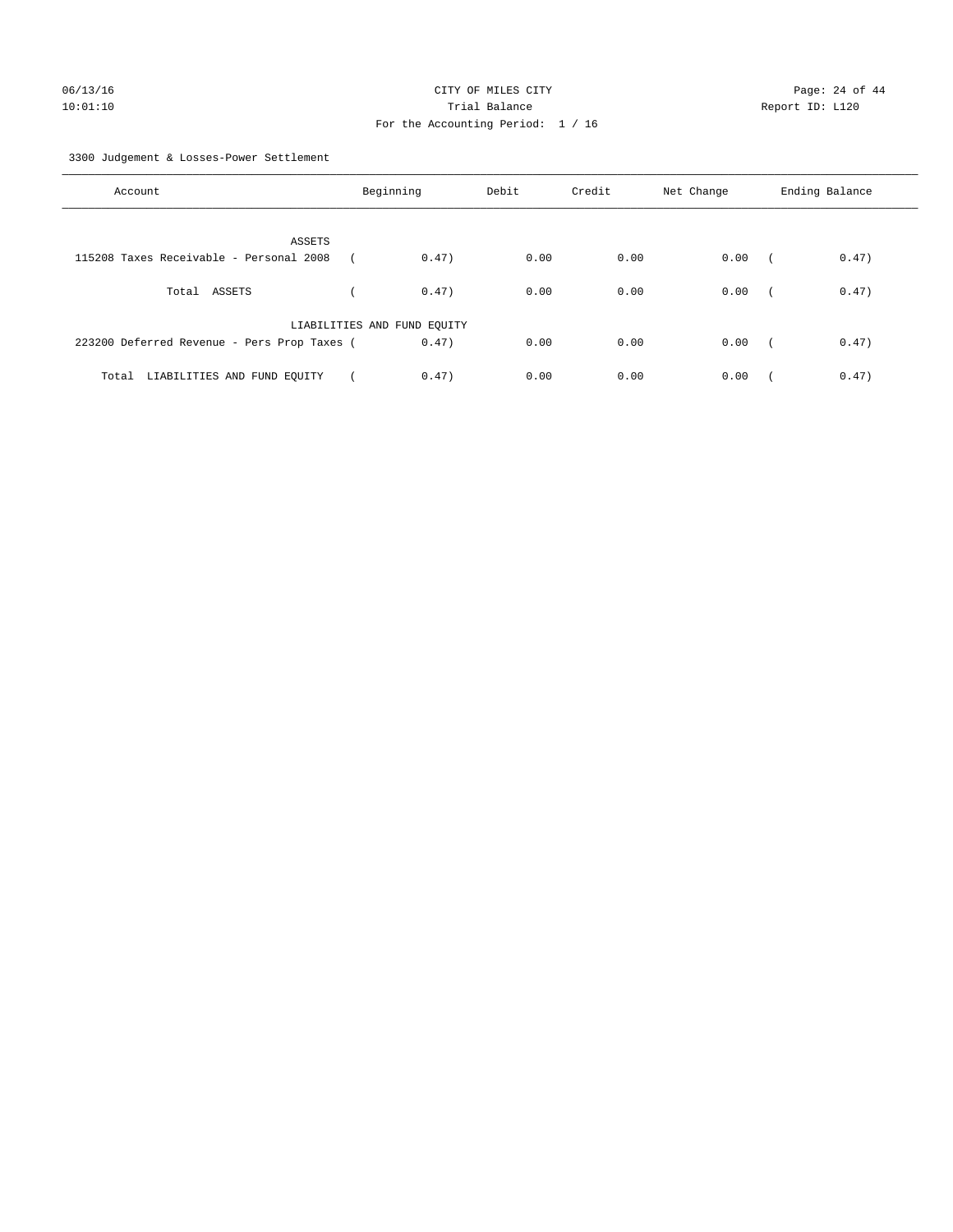3300 Judgement & Losses-Power Settlement

| Account                                     | Beginning                   |       | Debit | Credit | Net Change | Ending Balance |       |
|---------------------------------------------|-----------------------------|-------|-------|--------|------------|----------------|-------|
| ASSETS                                      |                             |       |       |        |            |                |       |
| 115208 Taxes Receivable - Personal 2008     |                             | 0.47) | 0.00  | 0.00   | 0.00       | $\sqrt{2}$     | 0.47) |
| Total ASSETS                                |                             | 0.47) | 0.00  | 0.00   | 0.00       | $\sqrt{2}$     | 0.47) |
|                                             | LIABILITIES AND FUND EQUITY |       |       |        |            |                |       |
| 223200 Deferred Revenue - Pers Prop Taxes ( |                             | 0.47) | 0.00  | 0.00   | 0.00       | $\sim$         | 0.47) |
| LIABILITIES AND FUND EQUITY<br>Total        |                             | 0.47) | 0.00  | 0.00   | 0.00       |                | 0.47) |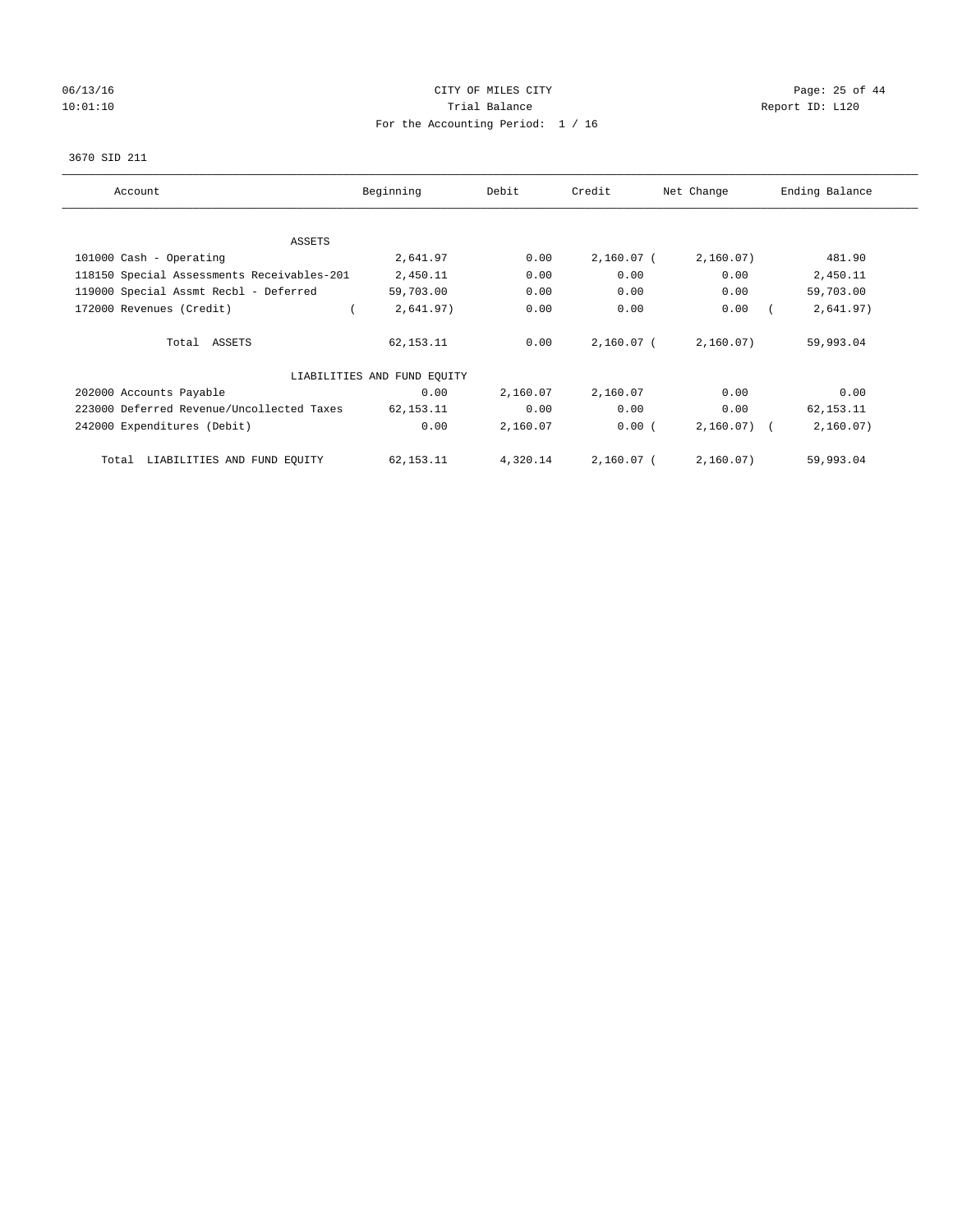# 06/13/16 Page: 25 of 44 10:01:10 **Trial Balance Trial Balance Report ID:** L120 For the Accounting Period: 1 / 16

#### 3670 SID 211

| Account                                    | Beginning                   | Debit    | Credit       | Net Change | Ending Balance |
|--------------------------------------------|-----------------------------|----------|--------------|------------|----------------|
| <b>ASSETS</b>                              |                             |          |              |            |                |
| 101000 Cash - Operating                    | 2,641.97                    | 0.00     | $2,160.07$ ( | 2,160.07)  | 481.90         |
| 118150 Special Assessments Receivables-201 | 2,450.11                    | 0.00     | 0.00         | 0.00       | 2,450.11       |
| 119000 Special Assmt Recbl - Deferred      | 59,703.00                   | 0.00     | 0.00         | 0.00       | 59,703.00      |
| 172000 Revenues (Credit)                   | 2,641.97)                   | 0.00     | 0.00         | 0.00       | 2,641.97)      |
|                                            |                             |          |              |            |                |
| Total ASSETS                               | 62,153.11                   | 0.00     | $2,160.07$ ( | 2,160.07)  | 59,993.04      |
|                                            | LIABILITIES AND FUND EQUITY |          |              |            |                |
| 202000 Accounts Payable                    | 0.00                        | 2,160.07 | 2,160.07     | 0.00       | 0.00           |
| 223000 Deferred Revenue/Uncollected Taxes  | 62,153.11                   | 0.00     | 0.00         | 0.00       | 62, 153. 11    |
| 242000 Expenditures (Debit)                | 0.00                        | 2,160.07 | 0.00(        | 2,160.07)  | 2,160.07)      |
| LIABILITIES AND FUND EQUITY<br>Total       | 62,153.11                   | 4,320.14 | 2,160.07 (   | 2,160.07)  | 59,993.04      |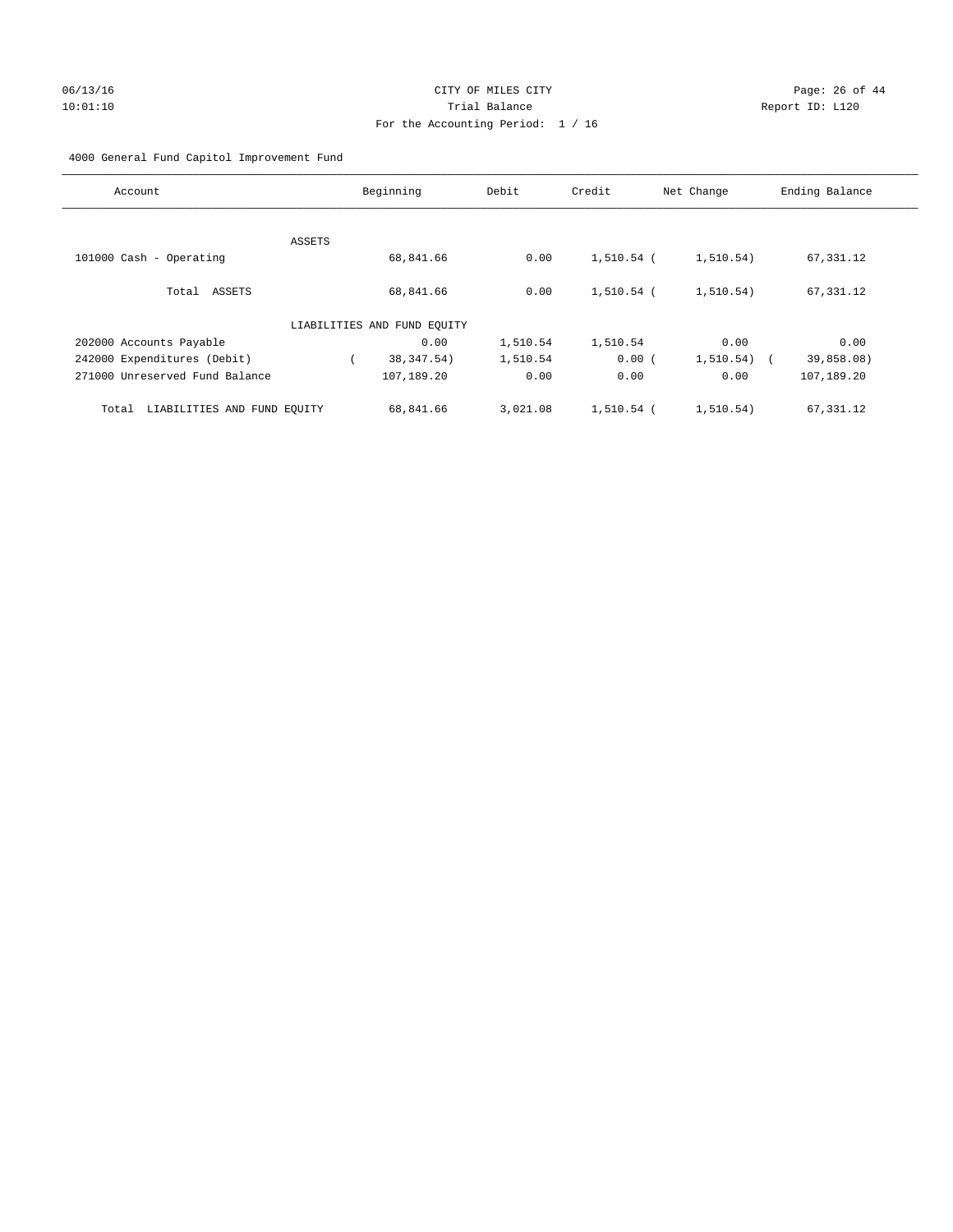# 06/13/16 Page: 26 of 44 10:01:10 Trial Balance Report ID: L120 For the Accounting Period: 1 / 16

## 4000 General Fund Capitol Improvement Fund

| Beginning                   | Debit    | Credit   | Net Change | Ending Balance                                    |
|-----------------------------|----------|----------|------------|---------------------------------------------------|
|                             |          |          |            |                                                   |
|                             |          |          |            |                                                   |
| 68,841.66                   | 0.00     |          | 1, 510.54) | 67,331.12                                         |
|                             |          |          |            |                                                   |
| 68,841.66                   | 0.00     |          | 1, 510.54) | 67,331.12                                         |
|                             |          |          |            |                                                   |
| LIABILITIES AND FUND EQUITY |          |          |            |                                                   |
| 0.00                        | 1,510.54 | 1,510.54 | 0.00       | 0.00                                              |
| 38, 347.54)                 | 1,510.54 |          | 1, 510.54) | 39,858.08)                                        |
| 107,189.20                  | 0.00     | 0.00     | 0.00       | 107,189.20                                        |
|                             |          |          |            |                                                   |
| 68,841.66                   | 3,021.08 |          | 1,510.54)  | 67,331.12                                         |
|                             |          |          |            | 1,510.54 (<br>1,510.54 (<br>0.00(<br>$1,510.54$ ( |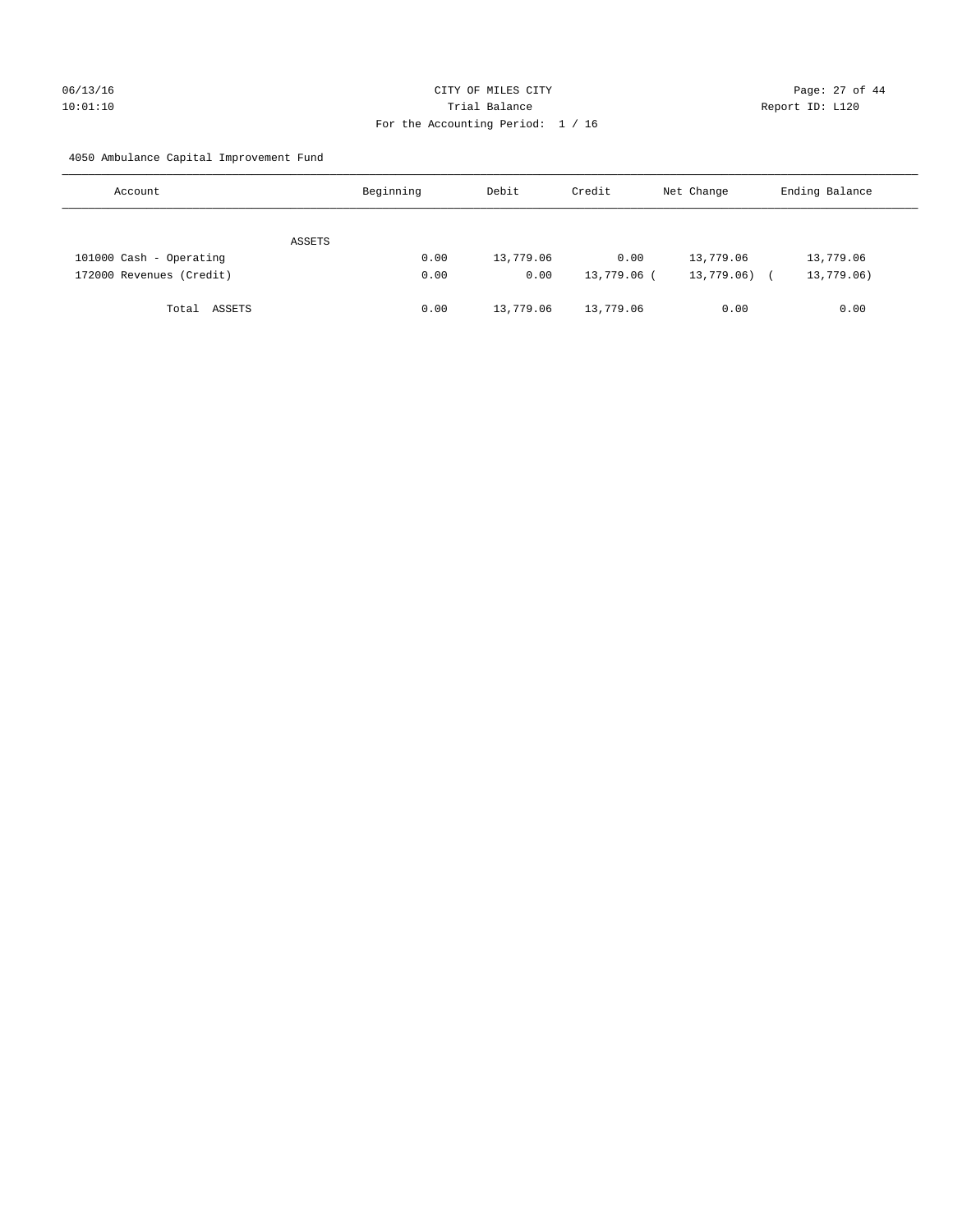# 06/13/16 Page: 27 of 44 10:01:10 Trial Balance Report ID: L120 For the Accounting Period: 1 / 16

4050 Ambulance Capital Improvement Fund

| Account                  | Beginning | Debit     | Credit      | Net Change | Ending Balance |
|--------------------------|-----------|-----------|-------------|------------|----------------|
| ASSETS                   |           |           |             |            |                |
| 101000 Cash - Operating  | 0.00      | 13,779.06 | 0.00        | 13,779.06  | 13,779.06      |
| 172000 Revenues (Credit) | 0.00      | 0.00      | 13,779.06 ( | 13,779.06) | 13,779.06)     |
| Total ASSETS             | 0.00      | 13,779.06 | 13,779.06   | 0.00       | 0.00           |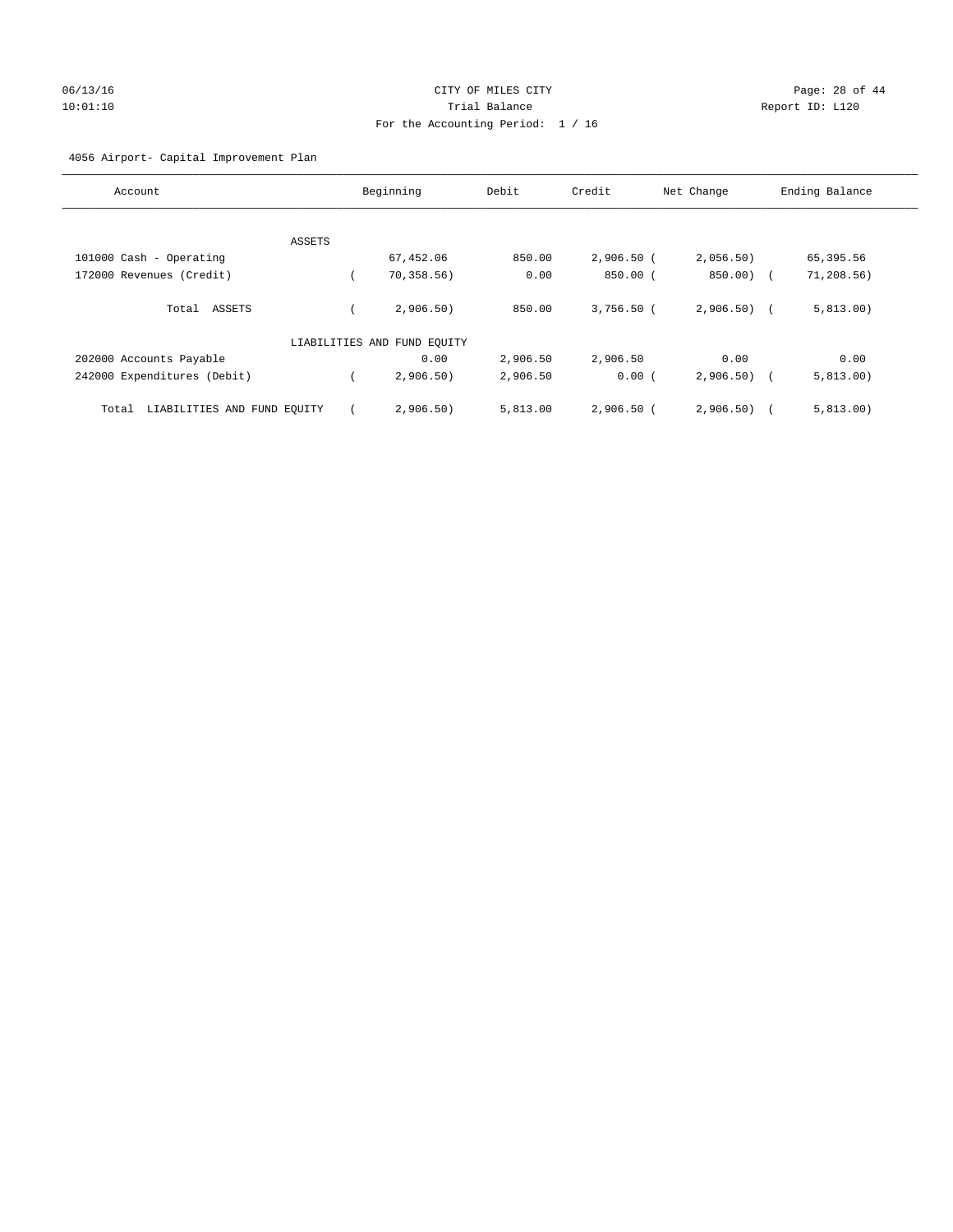# 06/13/16 Page: 28 of 44 10:01:10 Trial Balance Report ID: L120 For the Accounting Period: 1 / 16

## 4056 Airport- Capital Improvement Plan

| Account                              | Beginning                   | Debit    | Credit       | Net Change   | Ending Balance |
|--------------------------------------|-----------------------------|----------|--------------|--------------|----------------|
|                                      |                             |          |              |              |                |
| ASSETS                               |                             |          |              |              |                |
| 101000 Cash - Operating              | 67,452.06                   | 850.00   | $2,906.50$ ( | 2,056.50)    | 65,395.56      |
| 172000 Revenues (Credit)             | 70, 358.56                  | 0.00     | $850.00$ (   | 850.00) (    | 71, 208.56)    |
| Total ASSETS                         | 2,906,50)                   | 850.00   | $3.756.50$ ( | $2,906,50$ ( | 5,813.00)      |
|                                      | LIABILITIES AND FUND EQUITY |          |              |              |                |
| 202000 Accounts Payable              | 0.00                        | 2,906.50 | 2,906.50     | 0.00         | 0.00           |
| 242000 Expenditures (Debit)          | 2,906.50)                   | 2,906.50 | 0.00(        | 2,906.50)    | 5,813.00)      |
| LIABILITIES AND FUND EQUITY<br>Total | 2,906.50)                   | 5,813.00 | $2,906.50$ ( | 2,906.50)    | 5,813.00)      |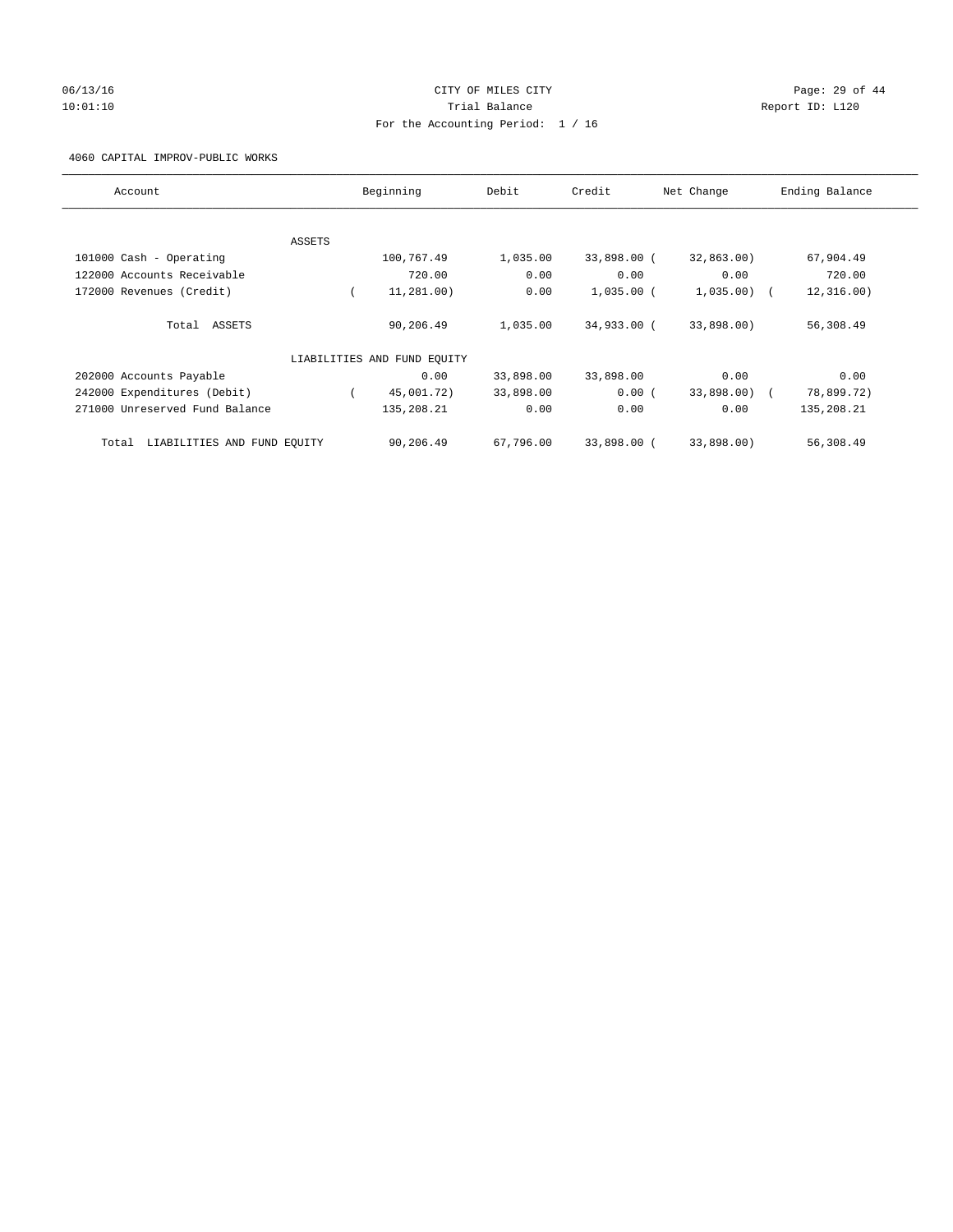# 06/13/16 Page: 29 of 44 10:01:10 Trial Balance Report ID: L120 For the Accounting Period: 1 / 16

#### 4060 CAPITAL IMPROV-PUBLIC WORKS

| Account                           |        | Beginning                   | Debit     | Credit       | Net Change   | Ending Balance |
|-----------------------------------|--------|-----------------------------|-----------|--------------|--------------|----------------|
|                                   |        |                             |           |              |              |                |
| 101000 Cash - Operating           | ASSETS | 100,767.49                  | 1,035.00  | 33,898.00 (  | 32,863.00)   | 67,904.49      |
| 122000 Accounts Receivable        |        | 720.00                      | 0.00      | 0.00         | 0.00         | 720.00         |
| 172000 Revenues (Credit)          |        | 11,281.00)                  | 0.00      | $1,035.00$ ( | $1,035.00$ ( | 12, 316.00)    |
| Total ASSETS                      |        | 90,206.49                   | 1,035.00  | 34,933.00 (  | 33,898.00)   | 56,308.49      |
|                                   |        | LIABILITIES AND FUND EQUITY |           |              |              |                |
| 202000 Accounts Payable           |        | 0.00                        | 33,898.00 | 33,898.00    | 0.00         | 0.00           |
| 242000 Expenditures (Debit)       |        | 45,001.72)                  | 33,898.00 | 0.00(        | 33,898.00) ( | 78,899.72)     |
| 271000 Unreserved Fund Balance    |        | 135,208.21                  | 0.00      | 0.00         | 0.00         | 135,208.21     |
| Total LIABILITIES AND FUND EQUITY |        | 90,206.49                   | 67,796.00 | 33,898.00 (  | 33,898.00)   | 56,308.49      |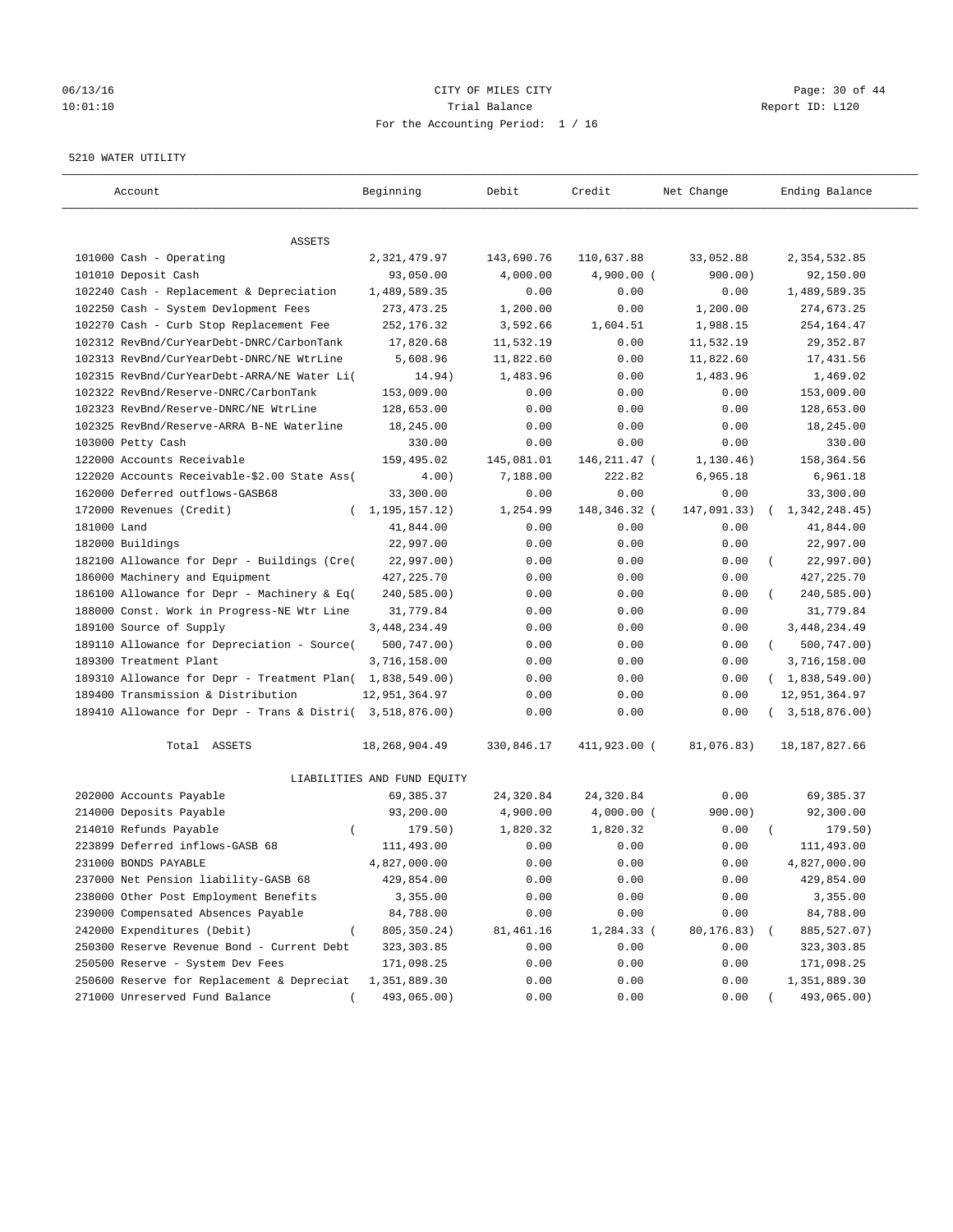## 06/13/16 Page: 30 of 44 10:01:10 Trial Balance Report ID: L120 For the Accounting Period: 1 / 16

#### 5210 WATER UTILITY

| Account                                                                                         | Beginning                   | Debit      | Credit         | Net Change  | Ending Balance                            |
|-------------------------------------------------------------------------------------------------|-----------------------------|------------|----------------|-------------|-------------------------------------------|
| ASSETS                                                                                          |                             |            |                |             |                                           |
| 101000 Cash - Operating                                                                         | 2,321,479.97                | 143,690.76 | 110,637.88     | 33,052.88   | 2,354,532.85                              |
| 101010 Deposit Cash                                                                             | 93,050.00                   | 4,000.00   | $4,900.00$ (   | 900.00)     | 92,150.00                                 |
| 102240 Cash - Replacement & Depreciation                                                        | 1,489,589.35                | 0.00       | 0.00           | 0.00        | 1,489,589.35                              |
| 102250 Cash - System Devlopment Fees                                                            | 273, 473. 25                | 1,200.00   | 0.00           | 1,200.00    | 274,673.25                                |
| 102270 Cash - Curb Stop Replacement Fee                                                         | 252,176.32                  | 3,592.66   | 1,604.51       | 1,988.15    | 254, 164.47                               |
| 102312 RevBnd/CurYearDebt-DNRC/CarbonTank                                                       | 17,820.68                   | 11,532.19  | 0.00           | 11,532.19   | 29, 352.87                                |
| 102313 RevBnd/CurYearDebt-DNRC/NE WtrLine                                                       | 5,608.96                    | 11,822.60  | 0.00           | 11,822.60   | 17,431.56                                 |
| 102315 RevBnd/CurYearDebt-ARRA/NE Water Li(                                                     | 14.94)                      | 1,483.96   | 0.00           | 1,483.96    | 1,469.02                                  |
| 102322 RevBnd/Reserve-DNRC/CarbonTank                                                           | 153,009.00                  | 0.00       | 0.00           | 0.00        | 153,009.00                                |
| 102323 RevBnd/Reserve-DNRC/NE WtrLine                                                           | 128,653.00                  | 0.00       | 0.00           | 0.00        | 128,653.00                                |
| 102325 RevBnd/Reserve-ARRA B-NE Waterline                                                       | 18,245.00                   | 0.00       | 0.00           | 0.00        | 18,245.00                                 |
| 103000 Petty Cash                                                                               | 330.00                      | 0.00       | 0.00           | 0.00        | 330.00                                    |
| 122000 Accounts Receivable                                                                      | 159,495.02                  | 145,081.01 | 146, 211. 47 ( | 1, 130.46)  | 158,364.56                                |
| 122020 Accounts Receivable-\$2.00 State Ass(                                                    | 4.00)                       | 7,188.00   | 222.82         | 6,965.18    | 6,961.18                                  |
| 162000 Deferred outflows-GASB68                                                                 | 33,300.00                   | 0.00       | 0.00           | 0.00        | 33,300.00                                 |
| 172000 Revenues (Credit)                                                                        | (1, 195, 157.12)            | 1,254.99   | 148,346.32 (   | 147,091.33) | 1,342,248.45)                             |
| 181000 Land                                                                                     | 41,844.00                   | 0.00       | 0.00           | 0.00        | 41,844.00                                 |
| 182000 Buildings                                                                                | 22,997.00                   | 0.00       | 0.00           | 0.00        | 22,997.00                                 |
| 182100 Allowance for Depr - Buildings (Cre(                                                     | 22,997.00)                  | 0.00       | 0.00           | 0.00        | 22,997.00)                                |
| 186000 Machinery and Equipment                                                                  | 427, 225. 70                | 0.00       | 0.00           | 0.00        | 427, 225.70                               |
| 186100 Allowance for Depr - Machinery & Eq(                                                     | 240,585.00)                 | 0.00       | 0.00           | 0.00        | 240,585.00)                               |
| 188000 Const. Work in Progress-NE Wtr Line                                                      | 31,779.84                   | 0.00       | 0.00           | 0.00        | 31,779.84                                 |
| 189100 Source of Supply                                                                         | 3,448,234.49                | 0.00       | 0.00           | 0.00        |                                           |
| 189110 Allowance for Depreciation - Source(                                                     | 500,747.00)                 | 0.00       | 0.00           | 0.00        | 3, 448, 234.49<br>500,747.00)<br>$\left($ |
| 189300 Treatment Plant                                                                          | 3,716,158.00                | 0.00       | 0.00           | 0.00        | 3,716,158.00                              |
|                                                                                                 |                             |            |                | 0.00        |                                           |
| 189310 Allowance for Depr - Treatment Plan( 1,838,549.00)<br>189400 Transmission & Distribution |                             | 0.00       | 0.00           |             | (1,838,549.00)                            |
|                                                                                                 | 12,951,364.97               | 0.00       | 0.00           | 0.00        | 12,951,364.97                             |
| 189410 Allowance for Depr - Trans & Distri( 3,518,876.00)                                       |                             | 0.00       | 0.00           | 0.00        | 3,518,876.00)                             |
| Total ASSETS                                                                                    | 18,268,904.49               | 330,846.17 | 411,923.00 (   | 81,076.83)  | 18, 187, 827.66                           |
|                                                                                                 | LIABILITIES AND FUND EQUITY |            |                |             |                                           |
| 202000 Accounts Payable                                                                         | 69,385.37                   | 24,320.84  | 24,320.84      | 0.00        | 69,385.37                                 |
| 214000 Deposits Payable                                                                         | 93,200.00                   | 4,900.00   | $4,000.00$ (   | 900.00)     | 92,300.00                                 |
| 214010 Refunds Payable<br>$\left($                                                              | 179.50)                     | 1,820.32   | 1,820.32       | 0.00        | 179.50)                                   |
| 223899 Deferred inflows-GASB 68                                                                 | 111,493.00                  | 0.00       | 0.00           | 0.00        | 111,493.00                                |
| 231000 BONDS PAYABLE                                                                            | 4,827,000.00                | 0.00       | 0.00           | 0.00        | 4,827,000.00                              |
| 237000 Net Pension liability-GASB 68                                                            | 429,854.00                  | 0.00       | 0.00           | 0.00        | 429,854.00                                |
| 238000 Other Post Employment Benefits                                                           | 3,355.00                    | 0.00       | 0.00           | 0.00        | 3,355.00                                  |
| 239000 Compensated Absences Payable                                                             | 84,788.00                   | 0.00       | 0.00           | 0.00        | 84,788.00                                 |
| 242000 Expenditures (Debit)                                                                     | 805, 350. 24)               | 81,461.16  | 1,284.33 (     | 80,176.83)  | 885, 527.07)                              |
| 250300 Reserve Revenue Bond - Current Debt                                                      | 323, 303.85                 | 0.00       | 0.00           | 0.00        | 323, 303.85                               |
| 250500 Reserve - System Dev Fees                                                                | 171,098.25                  | 0.00       | 0.00           | 0.00        | 171,098.25                                |
| 250600 Reserve for Replacement & Depreciat                                                      | 1,351,889.30                | 0.00       | 0.00           | 0.00        | 1,351,889.30                              |
| 271000 Unreserved Fund Balance                                                                  | 493,065.00)                 | 0.00       | 0.00           | 0.00        | 493,065.00)                               |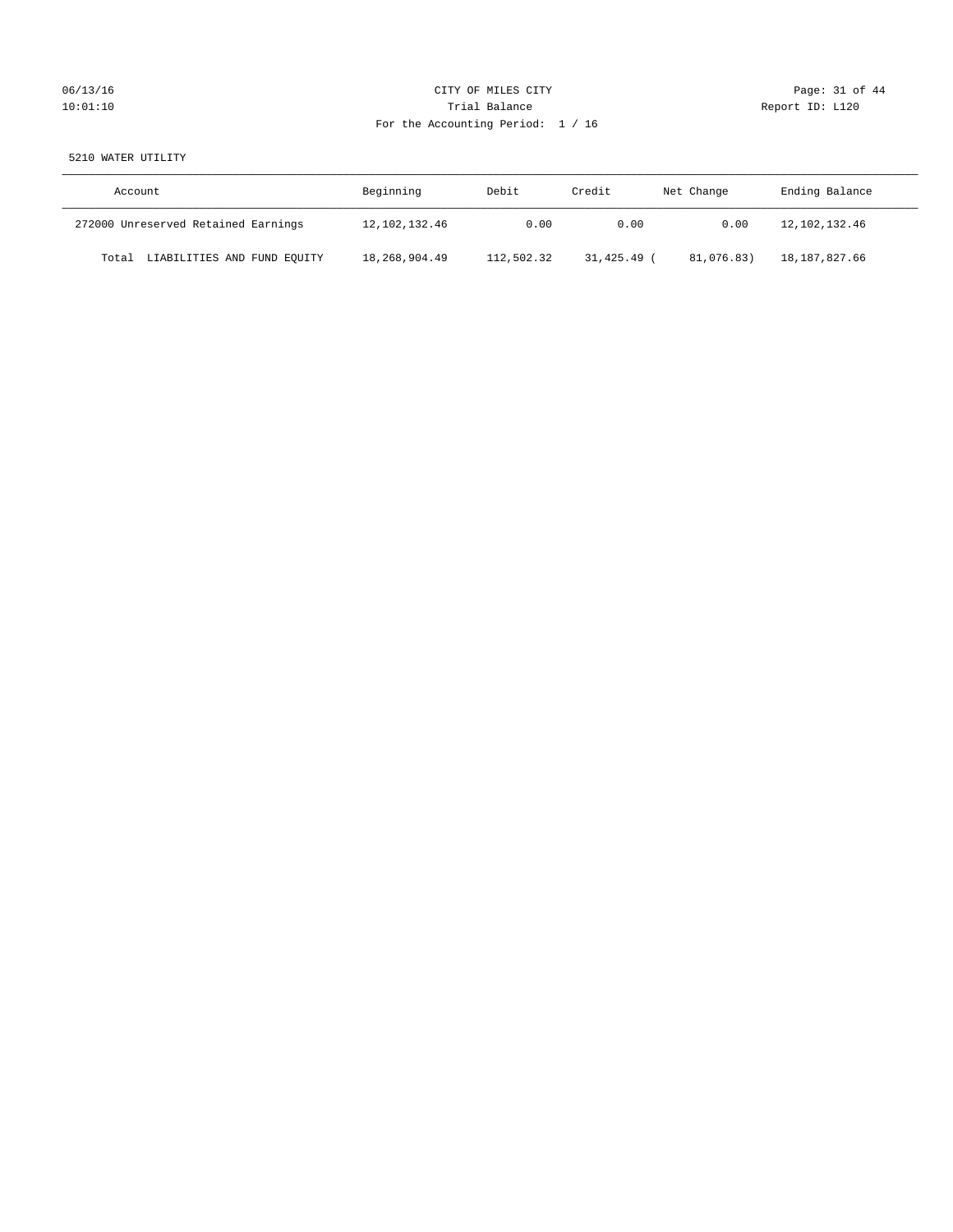# 06/13/16 Page: 31 of 44 10:01:10 **Trial Balance Trial Balance Report ID:** L120 For the Accounting Period: 1 / 16

# 5210 WATER UTILITY

| Account                              | Beginning     | Debit      | Credit    | Net Change | Ending Balance |
|--------------------------------------|---------------|------------|-----------|------------|----------------|
| 272000 Unreserved Retained Earnings  | 12,102,132.46 | 0.00       | 0.00      | 0.00       | 12,102,132.46  |
| LIABILITIES AND FUND EQUITY<br>Total | 18,268,904.49 | 112,502.32 | 31,425.49 | 81,076.83) | 18,187,827.66  |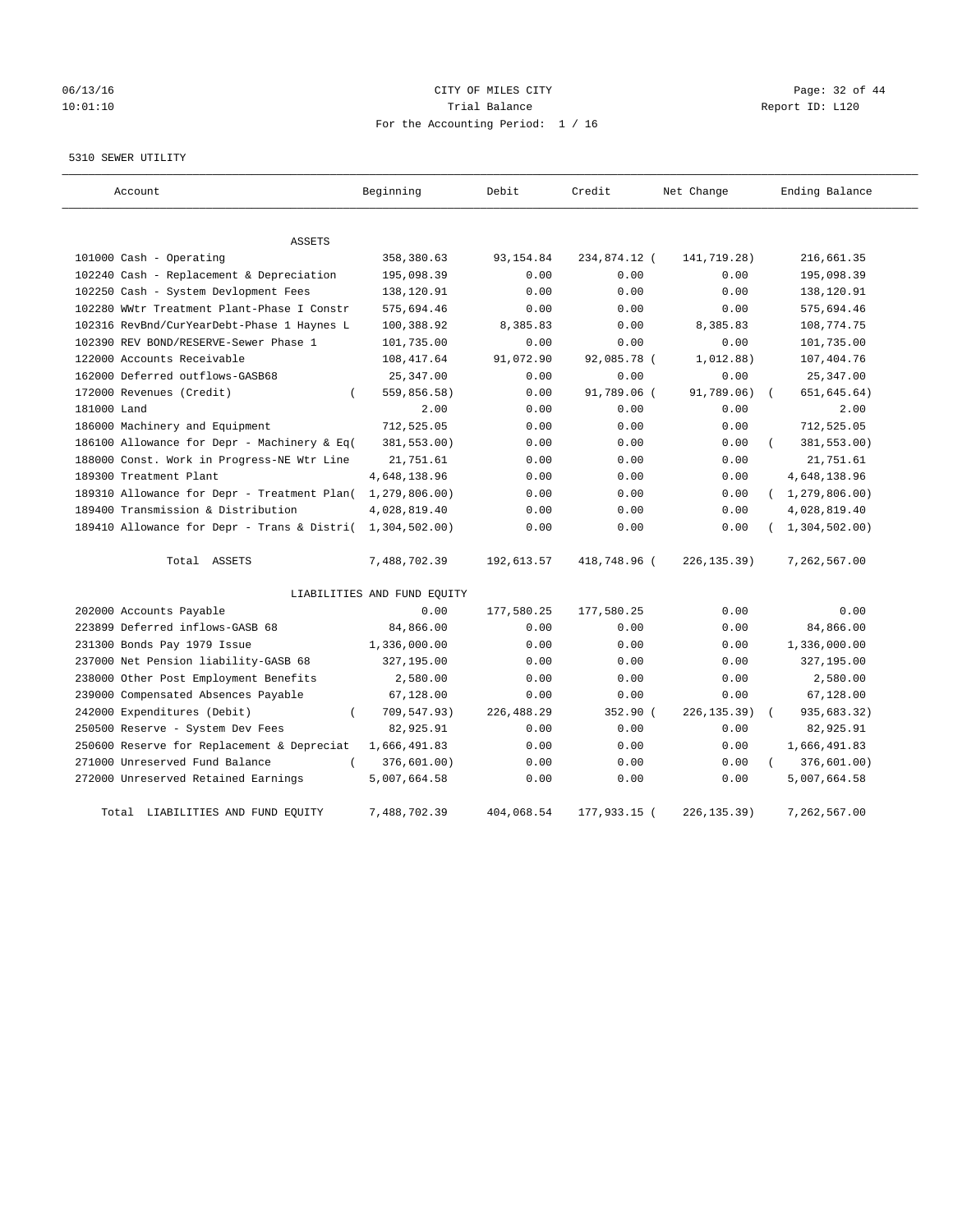# 06/13/16 Page: 32 of 44 10:01:10 Trial Balance Report ID: L120 For the Accounting Period: 1 / 16

#### 5310 SEWER UTILITY

| Account                                                   | Beginning                   | Debit       | Credit       | Net Change   | Ending Balance          |
|-----------------------------------------------------------|-----------------------------|-------------|--------------|--------------|-------------------------|
| ASSETS                                                    |                             |             |              |              |                         |
| 101000 Cash - Operating                                   | 358,380.63                  | 93, 154.84  | 234,874.12 ( | 141,719.28)  | 216,661.35              |
| 102240 Cash - Replacement & Depreciation                  | 195,098.39                  | 0.00        | 0.00         | 0.00         | 195,098.39              |
| 102250 Cash - System Devlopment Fees                      | 138,120.91                  | 0.00        | 0.00         | 0.00         | 138,120.91              |
| 102280 WWtr Treatment Plant-Phase I Constr                | 575,694.46                  | 0.00        | 0.00         | 0.00         | 575,694.46              |
| 102316 RevBnd/CurYearDebt-Phase 1 Haynes L                | 100,388.92                  | 8,385.83    | 0.00         | 8,385.83     | 108,774.75              |
| 102390 REV BOND/RESERVE-Sewer Phase 1                     | 101,735.00                  | 0.00        | 0.00         | 0.00         | 101,735.00              |
| 122000 Accounts Receivable                                | 108, 417.64                 | 91,072.90   | 92,085.78 (  | 1,012.88)    | 107,404.76              |
| 162000 Deferred outflows-GASB68                           | 25, 347.00                  | 0.00        | 0.00         | 0.00         | 25, 347.00              |
| 172000 Revenues (Credit)                                  | 559,856.58)                 | 0.00        | 91,789.06 (  | 91,789.06)   | 651, 645.64)            |
| 181000 Land                                               | 2.00                        | 0.00        | 0.00         | 0.00         | 2.00                    |
| 186000 Machinery and Equipment                            | 712,525.05                  | 0.00        | 0.00         | 0.00         | 712,525.05              |
| 186100 Allowance for Depr - Machinery & Eq(               | 381,553.00)                 | 0.00        | 0.00         | 0.00         | 381,553.00)             |
| 188000 Const. Work in Progress-NE Wtr Line                | 21,751.61                   | 0.00        | 0.00         | 0.00         | 21,751.61               |
| 189300 Treatment Plant                                    | 4,648,138.96                | 0.00        | 0.00         | 0.00         | 4,648,138.96            |
| 189310 Allowance for Depr - Treatment Plan(               | 1, 279, 806.00)             | 0.00        | 0.00         | 0.00         | (1, 279, 806.00)        |
| 189400 Transmission & Distribution                        | 4,028,819.40                | 0.00        | 0.00         | 0.00         | 4,028,819.40            |
| 189410 Allowance for Depr - Trans & Distri( 1,304,502.00) |                             | 0.00        | 0.00         | 0.00         | (1, 304, 502.00)        |
| Total ASSETS                                              | 7,488,702.39                | 192,613.57  | 418,748.96 ( | 226, 135.39) | 7,262,567.00            |
|                                                           | LIABILITIES AND FUND EQUITY |             |              |              |                         |
| 202000 Accounts Payable                                   | 0.00                        | 177,580.25  | 177,580.25   | 0.00         | 0.00                    |
| 223899 Deferred inflows-GASB 68                           | 84,866.00                   | 0.00        | 0.00         | 0.00         | 84,866.00               |
| 231300 Bonds Pay 1979 Issue                               | 1,336,000.00                | 0.00        | 0.00         | 0.00         | 1,336,000.00            |
| 237000 Net Pension liability-GASB 68                      | 327,195.00                  | 0.00        | 0.00         | 0.00         | 327,195.00              |
| 238000 Other Post Employment Benefits                     | 2,580.00                    | 0.00        | 0.00         | 0.00         | 2,580.00                |
| 239000 Compensated Absences Payable                       | 67,128.00                   | 0.00        | 0.00         | 0.00         | 67,128.00               |
| 242000 Expenditures (Debit)<br>$\left($                   | 709,547.93)                 | 226, 488.29 | 352.90 (     | 226, 135.39) | 935,683.32)<br>$\left($ |
| 250500 Reserve - System Dev Fees                          | 82,925.91                   | 0.00        | 0.00         | 0.00         | 82,925.91               |
| 250600 Reserve for Replacement & Depreciat                | 1,666,491.83                | 0.00        | 0.00         | 0.00         | 1,666,491.83            |
| 271000 Unreserved Fund Balance<br>$\left($                | 376,601.00)                 | 0.00        | 0.00         | 0.00         | 376,601.00)             |
| 272000 Unreserved Retained Earnings                       | 5,007,664.58                | 0.00        | 0.00         | 0.00         | 5,007,664.58            |
| Total LIABILITIES AND FUND EQUITY                         | 7,488,702.39                | 404,068.54  | 177,933.15 ( | 226, 135.39) | 7,262,567.00            |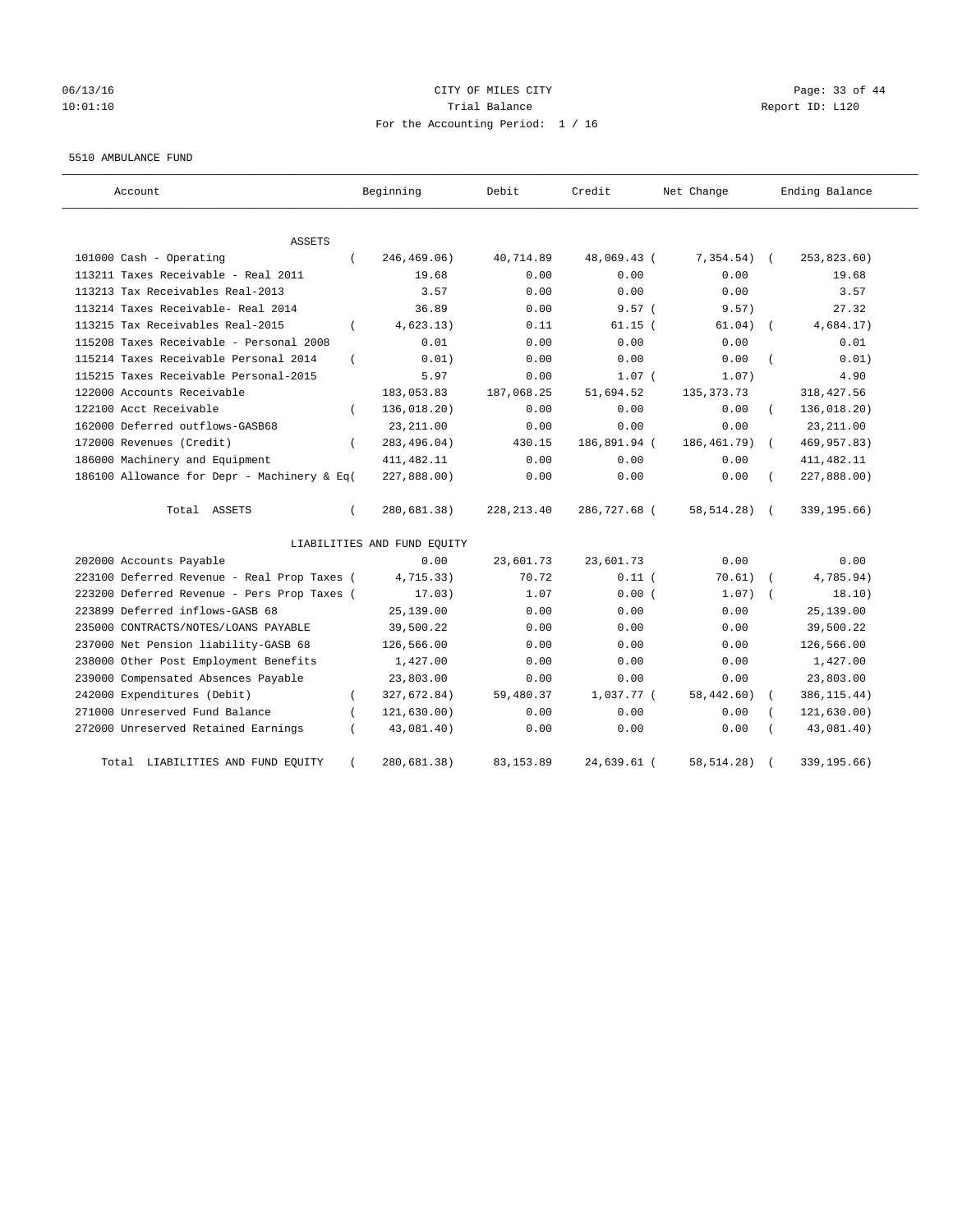# 06/13/16 Page: 33 of 44 10:01:10 Trial Balance Report ID: L120 For the Accounting Period: 1 / 16

#### 5510 AMBULANCE FUND

| Account                                      | Beginning                   | Debit       | Credit       | Net Change   | Ending Balance            |
|----------------------------------------------|-----------------------------|-------------|--------------|--------------|---------------------------|
| ASSETS                                       |                             |             |              |              |                           |
| 101000 Cash - Operating<br>$\left($          | 246,469.06)                 | 40,714.89   | 48,069.43 (  | 7,354.54)    | 253,823.60)<br>$\sqrt{2}$ |
| 113211 Taxes Receivable - Real 2011          | 19.68                       | 0.00        | 0.00         | 0.00         | 19.68                     |
| 113213 Tax Receivables Real-2013             | 3.57                        | 0.00        | 0.00         | 0.00         | 3.57                      |
| 113214 Taxes Receivable- Real 2014           | 36.89                       | 0.00        | 9.57(        | 9.57)        | 27.32                     |
| 113215 Tax Receivables Real-2015<br>$\left($ | 4,623.13)                   | 0.11        | $61.15$ (    | 61.04)       | 4,684.17)                 |
| 115208 Taxes Receivable - Personal 2008      | 0.01                        | 0.00        | 0.00         | 0.00         | 0.01                      |
| 115214 Taxes Receivable Personal 2014        | 0.01)                       | 0.00        | 0.00         | 0.00         | 0.01)                     |
| 115215 Taxes Receivable Personal-2015        | 5.97                        | 0.00        | $1.07$ (     | 1.07)        | 4.90                      |
| 122000 Accounts Receivable                   | 183,053.83                  | 187,068.25  | 51,694.52    | 135, 373. 73 | 318, 427.56               |
| 122100 Acct Receivable                       | 136,018.20)                 | 0.00        | 0.00         | 0.00         | 136,018.20)               |
| 162000 Deferred outflows-GASB68              | 23, 211.00                  | 0.00        | 0.00         | 0.00         | 23, 211.00                |
| 172000 Revenues (Credit)<br>$\left($         | 283,496.04)                 | 430.15      | 186,891.94 ( | 186,461.79)  | 469,957.83)<br>$\sqrt{2}$ |
| 186000 Machinery and Equipment               | 411, 482.11                 | 0.00        | 0.00         | 0.00         | 411, 482.11               |
| 186100 Allowance for Depr - Machinery & Eq(  | 227,888.00)                 | 0.00        | 0.00         | 0.00         | 227,888.00)               |
| Total ASSETS<br>$\left($                     | 280,681.38)                 | 228, 213.40 | 286,727.68 ( | 58, 514. 28) | 339, 195.66)              |
|                                              | LIABILITIES AND FUND EQUITY |             |              |              |                           |
| 202000 Accounts Payable                      | 0.00                        | 23,601.73   | 23,601.73    | 0.00         | 0.00                      |
| 223100 Deferred Revenue - Real Prop Taxes (  | 4,715.33)                   | 70.72       | $0.11$ (     | 70.61)       | 4,785.94)                 |
| 223200 Deferred Revenue - Pers Prop Taxes (  | 17.03)                      | 1.07        | 0.00(        | 1.07)        | 18.10)                    |
| 223899 Deferred inflows-GASB 68              | 25,139.00                   | 0.00        | 0.00         | 0.00         | 25,139.00                 |
| 235000 CONTRACTS/NOTES/LOANS PAYABLE         | 39,500.22                   | 0.00        | 0.00         | 0.00         | 39,500.22                 |
| 237000 Net Pension liability-GASB 68         | 126,566.00                  | 0.00        | 0.00         | 0.00         | 126,566.00                |
| 238000 Other Post Employment Benefits        | 1,427.00                    | 0.00        | 0.00         | 0.00         | 1,427.00                  |
| 239000 Compensated Absences Payable          | 23,803.00                   | 0.00        | 0.00         | 0.00         | 23,803.00                 |
| 242000 Expenditures (Debit)<br>$\left($      | 327,672.84)                 | 59,480.37   | 1,037.77 (   | 58,442.60)   | 386, 115.44)              |
| 271000 Unreserved Fund Balance               | 121, 630.00)                | 0.00        | 0.00         | 0.00         | 121, 630.00)              |
| 272000 Unreserved Retained Earnings          | 43,081.40)                  | 0.00        | 0.00         | 0.00         | 43,081.40)                |
| LIABILITIES AND FUND EQUITY<br>Total         | 280,681.38)                 | 83, 153.89  | 24,639.61 (  | 58, 514. 28) | 339,195.66)               |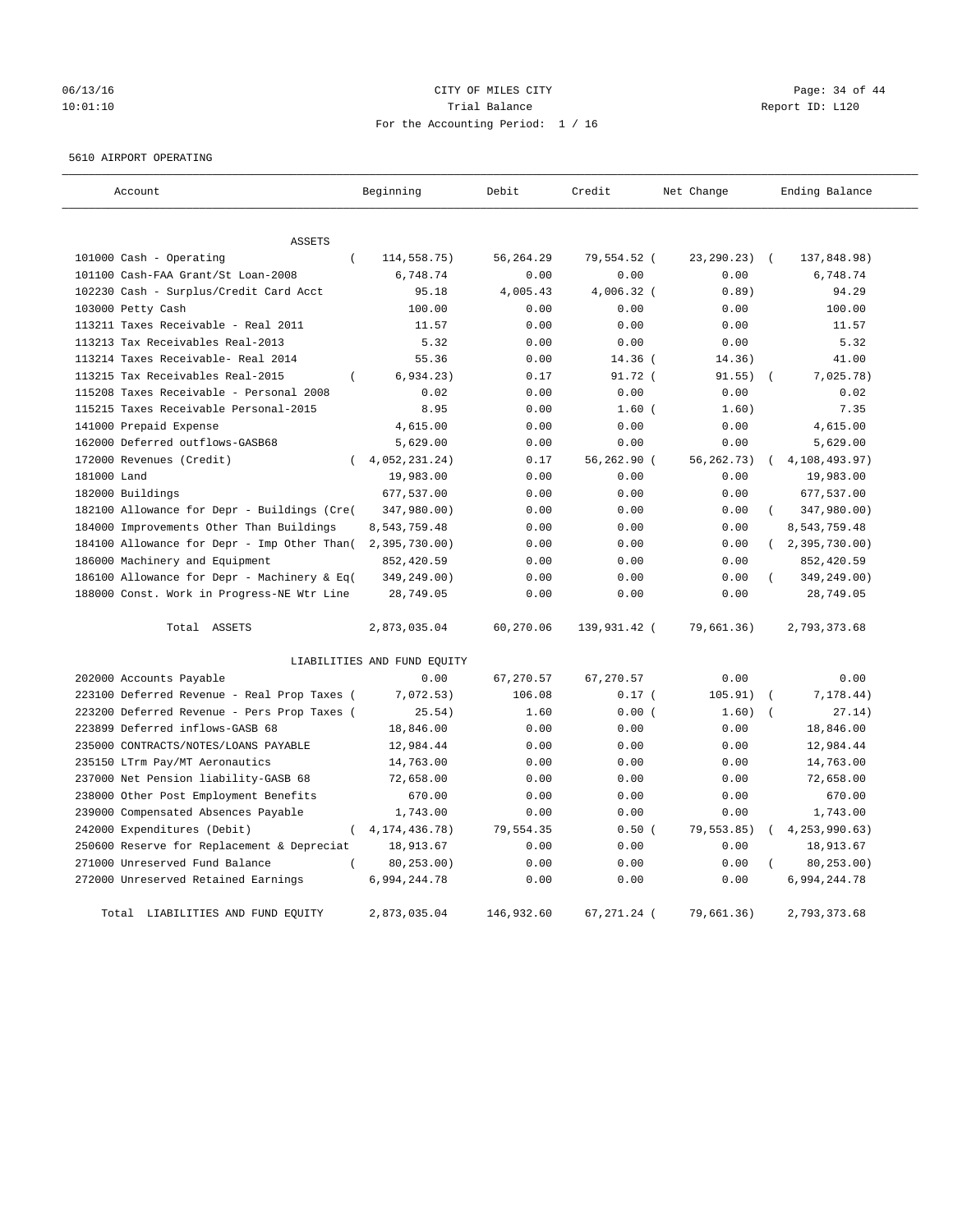# 06/13/16 Page: 34 of 44 10:01:10 Trial Balance Report ID: L120 For the Accounting Period: 1 / 16

#### 5610 AIRPORT OPERATING

| Account                                      | Beginning                   | Debit      | Credit       | Net Change   | Ending Balance            |
|----------------------------------------------|-----------------------------|------------|--------------|--------------|---------------------------|
|                                              |                             |            |              |              |                           |
| ASSETS                                       |                             |            |              |              |                           |
| 101000 Cash - Operating<br>$\overline{(\ }$  | 114,558.75)                 | 56,264.29  | 79,554.52 (  | 23, 290. 23) | $\sqrt{2}$<br>137,848.98) |
| 101100 Cash-FAA Grant/St Loan-2008           | 6.748.74                    | 0.00       | 0.00         | 0.00         | 6.748.74                  |
| 102230 Cash - Surplus/Credit Card Acct       | 95.18                       | 4,005.43   | $4.006.32$ ( | 0.89         | 94.29                     |
| 103000 Petty Cash                            | 100.00                      | 0.00       | 0.00         | 0.00         | 100.00                    |
| 113211 Taxes Receivable - Real 2011          | 11.57                       | 0.00       | 0.00         | 0.00         | 11.57                     |
| 113213 Tax Receivables Real-2013             | 5.32                        | 0.00       | 0.00         | 0.00         | 5.32                      |
| 113214 Taxes Receivable- Real 2014           | 55.36                       | 0.00       | $14.36$ (    | 14.36)       | 41.00                     |
| 113215 Tax Receivables Real-2015<br>$\left($ | 6, 934.23)                  | 0.17       | $91.72$ (    | 91.55)       | 7,025.78)                 |
| 115208 Taxes Receivable - Personal 2008      | 0.02                        | 0.00       | 0.00         | 0.00         | 0.02                      |
| 115215 Taxes Receivable Personal-2015        | 8.95                        | 0.00       | $1.60$ (     | 1.60)        | 7.35                      |
| 141000 Prepaid Expense                       | 4,615.00                    | 0.00       | 0.00         | 0.00         | 4,615.00                  |
| 162000 Deferred outflows-GASB68              | 5,629.00                    | 0.00       | 0.00         | 0.00         | 5,629.00                  |
| 172000 Revenues (Credit)                     | 4,052,231.24)               | 0.17       | 56,262.90 (  | 56, 262. 73) | 4,108,493.97)             |
| 181000 Land                                  | 19,983.00                   | 0.00       | 0.00         | 0.00         | 19,983.00                 |
| 182000 Buildings                             | 677,537.00                  | 0.00       | 0.00         | 0.00         | 677,537.00                |
| 182100 Allowance for Depr - Buildings (Cre(  | 347,980.00)                 | 0.00       | 0.00         | 0.00         | 347,980.00)               |
| 184000 Improvements Other Than Buildings     | 8,543,759.48                | 0.00       | 0.00         | 0.00         | 8,543,759.48              |
| 184100 Allowance for Depr - Imp Other Than(  | 2, 395, 730.00              | 0.00       | 0.00         | 0.00         | (2, 395, 730.00)          |
| 186000 Machinery and Equipment               | 852,420.59                  | 0.00       | 0.00         | 0.00         | 852,420.59                |
| 186100 Allowance for Depr - Machinery & Eq(  | 349,249.00)                 | 0.00       | 0.00         | 0.00         | 349,249.00)               |
| 188000 Const. Work in Progress-NE Wtr Line   | 28,749.05                   | 0.00       | 0.00         | 0.00         | 28,749.05                 |
| Total ASSETS                                 | 2,873,035.04                | 60,270.06  | 139,931.42 ( | 79,661.36)   | 2,793,373.68              |
|                                              | LIABILITIES AND FUND EQUITY |            |              |              |                           |
| 202000 Accounts Payable                      | 0.00                        | 67,270.57  | 67,270.57    | 0.00         | 0.00                      |
| 223100 Deferred Revenue - Real Prop Taxes (  | 7,072.53)                   | 106.08     | 0.17(        | 105.91)      | 7,178.44)                 |
| 223200 Deferred Revenue - Pers Prop Taxes (  | 25.54)                      | 1.60       | 0.00(        | 1.60)        | 27.14)                    |
| 223899 Deferred inflows-GASB 68              | 18,846.00                   | 0.00       | 0.00         | 0.00         | 18,846.00                 |
| 235000 CONTRACTS/NOTES/LOANS PAYABLE         | 12,984.44                   | 0.00       | 0.00         | 0.00         | 12,984.44                 |
| 235150 LTrm Pay/MT Aeronautics               | 14,763.00                   | 0.00       | 0.00         | 0.00         | 14,763.00                 |
| 237000 Net Pension liability-GASB 68         | 72,658.00                   | 0.00       | 0.00         | 0.00         | 72,658.00                 |
| 238000 Other Post Employment Benefits        | 670.00                      | 0.00       | 0.00         | 0.00         | 670.00                    |
| 239000 Compensated Absences Payable          | 1,743.00                    | 0.00       | 0.00         | 0.00         | 1,743.00                  |
| 242000 Expenditures (Debit)<br>$\left($      | 4, 174, 436. 78)            | 79,554.35  | 0.50(        | 79,553.85)   | 4, 253, 990.63)           |
| 250600 Reserve for Replacement & Depreciat   | 18,913.67                   | 0.00       | 0.00         | 0.00         | 18,913.67                 |
| 271000 Unreserved Fund Balance               | 80, 253, 00)                | 0.00       | 0.00         | 0.00         | 80, 253.00)               |
| 272000 Unreserved Retained Earnings          | 6,994,244.78                | 0.00       | 0.00         | 0.00         | 6,994,244.78              |
| Total LIABILITIES AND FUND EQUITY            | 2,873,035.04                | 146,932.60 | 67,271.24 (  | 79,661.36)   | 2,793,373.68              |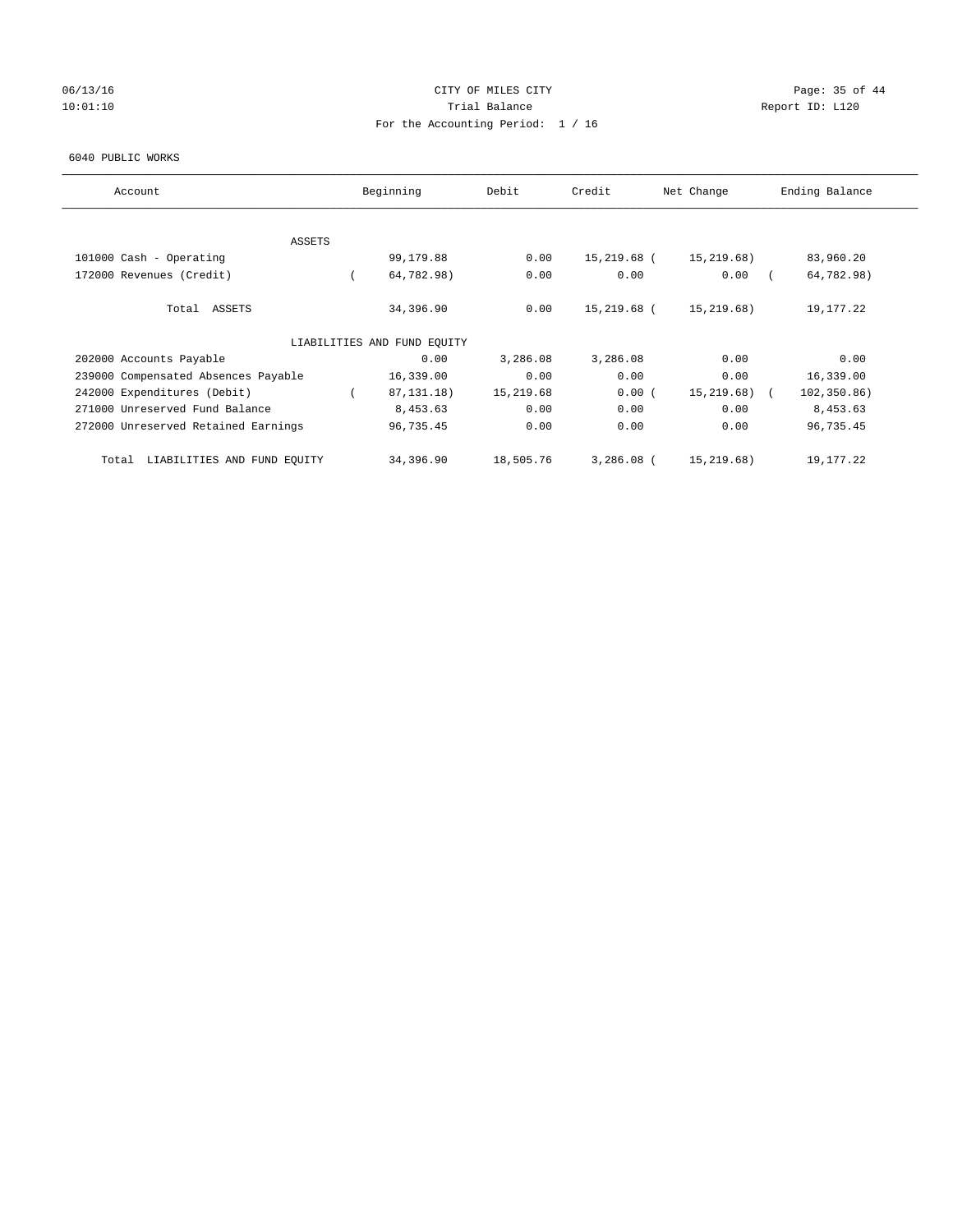## 06/13/16 Page: 35 of 44 10:01:10 Trial Balance Report ID: L120 For the Accounting Period: 1 / 16

#### 6040 PUBLIC WORKS

| Account                              | Beginning                   | Debit     | Credit       | Net Change   | Ending Balance |
|--------------------------------------|-----------------------------|-----------|--------------|--------------|----------------|
|                                      |                             |           |              |              |                |
| ASSETS<br>101000 Cash - Operating    | 99,179.88                   | 0.00      | 15,219.68 (  | 15,219.68)   | 83,960.20      |
|                                      |                             |           |              |              |                |
| 172000 Revenues (Credit)             | 64,782.98)                  | 0.00      | 0.00         | 0.00         | 64,782.98)     |
| Total ASSETS                         | 34,396.90                   | 0.00      | 15,219.68 (  | 15, 219.68)  | 19,177.22      |
|                                      | LIABILITIES AND FUND EQUITY |           |              |              |                |
| 202000 Accounts Payable              | 0.00                        | 3,286.08  | 3,286.08     | 0.00         | 0.00           |
| 239000 Compensated Absences Payable  | 16,339.00                   | 0.00      | 0.00         | 0.00         | 16,339.00      |
| 242000 Expenditures (Debit)          | 87, 131. 18)                | 15,219.68 | 0.00(        | 15,219.68) ( | 102, 350.86)   |
| 271000 Unreserved Fund Balance       | 8,453.63                    | 0.00      | 0.00         | 0.00         | 8,453.63       |
| 272000 Unreserved Retained Earnings  | 96,735.45                   | 0.00      | 0.00         | 0.00         | 96,735.45      |
| LIABILITIES AND FUND EQUITY<br>Total | 34,396.90                   | 18,505.76 | $3,286.08$ ( | 15,219.68)   | 19,177.22      |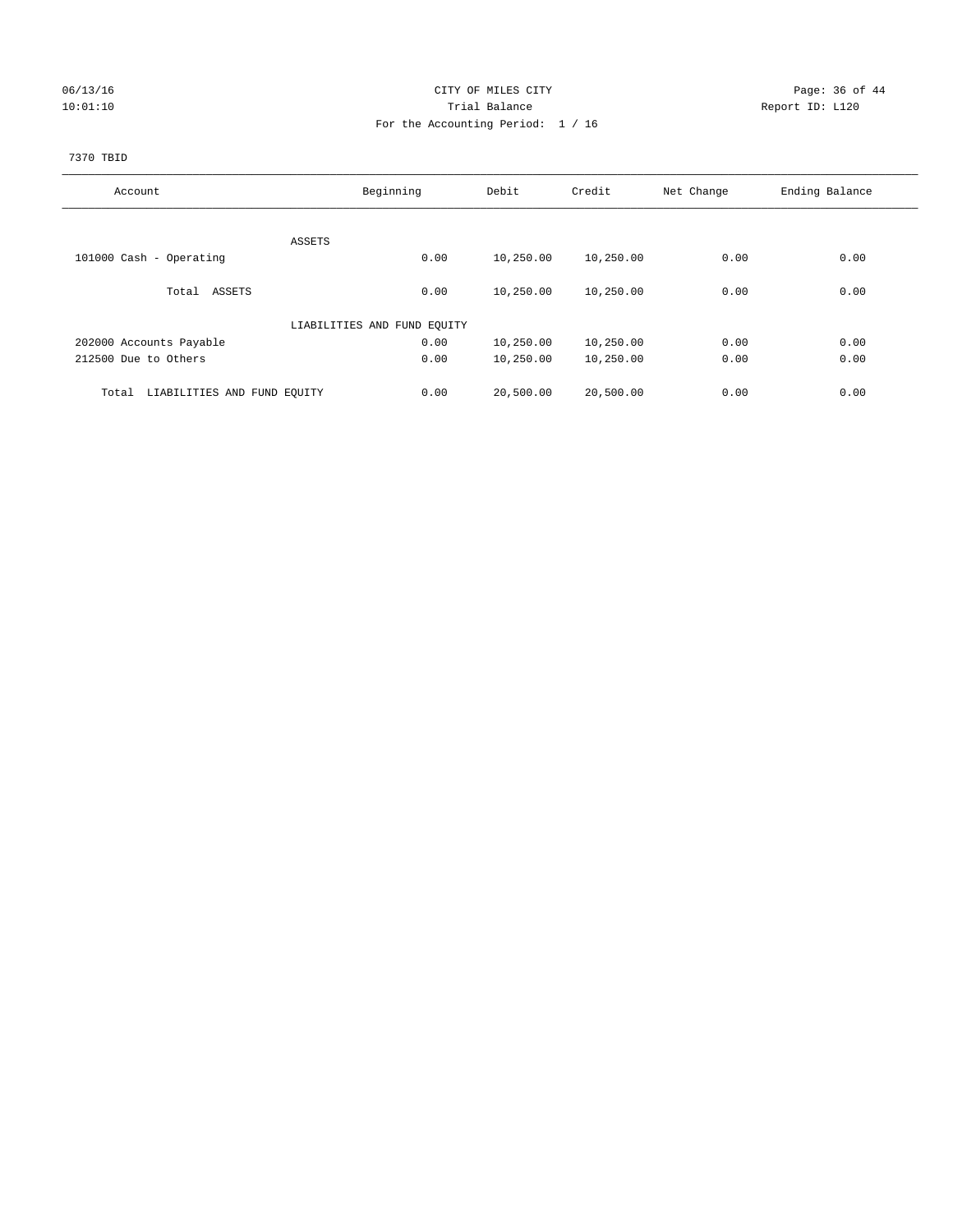## 06/13/16 Page: 36 of 44 10:01:10 Trial Balance Report ID: L120 For the Accounting Period: 1 / 16

# 7370 TBID

| Account                              | Beginning                   | Debit     | Credit    | Net Change | Ending Balance |
|--------------------------------------|-----------------------------|-----------|-----------|------------|----------------|
|                                      |                             |           |           |            |                |
|                                      | ASSETS                      |           |           |            |                |
| 101000 Cash - Operating              | 0.00                        | 10,250.00 | 10,250.00 | 0.00       | 0.00           |
| Total ASSETS                         | 0.00                        | 10,250.00 | 10,250.00 | 0.00       | 0.00           |
|                                      | LIABILITIES AND FUND EQUITY |           |           |            |                |
| 202000 Accounts Payable              | 0.00                        | 10,250.00 | 10,250.00 | 0.00       | 0.00           |
| 212500 Due to Others                 | 0.00                        | 10,250.00 | 10,250.00 | 0.00       | 0.00           |
|                                      |                             |           |           |            |                |
| LIABILITIES AND FUND EQUITY<br>Total | 0.00                        | 20,500.00 | 20,500.00 | 0.00       | 0.00           |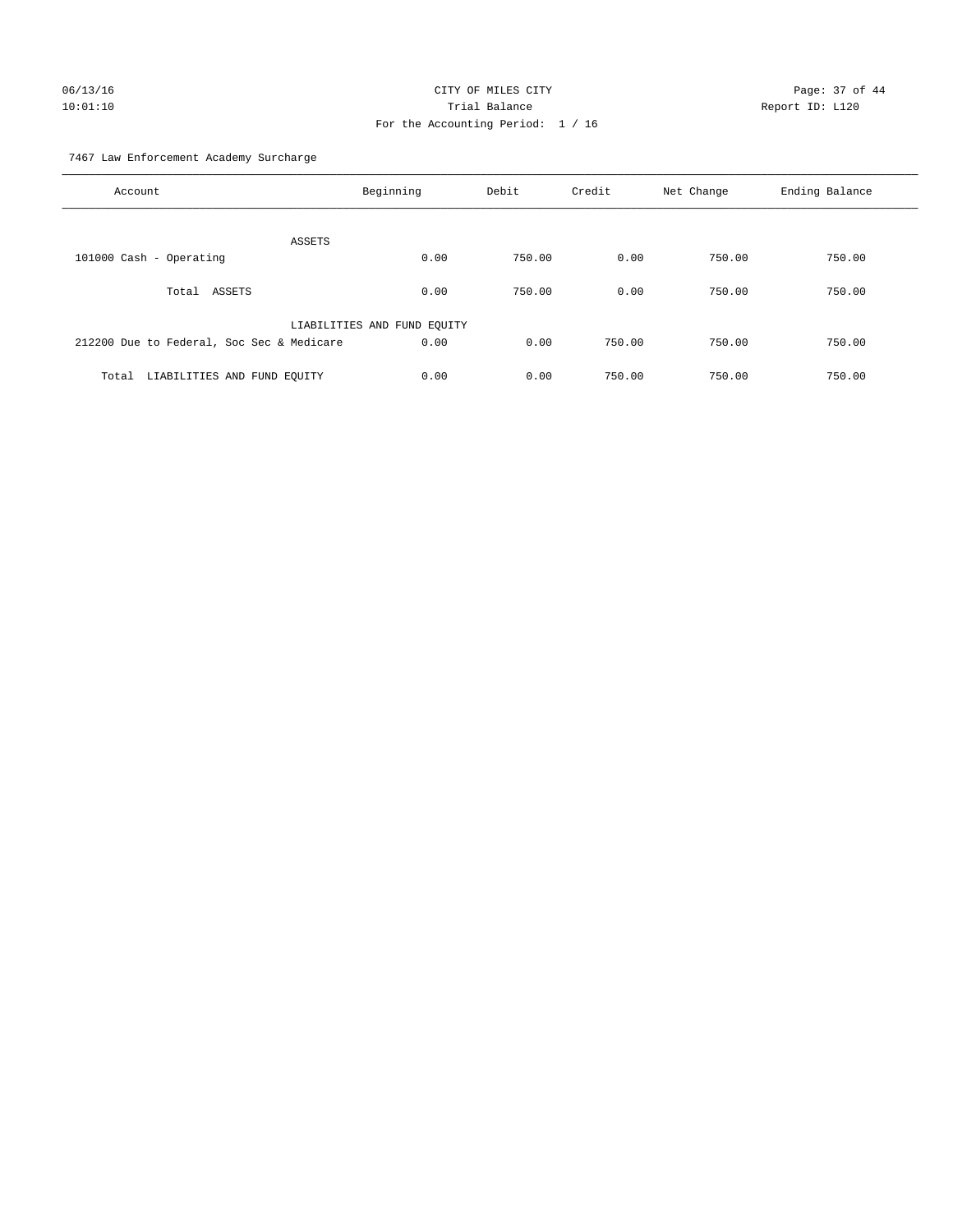# 06/13/16 Page: 37 of 44 10:01:10 Trial Balance Report ID: L120 For the Accounting Period: 1 / 16

7467 Law Enforcement Academy Surcharge

| Account                                   | Beginning                   | Debit  | Credit | Net Change | Ending Balance |
|-------------------------------------------|-----------------------------|--------|--------|------------|----------------|
| <b>ASSETS</b>                             |                             |        |        |            |                |
| 101000 Cash - Operating                   | 0.00                        | 750.00 | 0.00   | 750.00     | 750.00         |
| Total ASSETS                              | 0.00                        | 750.00 | 0.00   | 750.00     | 750.00         |
|                                           | LIABILITIES AND FUND EQUITY |        |        |            |                |
| 212200 Due to Federal, Soc Sec & Medicare | 0.00                        | 0.00   | 750.00 | 750.00     | 750.00         |
| LIABILITIES AND FUND EQUITY<br>Total      | 0.00                        | 0.00   | 750.00 | 750.00     | 750.00         |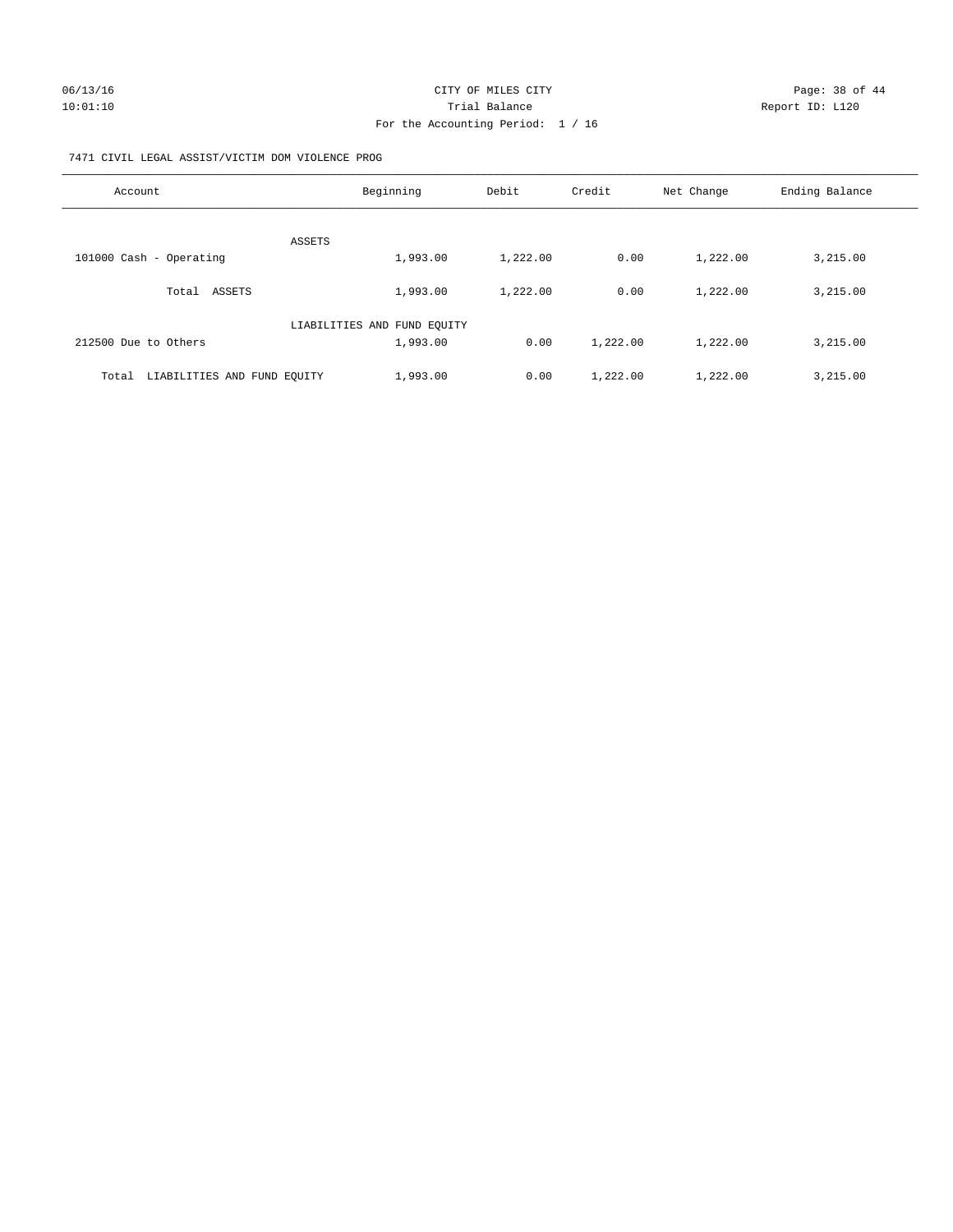#### 7471 CIVIL LEGAL ASSIST/VICTIM DOM VIOLENCE PROG

| Account                              | Beginning                   | Debit    | Credit   | Net Change | Ending Balance |
|--------------------------------------|-----------------------------|----------|----------|------------|----------------|
| <b>ASSETS</b>                        |                             |          |          |            |                |
| 101000 Cash - Operating              | 1,993.00                    | 1,222.00 | 0.00     | 1,222.00   | 3,215.00       |
| ASSETS<br>Total                      | 1,993.00                    | 1,222.00 | 0.00     | 1,222.00   | 3,215.00       |
|                                      | LIABILITIES AND FUND EQUITY |          |          |            |                |
| 212500 Due to Others                 | 1,993.00                    | 0.00     | 1,222.00 | 1,222.00   | 3,215.00       |
| LIABILITIES AND FUND EQUITY<br>Total | 1,993.00                    | 0.00     | 1,222.00 | 1,222.00   | 3,215.00       |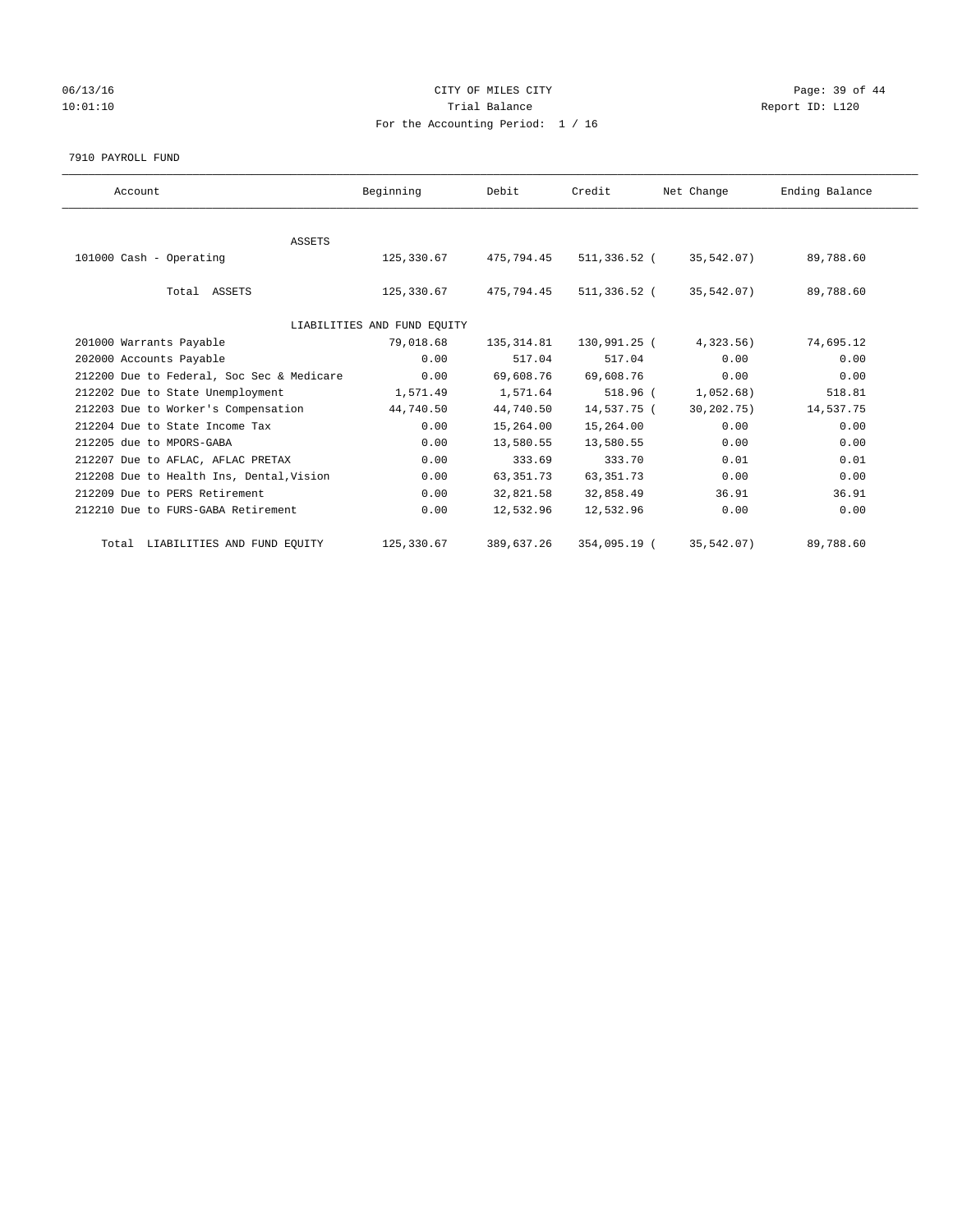## 06/13/16 Page: 39 of 44 10:01:10 Trial Balance Report ID: L120 For the Accounting Period: 1 / 16

#### 7910 PAYROLL FUND

| Account                                   | Beginning                   | Debit       | Credit       | Net Change   | Ending Balance |  |
|-------------------------------------------|-----------------------------|-------------|--------------|--------------|----------------|--|
|                                           |                             |             |              |              |                |  |
| ASSETS                                    |                             |             |              |              |                |  |
| 101000 Cash - Operating                   | 125,330.67                  | 475,794.45  | 511,336.52 ( | 35,542.07)   | 89,788.60      |  |
| Total ASSETS                              | 125,330.67                  | 475,794.45  | 511,336.52 ( | 35,542.07)   | 89,788.60      |  |
|                                           | LIABILITIES AND FUND EQUITY |             |              |              |                |  |
| 201000 Warrants Payable                   | 79,018.68                   | 135, 314.81 | 130,991.25 ( | $4,323.56$ ) | 74,695.12      |  |
| 202000 Accounts Payable                   | 0.00                        | 517.04      | 517.04       | 0.00         | 0.00           |  |
| 212200 Due to Federal, Soc Sec & Medicare | 0.00                        | 69,608.76   | 69,608.76    | 0.00         | 0.00           |  |
| 212202 Due to State Unemployment          | 1,571.49                    | 1,571.64    | 518.96 (     | 1,052.68)    | 518.81         |  |
| 212203 Due to Worker's Compensation       | 44,740.50                   | 44,740.50   | 14,537.75 (  | 30, 202.75)  | 14,537.75      |  |
| 212204 Due to State Income Tax            | 0.00                        | 15,264.00   | 15,264.00    | 0.00         | 0.00           |  |
| 212205 due to MPORS-GABA                  | 0.00                        | 13,580.55   | 13,580.55    | 0.00         | 0.00           |  |
| 212207 Due to AFLAC, AFLAC PRETAX         | 0.00                        | 333.69      | 333.70       | 0.01         | 0.01           |  |
| 212208 Due to Health Ins, Dental, Vision  | 0.00                        | 63, 351. 73 | 63, 351. 73  | 0.00         | 0.00           |  |
| 212209 Due to PERS Retirement             | 0.00                        | 32,821.58   | 32,858.49    | 36.91        | 36.91          |  |
| 212210 Due to FURS-GABA Retirement        | 0.00                        | 12,532.96   | 12,532.96    | 0.00         | 0.00           |  |
| Total LIABILITIES AND FUND EQUITY         | 125,330.67                  | 389,637.26  | 354,095.19 ( | 35,542.07)   | 89,788.60      |  |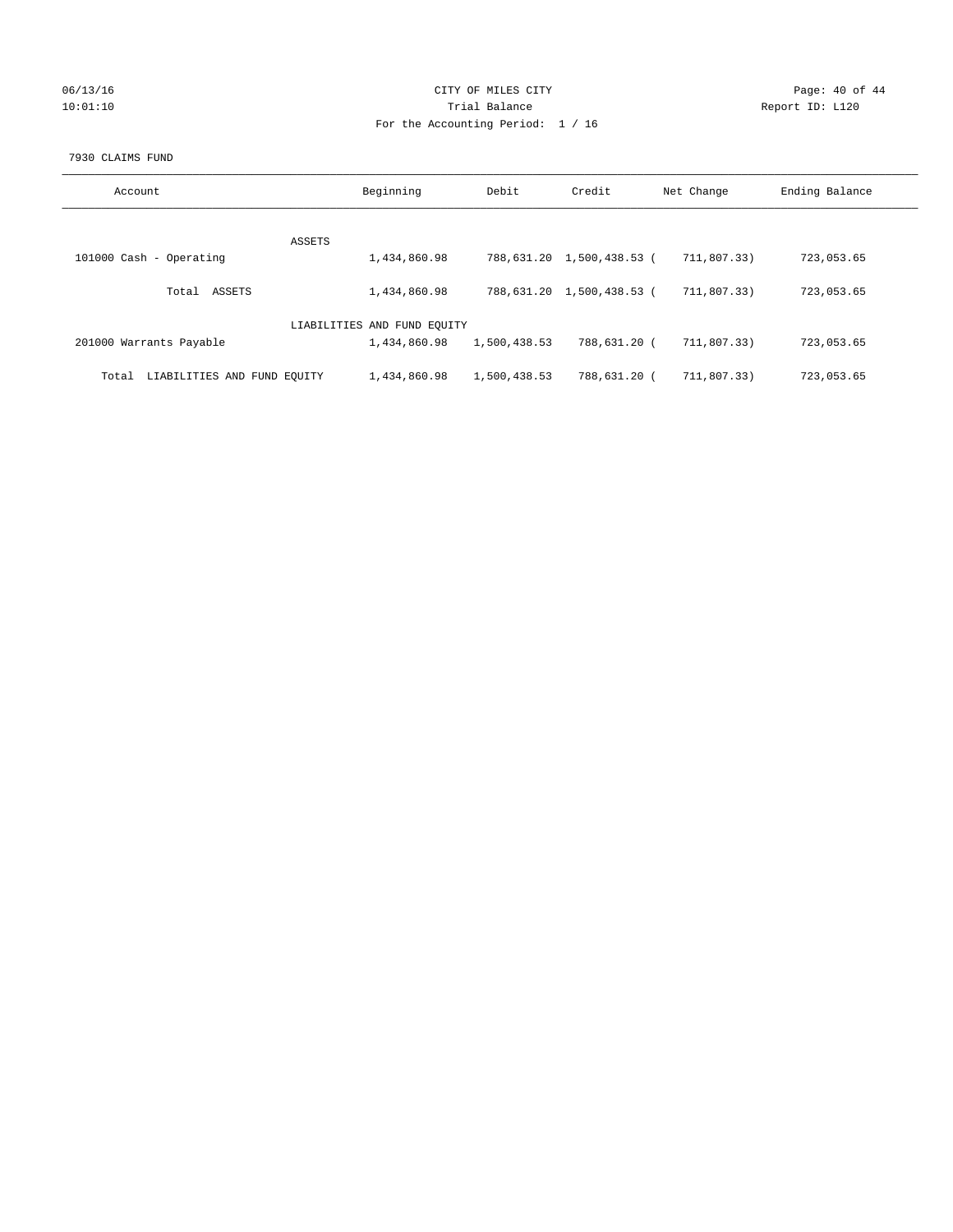## 06/13/16 Page: 40 of 44 10:01:10 Trial Balance Report ID: L120 For the Accounting Period: 1 / 16

#### 7930 CLAIMS FUND

| Account                              | Beginning                   | Debit        | Credit                    | Net Change  | Ending Balance |
|--------------------------------------|-----------------------------|--------------|---------------------------|-------------|----------------|
|                                      |                             |              |                           |             |                |
| ASSETS                               |                             |              |                           |             |                |
| 101000 Cash - Operating              | 1,434,860.98                |              | 788,631.20 1,500,438.53 ( | 711,807.33) | 723,053.65     |
|                                      |                             |              |                           |             |                |
| ASSETS<br>Total                      | 1,434,860.98                |              | 788,631.20 1,500,438.53 ( | 711,807.33) | 723,053.65     |
|                                      |                             |              |                           |             |                |
|                                      |                             |              |                           |             |                |
|                                      | LIABILITIES AND FUND EQUITY |              |                           |             |                |
| 201000 Warrants Payable              | 1,434,860.98                | 1,500,438.53 | 788,631.20 (              | 711,807.33) | 723,053.65     |
|                                      |                             |              |                           |             |                |
|                                      | 1,434,860.98                | 1,500,438.53 | 788,631.20 (              | 711,807.33) | 723,053.65     |
| LIABILITIES AND FUND EQUITY<br>Total |                             |              |                           |             |                |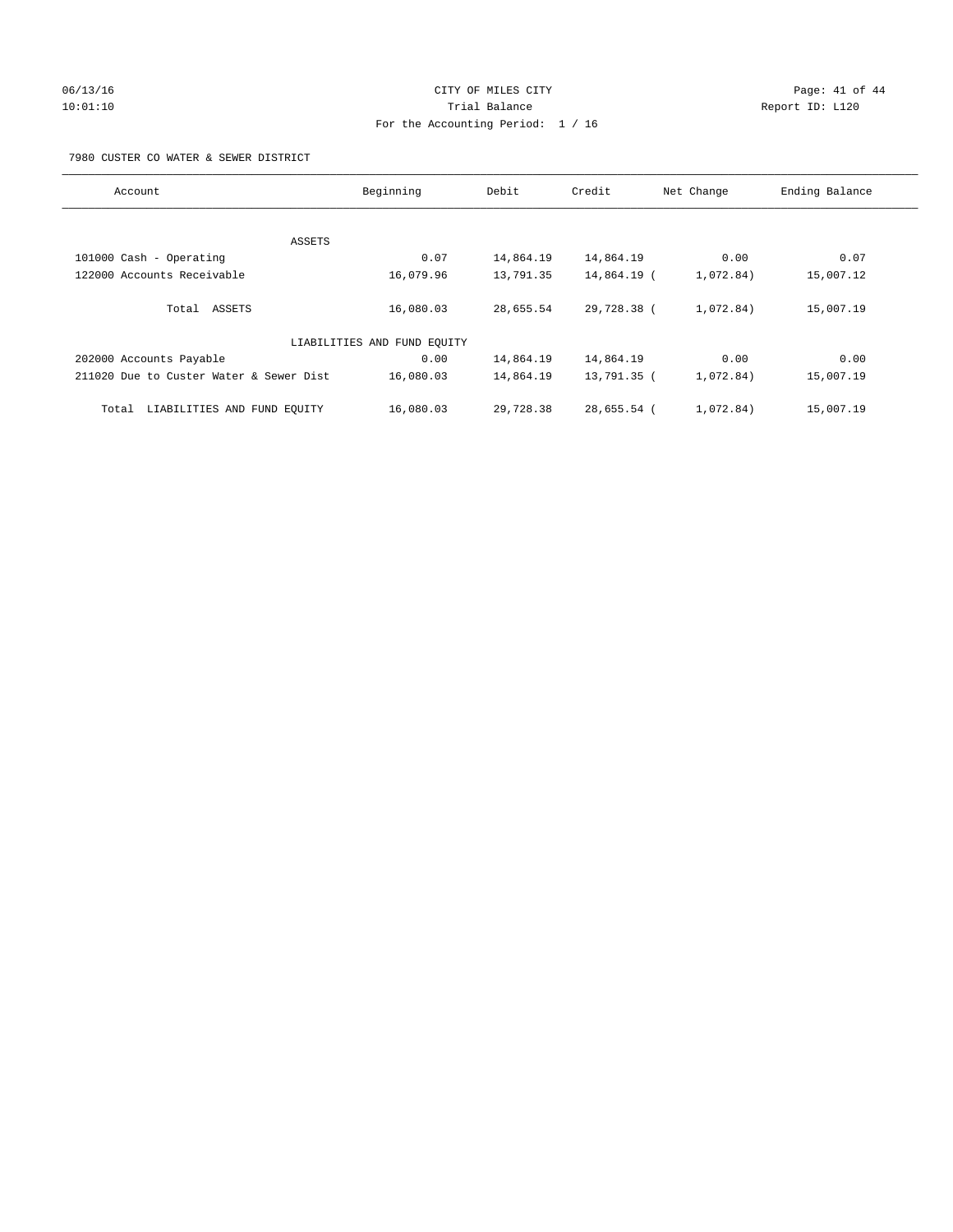# 06/13/16 Page: 41 of 44 10:01:10 Trial Balance Report ID: L120 For the Accounting Period: 1 / 16

7980 CUSTER CO WATER & SEWER DISTRICT

| Account                                 | Beginning                   | Debit     | Credit      | Net Change | Ending Balance |
|-----------------------------------------|-----------------------------|-----------|-------------|------------|----------------|
|                                         |                             |           |             |            |                |
| ASSETS                                  |                             |           |             |            |                |
| 101000 Cash - Operating                 | 0.07                        | 14,864.19 | 14,864.19   | 0.00       | 0.07           |
| 122000 Accounts Receivable              | 16,079.96                   | 13,791.35 | 14,864.19 ( | 1,072.84)  | 15,007.12      |
| Total ASSETS                            | 16,080.03                   | 28,655.54 | 29,728.38 ( | 1,072.84)  | 15,007.19      |
|                                         | LIABILITIES AND FUND EQUITY |           |             |            |                |
| 202000 Accounts Payable                 | 0.00                        | 14,864.19 | 14,864.19   | 0.00       | 0.00           |
| 211020 Due to Custer Water & Sewer Dist | 16,080.03                   | 14,864.19 | 13,791.35 ( | 1,072.84)  | 15,007.19      |
| LIABILITIES AND FUND EQUITY<br>Total    | 16,080.03                   | 29,728.38 | 28,655.54 ( | 1,072.84)  | 15,007.19      |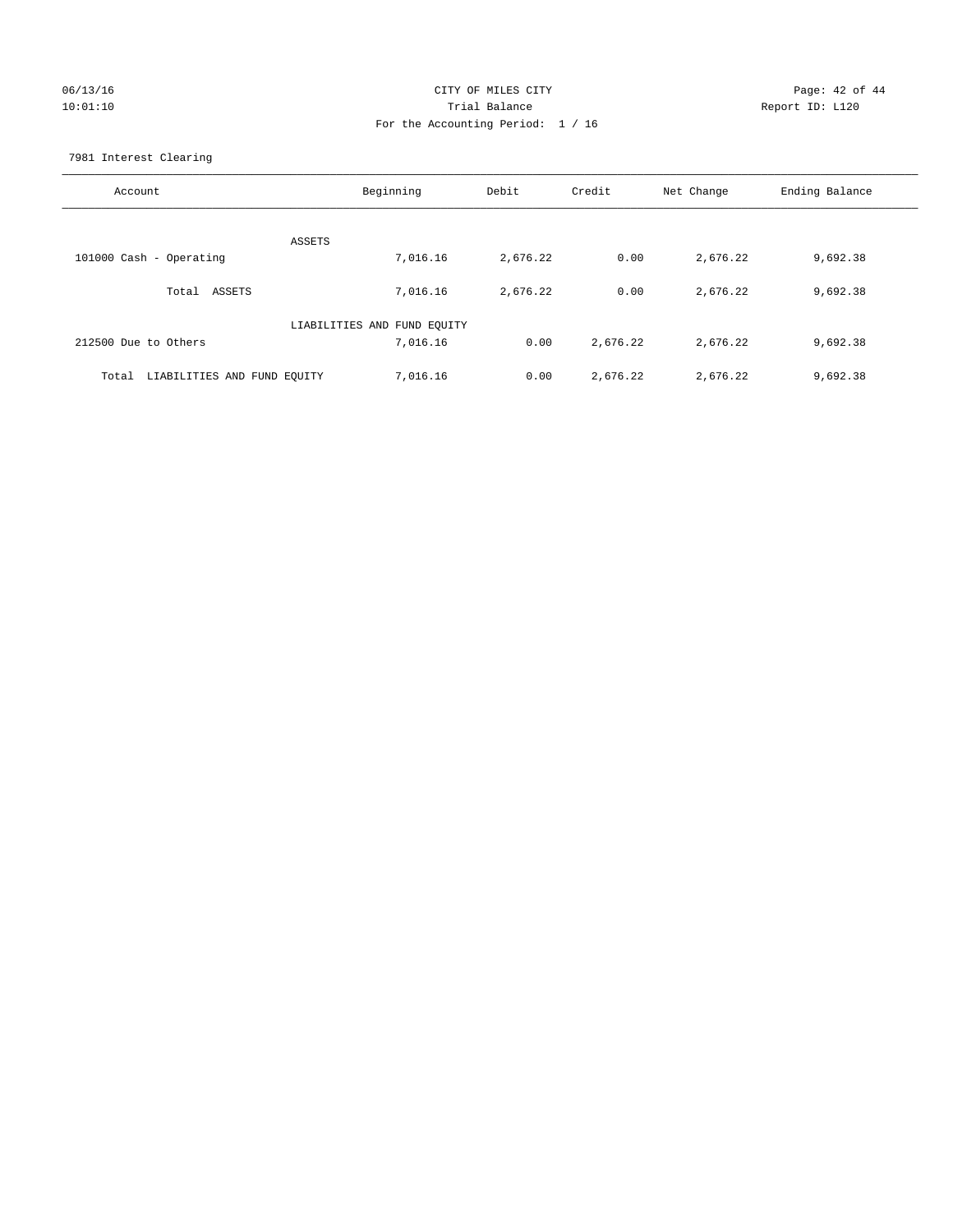## 06/13/16 Page: 42 of 44 10:01:10 Trial Balance Report ID: L120 For the Accounting Period: 1 / 16

7981 Interest Clearing

| Account                              | Beginning                   | Debit    | Credit   | Net Change | Ending Balance |
|--------------------------------------|-----------------------------|----------|----------|------------|----------------|
|                                      | ASSETS                      |          |          |            |                |
| 101000 Cash - Operating              | 7,016.16                    | 2,676.22 | 0.00     | 2,676.22   | 9,692.38       |
| Total ASSETS                         | 7,016.16                    | 2,676.22 | 0.00     | 2,676.22   | 9,692.38       |
|                                      | LIABILITIES AND FUND EQUITY |          |          |            |                |
| 212500 Due to Others                 | 7,016.16                    | 0.00     | 2,676.22 | 2,676.22   | 9,692.38       |
| LIABILITIES AND FUND EQUITY<br>Total | 7,016.16                    | 0.00     | 2,676.22 | 2,676.22   | 9,692.38       |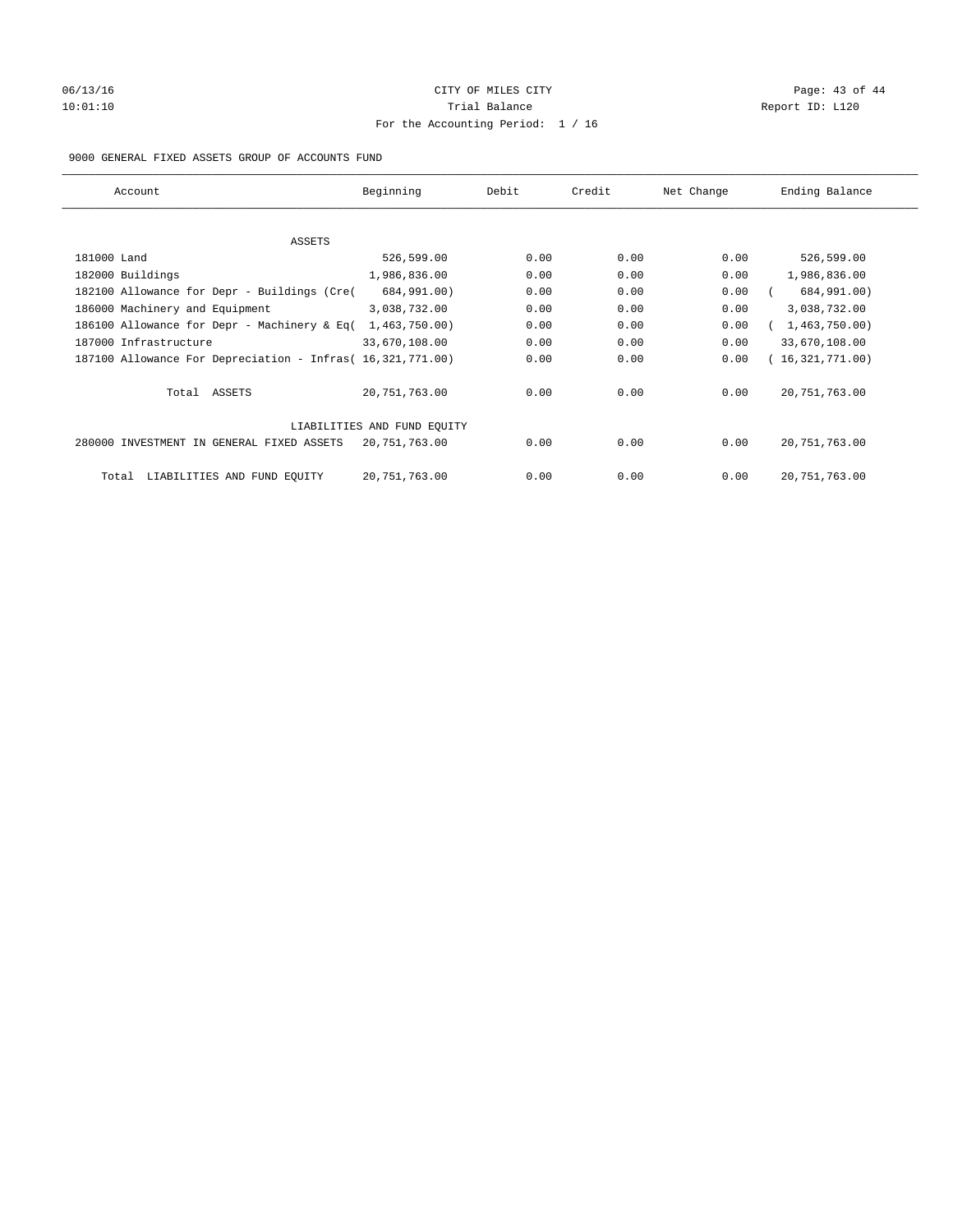# 06/13/16 Page: 43 of 44 10:01:10 Trial Balance Report ID: L120 For the Accounting Period: 1 / 16

#### 9000 GENERAL FIXED ASSETS GROUP OF ACCOUNTS FUND

| Account                                                    | Beginning                   | Debit | Credit | Net Change | Ending Balance  |
|------------------------------------------------------------|-----------------------------|-------|--------|------------|-----------------|
| ASSETS                                                     |                             |       |        |            |                 |
| 181000 Land                                                | 526,599.00                  | 0.00  | 0.00   | 0.00       | 526,599.00      |
| 182000 Buildings                                           | 1,986,836.00                | 0.00  | 0.00   | 0.00       | 1,986,836.00    |
| 182100 Allowance for Depr - Buildings (Cre(                | 684,991.00)                 | 0.00  | 0.00   | 0.00       | 684,991.00)     |
| 186000 Machinery and Equipment                             | 3,038,732.00                | 0.00  | 0.00   | 0.00       | 3,038,732.00    |
| 186100 Allowance for Depr - Machinery & Eq(                | 1,463,750.00)               | 0.00  | 0.00   | 0.00       | 1,463,750.00)   |
| 187000 Infrastructure                                      | 33,670,108.00               | 0.00  | 0.00   | 0.00       | 33,670,108.00   |
| 187100 Allowance For Depreciation - Infras( 16,321,771.00) |                             | 0.00  | 0.00   | 0.00       | 16,321,771.00)  |
| Total ASSETS                                               | 20,751,763.00               | 0.00  | 0.00   | 0.00       | 20, 751, 763.00 |
|                                                            | LIABILITIES AND FUND EQUITY |       |        |            |                 |
| 280000 INVESTMENT IN GENERAL FIXED ASSETS                  | 20,751,763.00               | 0.00  | 0.00   | 0.00       | 20, 751, 763.00 |
| LIABILITIES AND FUND EQUITY<br>Total                       | 20, 751, 763.00             | 0.00  | 0.00   | 0.00       | 20, 751, 763.00 |